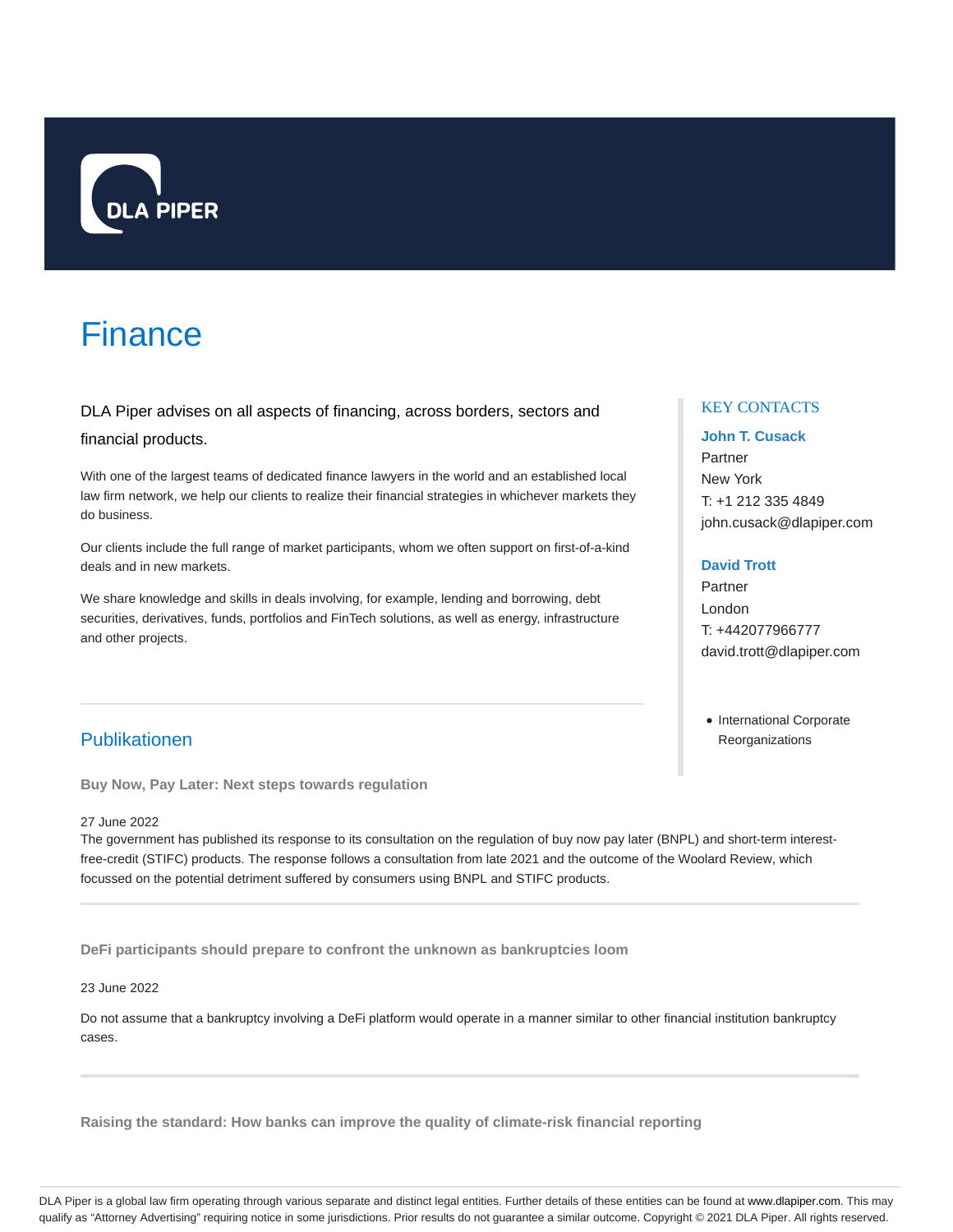

# Finance

DLA Piper advises on all aspects of financing, across borders, sectors and

# financial products.

With one of the largest teams of dedicated finance lawyers in the world and an established local law firm network, we help our clients to realize their financial strategies in whichever markets they do business.

Our clients include the full range of market participants, whom we often support on first-of-a-kind deals and in new markets.

We share knowledge and skills in deals involving, for example, lending and borrowing, debt securities, derivatives, funds, portfolios and FinTech solutions, as well as energy, infrastructure and other projects.

# KEY CONTACTS

# **John T. Cusack**

Partner New York T: +1 212 335 4849 john.cusack@dlapiper.com

# **David Trott**

Partner London T: +442077966777 david.trott@dlapiper.com

• International Corporate **Reorganizations** 

# Publikationen

**Buy Now, Pay Later: Next steps towards regulation**

# 27 June 2022

The government has published its response to its consultation on the regulation of buy now pay later (BNPL) and short-term interestfree-credit (STIFC) products. The response follows a consultation from late 2021 and the outcome of the Woolard Review, which focussed on the potential detriment suffered by consumers using BNPL and STIFC products.

**DeFi participants should prepare to confront the unknown as bankruptcies loom**

# 23 June 2022

Do not assume that a bankruptcy involving a DeFi platform would operate in a manner similar to other financial institution bankruptcy cases.

**Raising the standard: How banks can improve the quality of climate-risk financial reporting**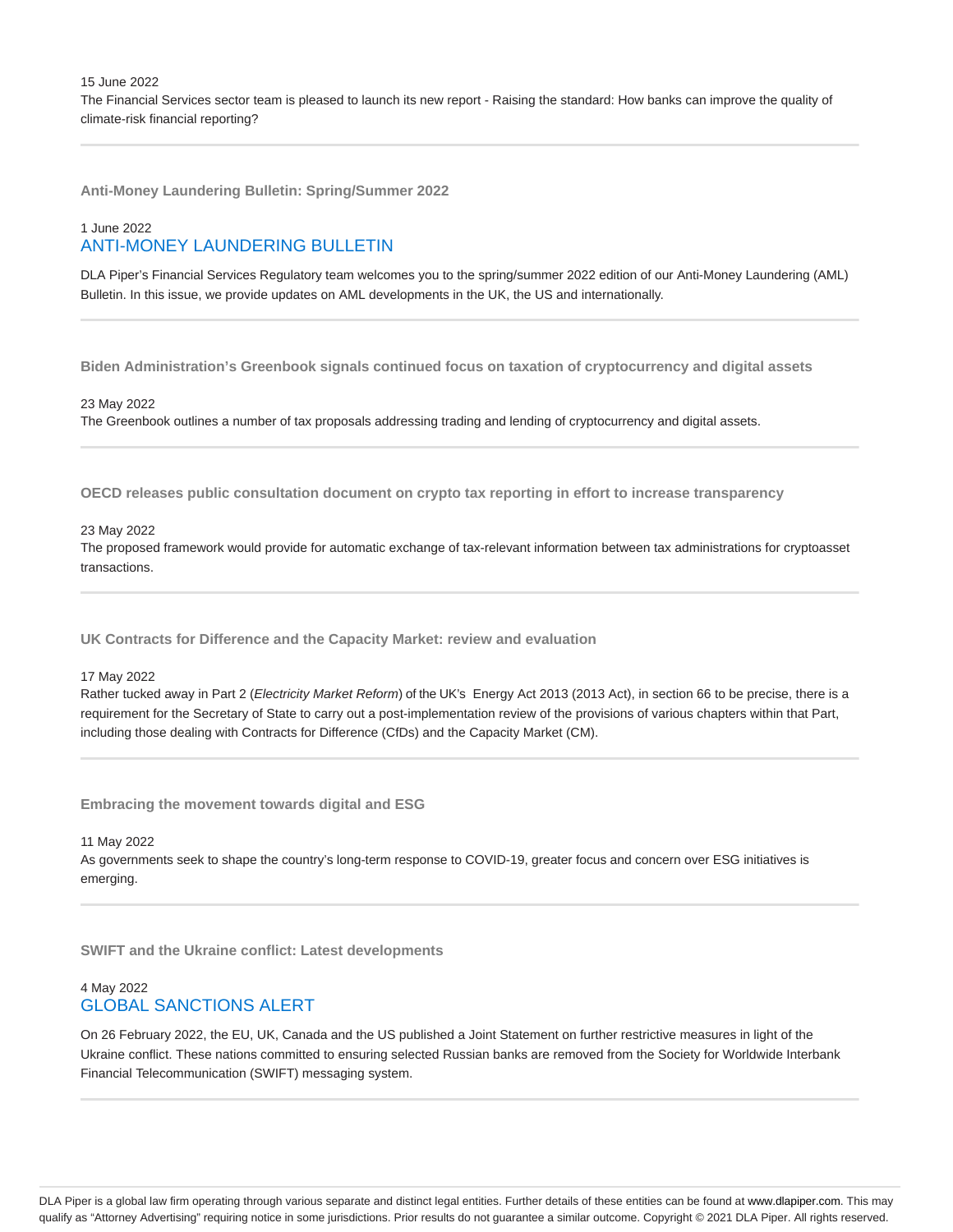15 June 2022 The Financial Services sector team is pleased to launch its new report - Raising the standard: How banks can improve the quality of climate-risk financial reporting?

**Anti-Money Laundering Bulletin: Spring/Summer 2022**

# 1 June 2022 ANTI-MONEY LAUNDERING BULLETIN

DLA Piper's Financial Services Regulatory team welcomes you to the spring/summer 2022 edition of our Anti-Money Laundering (AML) Bulletin. In this issue, we provide updates on AML developments in the UK, the US and internationally.

**Biden Administration's Greenbook signals continued focus on taxation of cryptocurrency and digital assets**

### 23 May 2022

The Greenbook outlines a number of tax proposals addressing trading and lending of cryptocurrency and digital assets.

**OECD releases public consultation document on crypto tax reporting in effort to increase transparency**

#### 23 May 2022

The proposed framework would provide for automatic exchange of tax-relevant information between tax administrations for cryptoasset transactions.

**UK Contracts for Difference and the Capacity Market: review and evaluation**

#### 17 May 2022

Rather tucked away in Part 2 (Electricity Market Reform) of the UK's Energy Act 2013 (2013 Act), in section 66 to be precise, there is a requirement for the Secretary of State to carry out a post-implementation review of the provisions of various chapters within that Part, including those dealing with Contracts for Difference (CfDs) and the Capacity Market (CM).

**Embracing the movement towards digital and ESG**

#### 11 May 2022

As governments seek to shape the country's long-term response to COVID-19, greater focus and concern over ESG initiatives is emerging.

**SWIFT and the Ukraine conflict: Latest developments**

# 4 May 2022 GLOBAL SANCTIONS ALERT

On 26 February 2022, the EU, UK, Canada and the US published a Joint Statement on further restrictive measures in light of the Ukraine conflict. These nations committed to ensuring selected Russian banks are removed from the Society for Worldwide Interbank Financial Telecommunication (SWIFT) messaging system.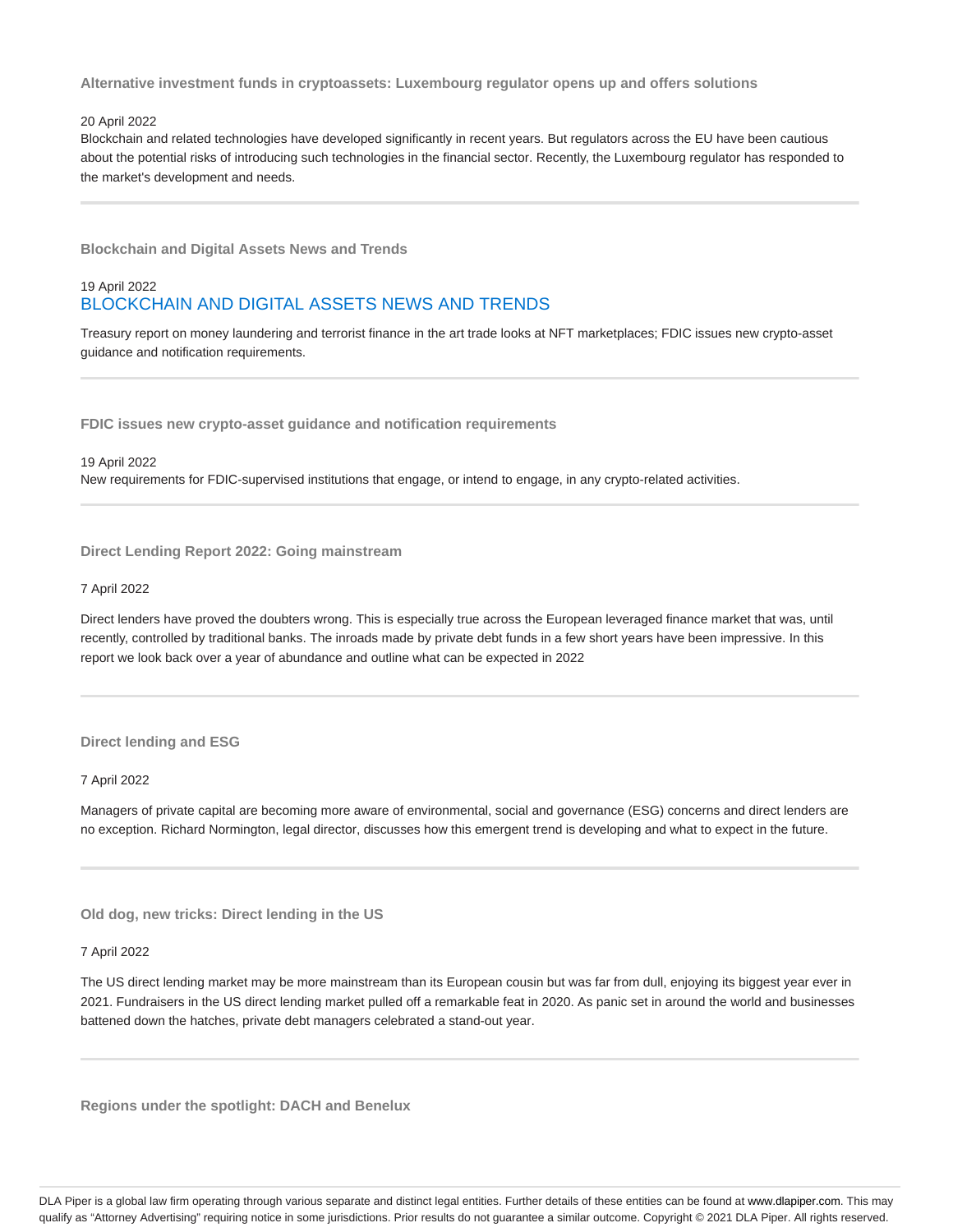**Alternative investment funds in cryptoassets: Luxembourg regulator opens up and offers solutions**

### 20 April 2022

Blockchain and related technologies have developed significantly in recent years. But regulators across the EU have been cautious about the potential risks of introducing such technologies in the financial sector. Recently, the Luxembourg regulator has responded to the market's development and needs.

**Blockchain and Digital Assets News and Trends**

# 19 April 2022 BLOCKCHAIN AND DIGITAL ASSETS NEWS AND TRENDS

Treasury report on money laundering and terrorist finance in the art trade looks at NFT marketplaces; FDIC issues new crypto-asset guidance and notification requirements.

**FDIC issues new crypto-asset guidance and notification requirements**

#### 19 April 2022

New requirements for FDIC-supervised institutions that engage, or intend to engage, in any crypto-related activities.

**Direct Lending Report 2022: Going mainstream**

#### 7 April 2022

Direct lenders have proved the doubters wrong. This is especially true across the European leveraged finance market that was, until recently, controlled by traditional banks. The inroads made by private debt funds in a few short years have been impressive. In this report we look back over a year of abundance and outline what can be expected in 2022

#### **Direct lending and ESG**

7 April 2022

Managers of private capital are becoming more aware of environmental, social and governance (ESG) concerns and direct lenders are no exception. Richard Normington, legal director, discusses how this emergent trend is developing and what to expect in the future.

**Old dog, new tricks: Direct lending in the US**

#### 7 April 2022

The US direct lending market may be more mainstream than its European cousin but was far from dull, enjoying its biggest year ever in 2021. Fundraisers in the US direct lending market pulled off a remarkable feat in 2020. As panic set in around the world and businesses battened down the hatches, private debt managers celebrated a stand-out year.

**Regions under the spotlight: DACH and Benelux**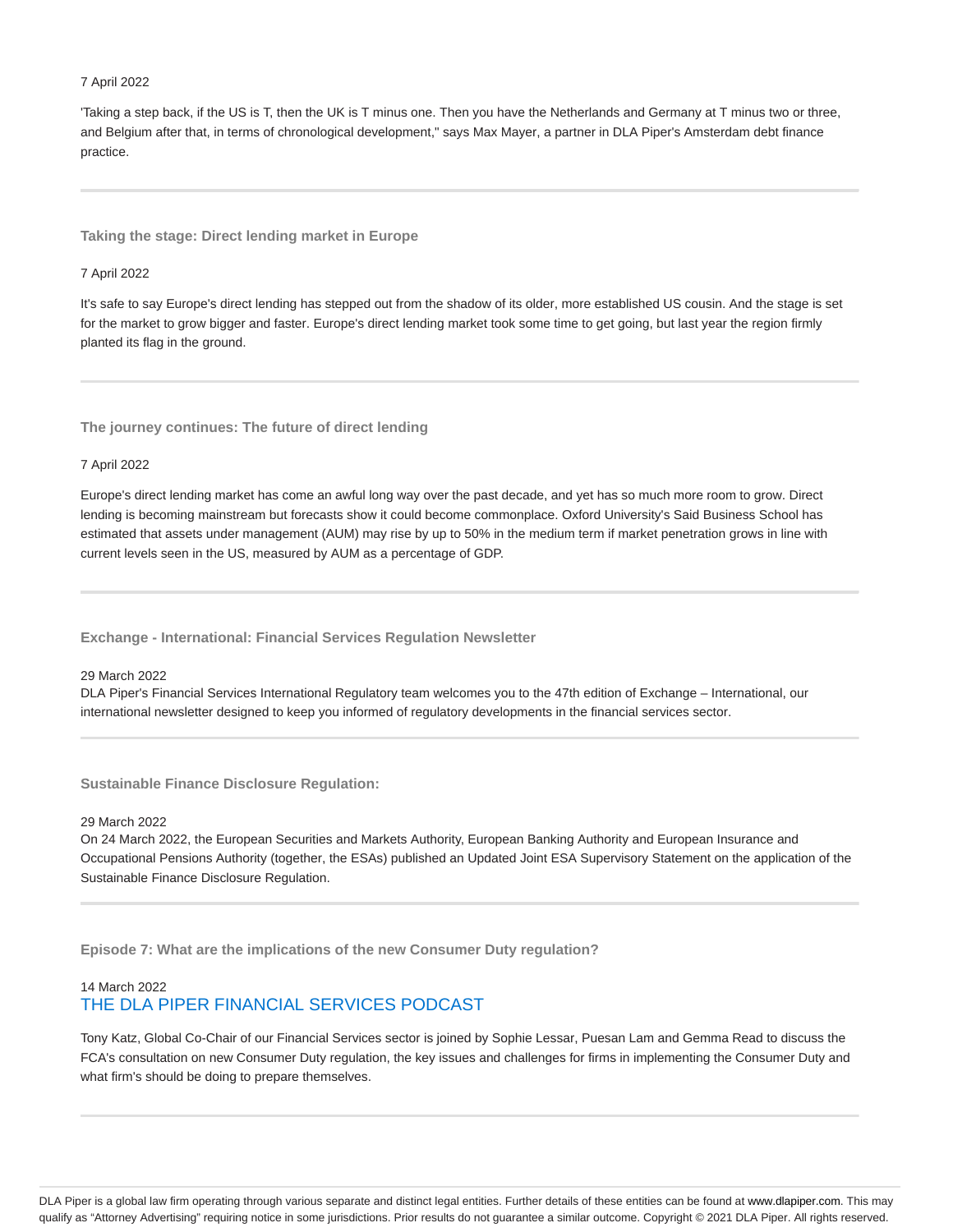#### 7 April 2022

'Taking a step back, if the US is T, then the UK is T minus one. Then you have the Netherlands and Germany at T minus two or three, and Belgium after that, in terms of chronological development," says Max Mayer, a partner in DLA Piper's Amsterdam debt finance practice.

**Taking the stage: Direct lending market in Europe**

#### 7 April 2022

It's safe to say Europe's direct lending has stepped out from the shadow of its older, more established US cousin. And the stage is set for the market to grow bigger and faster. Europe's direct lending market took some time to get going, but last year the region firmly planted its flag in the ground.

**The journey continues: The future of direct lending**

#### 7 April 2022

Europe's direct lending market has come an awful long way over the past decade, and yet has so much more room to grow. Direct lending is becoming mainstream but forecasts show it could become commonplace. Oxford University's Said Business School has estimated that assets under management (AUM) may rise by up to 50% in the medium term if market penetration grows in line with current levels seen in the US, measured by AUM as a percentage of GDP.

**Exchange - International: Financial Services Regulation Newsletter**

# 29 March 2022

DLA Piper's Financial Services International Regulatory team welcomes you to the 47th edition of Exchange – International, our international newsletter designed to keep you informed of regulatory developments in the financial services sector.

**Sustainable Finance Disclosure Regulation:**

#### 29 March 2022

On 24 March 2022, the European Securities and Markets Authority, European Banking Authority and European Insurance and Occupational Pensions Authority (together, the ESAs) published an Updated Joint ESA Supervisory Statement on the application of the Sustainable Finance Disclosure Regulation.

**Episode 7: What are the implications of the new Consumer Duty regulation?**

# 14 March 2022 THE DLA PIPER FINANCIAL SERVICES PODCAST

Tony Katz, Global Co-Chair of our Financial Services sector is joined by Sophie Lessar, Puesan Lam and Gemma Read to discuss the FCA's consultation on new Consumer Duty regulation, the key issues and challenges for firms in implementing the Consumer Duty and what firm's should be doing to prepare themselves.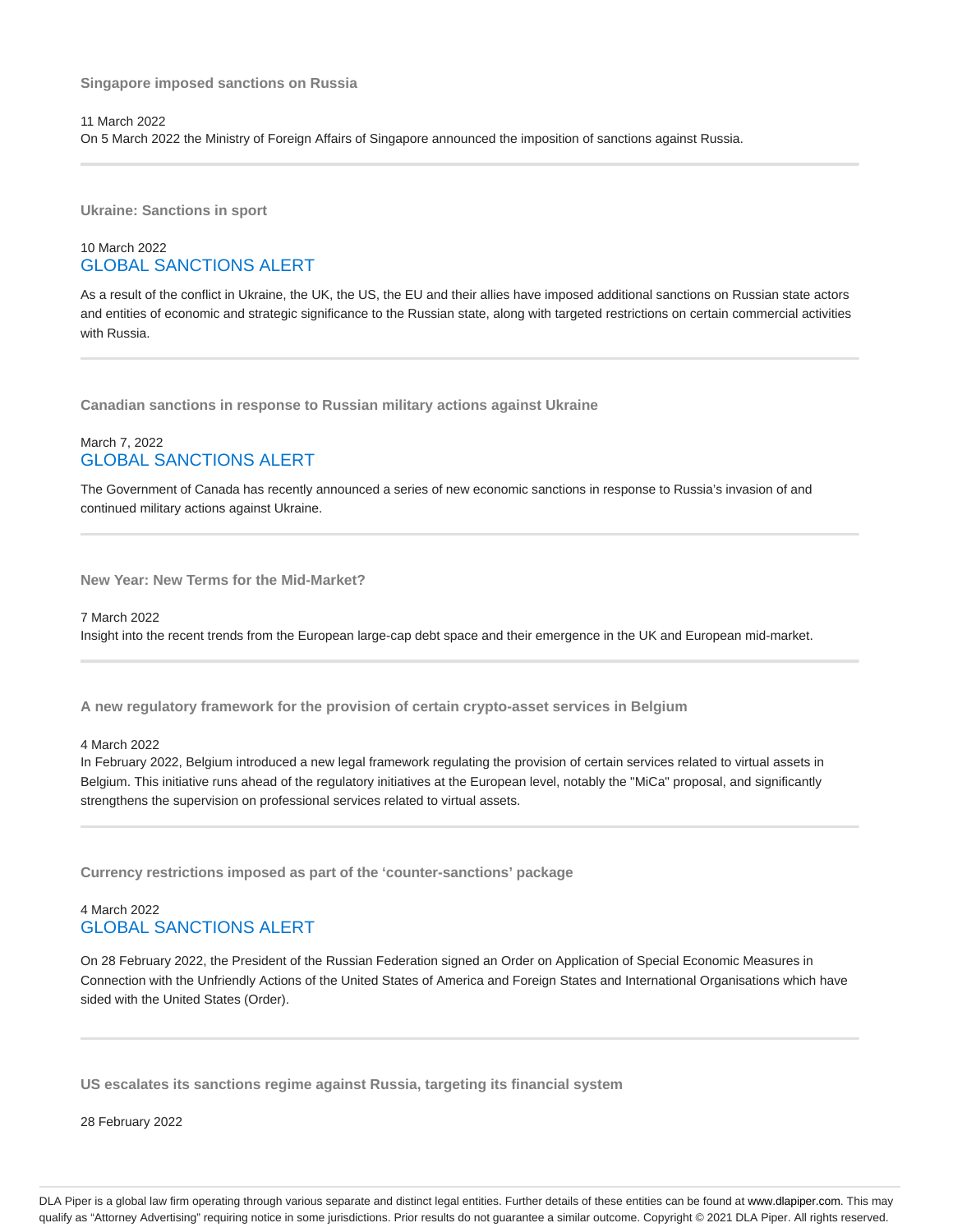**Singapore imposed sanctions on Russia**

11 March 2022 On 5 March 2022 the Ministry of Foreign Affairs of Singapore announced the imposition of sanctions against Russia.

**Ukraine: Sanctions in sport**

# 10 March 2022 GLOBAL SANCTIONS ALERT

As a result of the conflict in Ukraine, the UK, the US, the EU and their allies have imposed additional sanctions on Russian state actors and entities of economic and strategic significance to the Russian state, along with targeted restrictions on certain commercial activities with Russia.

**Canadian sanctions in response to Russian military actions against Ukraine**

# March 7, 2022 GLOBAL SANCTIONS ALERT

The Government of Canada has recently announced a series of new economic sanctions in response to Russia's invasion of and continued military actions against Ukraine.

**New Year: New Terms for the Mid-Market?**

# 7 March 2022

Insight into the recent trends from the European large-cap debt space and their emergence in the UK and European mid-market.

**A new regulatory framework for the provision of certain crypto-asset services in Belgium**

4 March 2022

In February 2022, Belgium introduced a new legal framework regulating the provision of certain services related to virtual assets in Belgium. This initiative runs ahead of the regulatory initiatives at the European level, notably the "MiCa" proposal, and significantly strengthens the supervision on professional services related to virtual assets.

**Currency restrictions imposed as part of the 'counter-sanctions' package**

# 4 March 2022 GLOBAL SANCTIONS ALERT

On 28 February 2022, the President of the Russian Federation signed an Order on Application of Special Economic Measures in Connection with the Unfriendly Actions of the United States of America and Foreign States and International Organisations which have sided with the United States (Order).

**US escalates its sanctions regime against Russia, targeting its financial system**

28 February 2022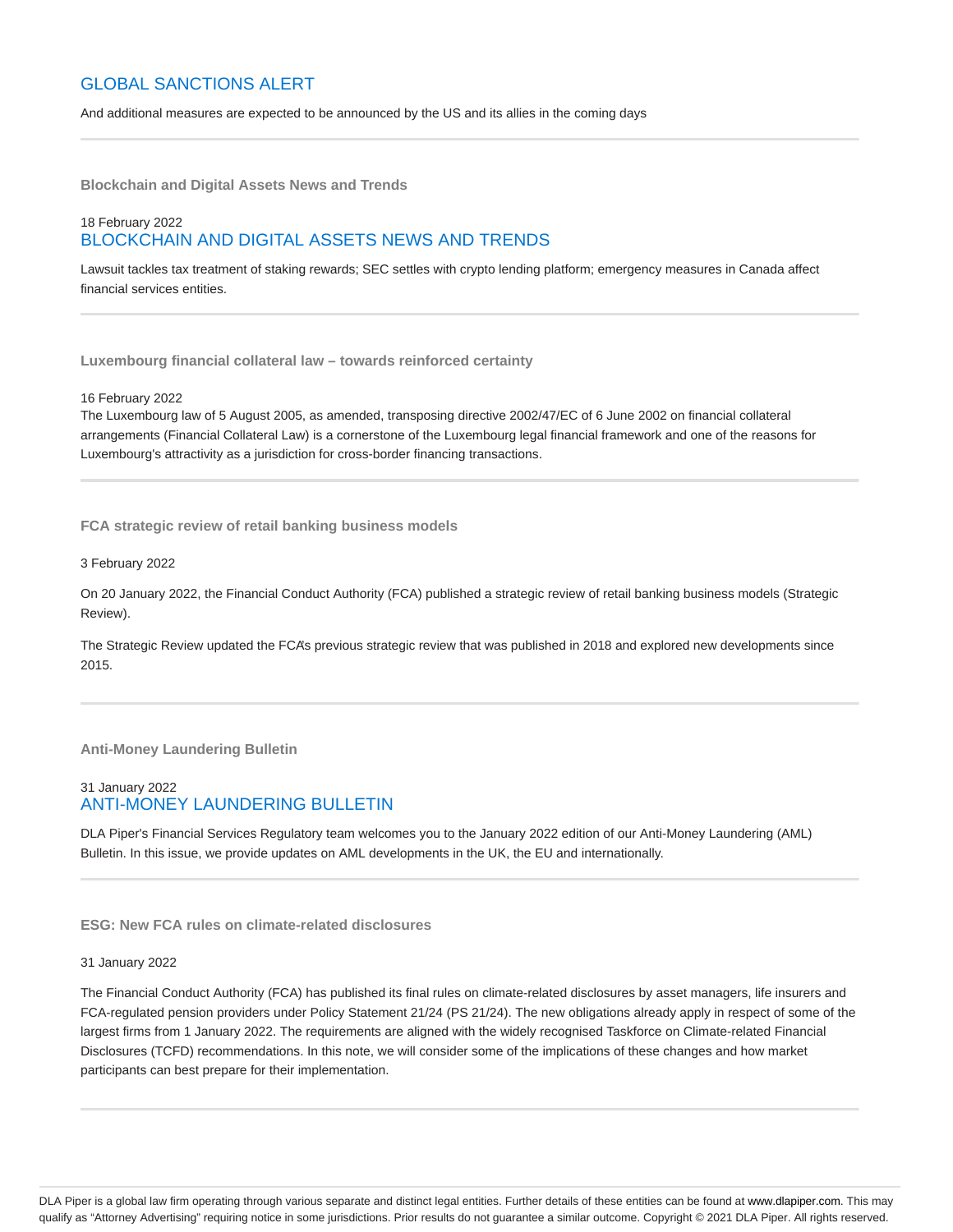# GLOBAL SANCTIONS ALERT

And additional measures are expected to be announced by the US and its allies in the coming days

**Blockchain and Digital Assets News and Trends**

# 18 February 2022 BLOCKCHAIN AND DIGITAL ASSETS NEWS AND TRENDS

Lawsuit tackles tax treatment of staking rewards; SEC settles with crypto lending platform; emergency measures in Canada affect financial services entities.

**Luxembourg financial collateral law – towards reinforced certainty**

16 February 2022

The Luxembourg law of 5 August 2005, as amended, transposing directive 2002/47/EC of 6 June 2002 on financial collateral arrangements (Financial Collateral Law) is a cornerstone of the Luxembourg legal financial framework and one of the reasons for Luxembourg's attractivity as a jurisdiction for cross-border financing transactions.

**FCA strategic review of retail banking business models**

3 February 2022

On 20 January 2022, the Financial Conduct Authority (FCA) published a strategic review of retail banking business models (Strategic Review).

The Strategic Review updated the FCA's previous strategic review that was published in 2018 and explored new developments since 2015.

**Anti-Money Laundering Bulletin**

# 31 January 2022 ANTI-MONEY LAUNDERING BULLETIN

DLA Piper's Financial Services Regulatory team welcomes you to the January 2022 edition of our Anti-Money Laundering (AML) Bulletin. In this issue, we provide updates on AML developments in the UK, the EU and internationally.

# **ESG: New FCA rules on climate-related disclosures**

#### 31 January 2022

The Financial Conduct Authority (FCA) has published its final rules on climate-related disclosures by asset managers, life insurers and FCA-regulated pension providers under Policy Statement 21/24 (PS 21/24). The new obligations already apply in respect of some of the largest firms from 1 January 2022. The requirements are aligned with the widely recognised Taskforce on Climate-related Financial Disclosures (TCFD) recommendations. In this note, we will consider some of the implications of these changes and how market participants can best prepare for their implementation.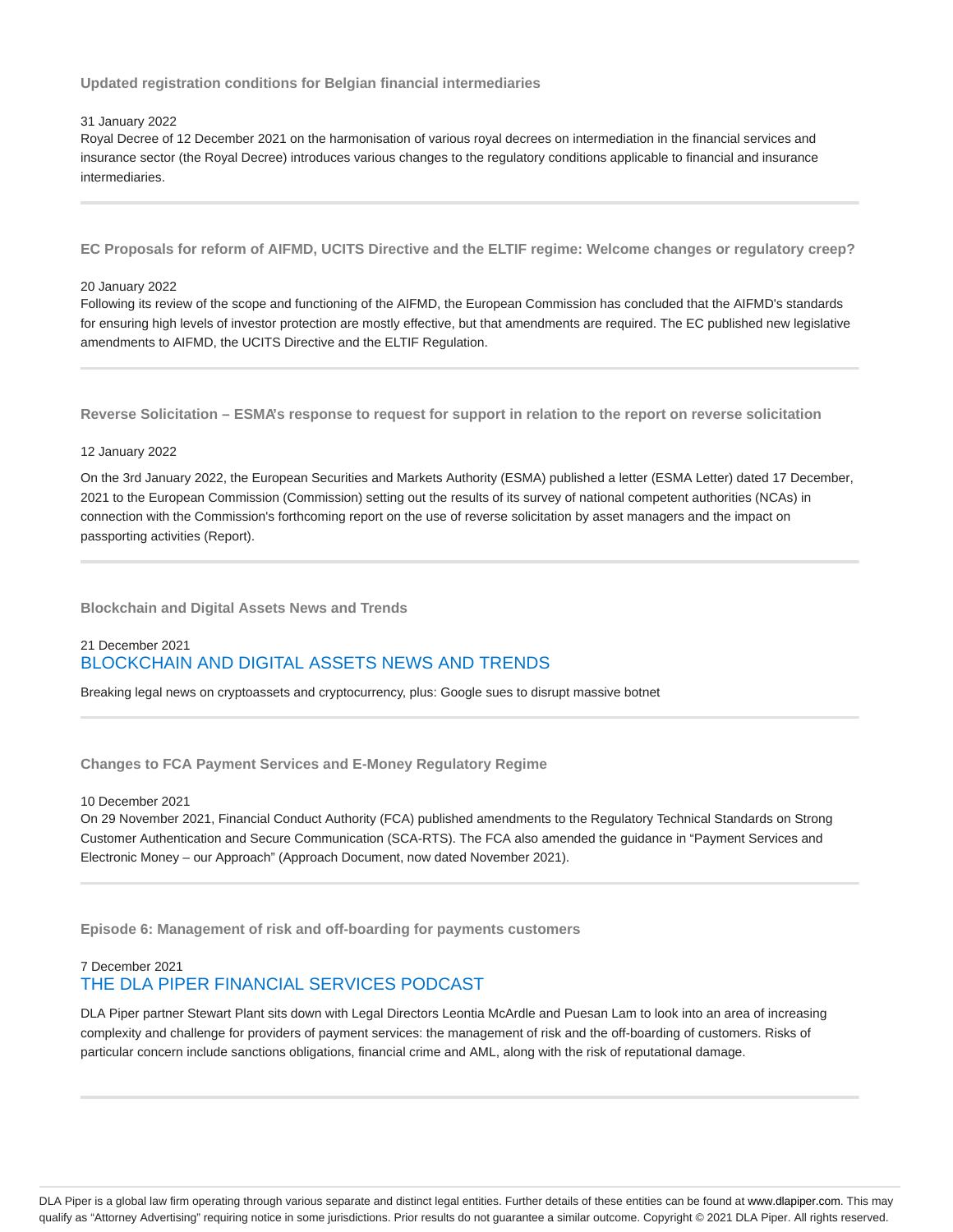**Updated registration conditions for Belgian financial intermediaries**

#### 31 January 2022

Royal Decree of 12 December 2021 on the harmonisation of various royal decrees on intermediation in the financial services and insurance sector (the Royal Decree) introduces various changes to the regulatory conditions applicable to financial and insurance intermediaries.

**EC Proposals for reform of AIFMD, UCITS Directive and the ELTIF regime: Welcome changes or regulatory creep?**

#### 20 January 2022

Following its review of the scope and functioning of the AIFMD, the European Commission has concluded that the AIFMD's standards for ensuring high levels of investor protection are mostly effective, but that amendments are required. The EC published new legislative amendments to AIFMD, the UCITS Directive and the ELTIF Regulation.

**Reverse Solicitation – ESMA's response to request for support in relation to the report on reverse solicitation**

### 12 January 2022

On the 3rd January 2022, the European Securities and Markets Authority (ESMA) published a letter (ESMA Letter) dated 17 December, 2021 to the European Commission (Commission) setting out the results of its survey of national competent authorities (NCAs) in connection with the Commission's forthcoming report on the use of reverse solicitation by asset managers and the impact on passporting activities (Report).

**Blockchain and Digital Assets News and Trends**

# 21 December 2021 BLOCKCHAIN AND DIGITAL ASSETS NEWS AND TRENDS

Breaking legal news on cryptoassets and cryptocurrency, plus: Google sues to disrupt massive botnet

**Changes to FCA Payment Services and E-Money Regulatory Regime**

10 December 2021

On 29 November 2021, Financial Conduct Authority (FCA) published amendments to the Regulatory Technical Standards on Strong Customer Authentication and Secure Communication (SCA-RTS). The FCA also amended the guidance in "Payment Services and Electronic Money – our Approach" (Approach Document, now dated November 2021).

**Episode 6: Management of risk and off-boarding for payments customers**

# 7 December 2021 THE DLA PIPER FINANCIAL SERVICES PODCAST

DLA Piper partner Stewart Plant sits down with Legal Directors Leontia McArdle and Puesan Lam to look into an area of increasing complexity and challenge for providers of payment services: the management of risk and the off-boarding of customers. Risks of particular concern include sanctions obligations, financial crime and AML, along with the risk of reputational damage.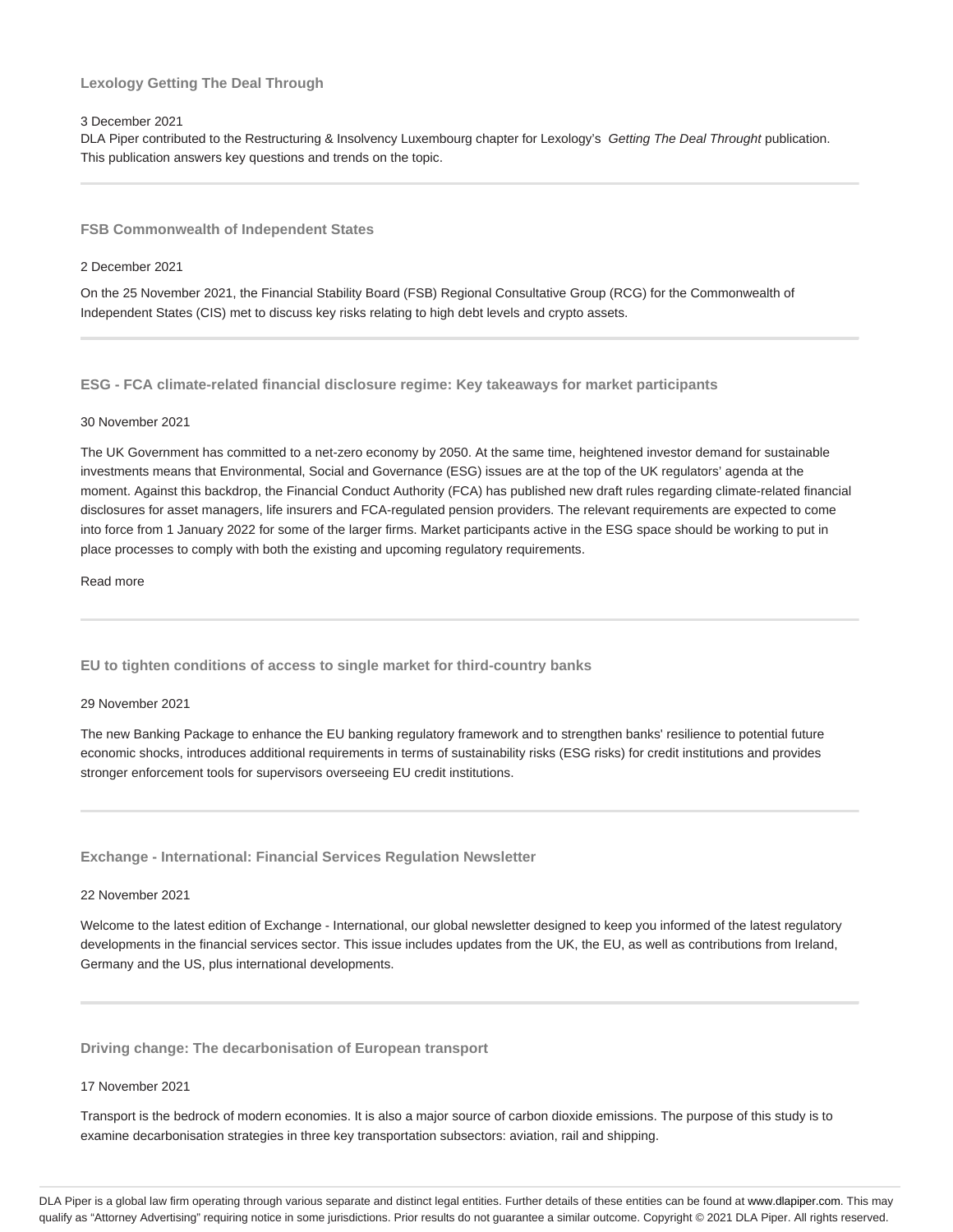# **Lexology Getting The Deal Through**

### 3 December 2021

DLA Piper contributed to the Restructuring & Insolvency Luxembourg chapter for Lexology's Getting The Deal Throught publication. This publication answers key questions and trends on the topic.

**FSB Commonwealth of Independent States**

#### 2 December 2021

On the 25 November 2021, the Financial Stability Board (FSB) Regional Consultative Group (RCG) for the Commonwealth of Independent States (CIS) met to discuss key risks relating to high debt levels and crypto assets.

**ESG - FCA climate-related financial disclosure regime: Key takeaways for market participants**

#### 30 November 2021

The UK Government has committed to a net-zero economy by 2050. At the same time, heightened investor demand for sustainable investments means that Environmental, Social and Governance (ESG) issues are at the top of the UK regulators' agenda at the moment. Against this backdrop, the Financial Conduct Authority (FCA) has published new draft rules regarding climate-related financial disclosures for asset managers, life insurers and FCA-regulated pension providers. The relevant requirements are expected to come into force from 1 January 2022 for some of the larger firms. Market participants active in the ESG space should be working to put in place processes to comply with both the existing and upcoming regulatory requirements.

Read more

**EU to tighten conditions of access to single market for third-country banks**

#### 29 November 2021

The new Banking Package to enhance the EU banking regulatory framework and to strengthen banks' resilience to potential future economic shocks, introduces additional requirements in terms of sustainability risks (ESG risks) for credit institutions and provides stronger enforcement tools for supervisors overseeing EU credit institutions.

**Exchange - International: Financial Services Regulation Newsletter**

#### 22 November 2021

Welcome to the latest edition of Exchange - International, our global newsletter designed to keep you informed of the latest regulatory developments in the financial services sector. This issue includes updates from the UK, the EU, as well as contributions from Ireland, Germany and the US, plus international developments.

**Driving change: The decarbonisation of European transport**

# 17 November 2021

Transport is the bedrock of modern economies. It is also a major source of carbon dioxide emissions. The purpose of this study is to examine decarbonisation strategies in three key transportation subsectors: aviation, rail and shipping.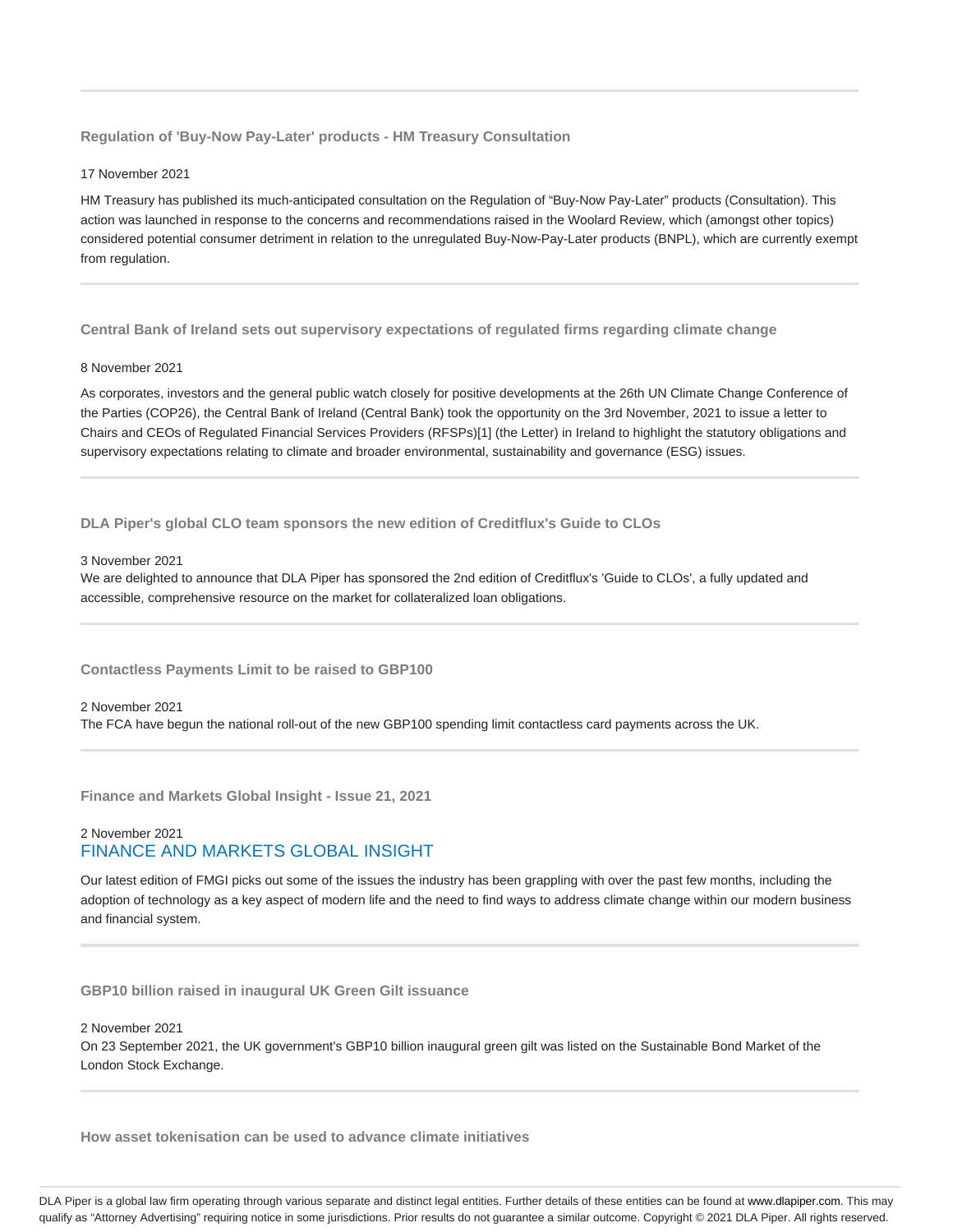**Regulation of 'Buy-Now Pay-Later' products - HM Treasury Consultation**

17 November 2021

HM Treasury has published its much-anticipated consultation on the Regulation of "Buy-Now Pay-Later" products (Consultation). This action was launched in response to the concerns and recommendations raised in the Woolard Review, which (amongst other topics) considered potential consumer detriment in relation to the unregulated Buy-Now-Pay-Later products (BNPL), which are currently exempt from regulation.

**Central Bank of Ireland sets out supervisory expectations of regulated firms regarding climate change**

#### 8 November 2021

As corporates, investors and the general public watch closely for positive developments at the 26th UN Climate Change Conference of the Parties (COP26), the Central Bank of Ireland (Central Bank) took the opportunity on the 3rd November, 2021 to issue a letter to Chairs and CEOs of Regulated Financial Services Providers (RFSPs)[1] (the Letter) in Ireland to highlight the statutory obligations and supervisory expectations relating to climate and broader environmental, sustainability and governance (ESG) issues.

**DLA Piper's global CLO team sponsors the new edition of Creditflux's Guide to CLOs**

#### 3 November 2021

We are delighted to announce that DLA Piper has sponsored the 2nd edition of Creditflux's 'Guide to CLOs', a fully updated and accessible, comprehensive resource on the market for collateralized loan obligations.

**Contactless Payments Limit to be raised to GBP100**

#### 2 November 2021

The FCA have begun the national roll-out of the new GBP100 spending limit contactless card payments across the UK.

**Finance and Markets Global Insight - Issue 21, 2021**

# 2 November 2021 FINANCE AND MARKETS GLOBAL INSIGHT

Our latest edition of FMGI picks out some of the issues the industry has been grappling with over the past few months, including the adoption of technology as a key aspect of modern life and the need to find ways to address climate change within our modern business and financial system.

**GBP10 billion raised in inaugural UK Green Gilt issuance**

2 November 2021

On 23 September 2021, the UK government's GBP10 billion inaugural green gilt was listed on the Sustainable Bond Market of the London Stock Exchange.

**How asset tokenisation can be used to advance climate initiatives**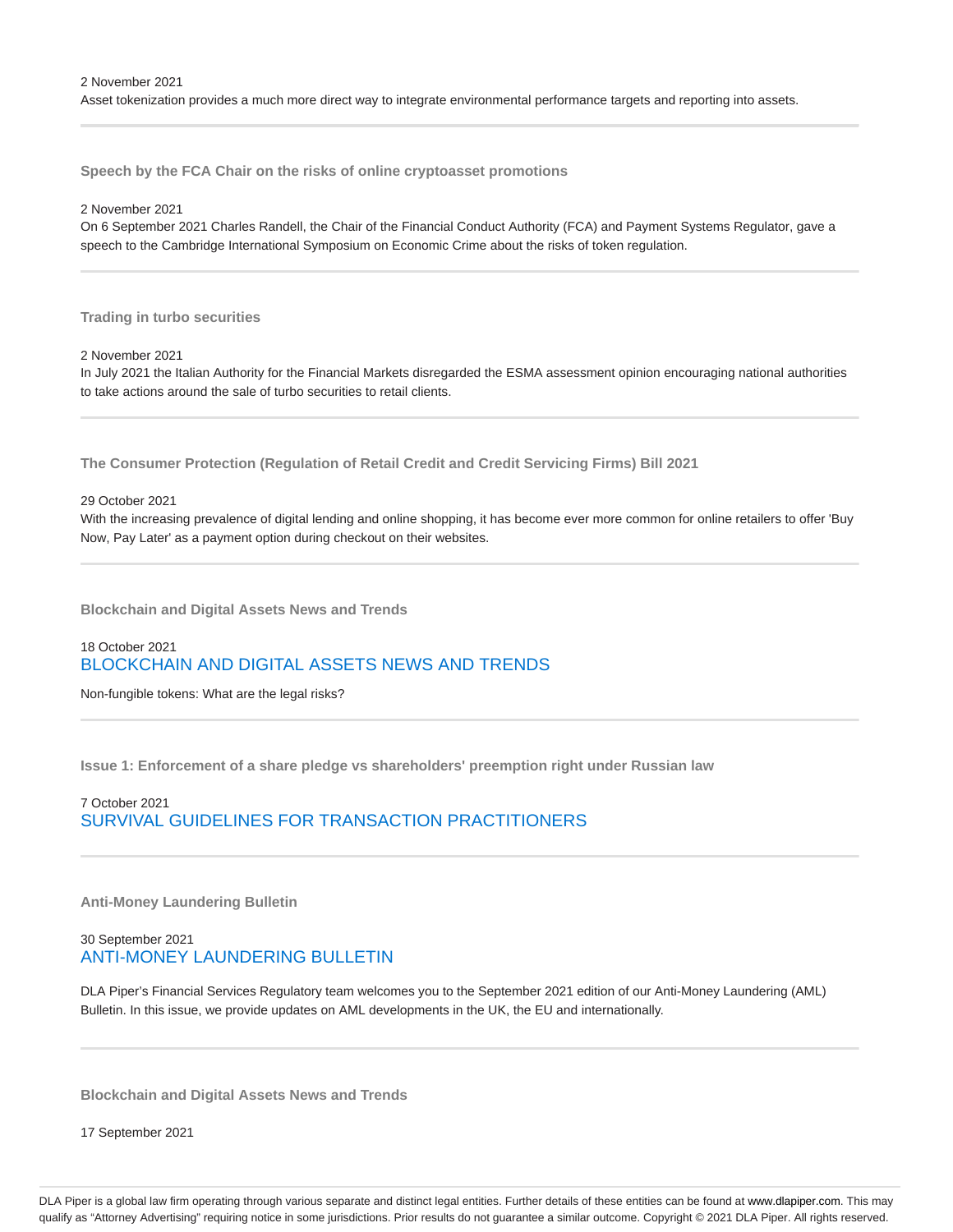**Speech by the FCA Chair on the risks of online cryptoasset promotions**

2 November 2021

On 6 September 2021 Charles Randell, the Chair of the Financial Conduct Authority (FCA) and Payment Systems Regulator, gave a speech to the Cambridge International Symposium on Economic Crime about the risks of token regulation.

**Trading in turbo securities**

2 November 2021

In July 2021 the Italian Authority for the Financial Markets disregarded the ESMA assessment opinion encouraging national authorities to take actions around the sale of turbo securities to retail clients.

**The Consumer Protection (Regulation of Retail Credit and Credit Servicing Firms) Bill 2021**

29 October 2021

With the increasing prevalence of digital lending and online shopping, it has become ever more common for online retailers to offer 'Buy Now, Pay Later' as a payment option during checkout on their websites.

**Blockchain and Digital Assets News and Trends**

# 18 October 2021 BLOCKCHAIN AND DIGITAL ASSETS NEWS AND TRENDS

Non-fungible tokens: What are the legal risks?

**Issue 1: Enforcement of a share pledge vs shareholders' preemption right under Russian law**

7 October 2021 SURVIVAL GUIDELINES FOR TRANSACTION PRACTITIONERS

**Anti-Money Laundering Bulletin**

30 September 2021 ANTI-MONEY LAUNDERING BULLETIN

DLA Piper's Financial Services Regulatory team welcomes you to the September 2021 edition of our Anti-Money Laundering (AML) Bulletin. In this issue, we provide updates on AML developments in the UK, the EU and internationally.

**Blockchain and Digital Assets News and Trends**

17 September 2021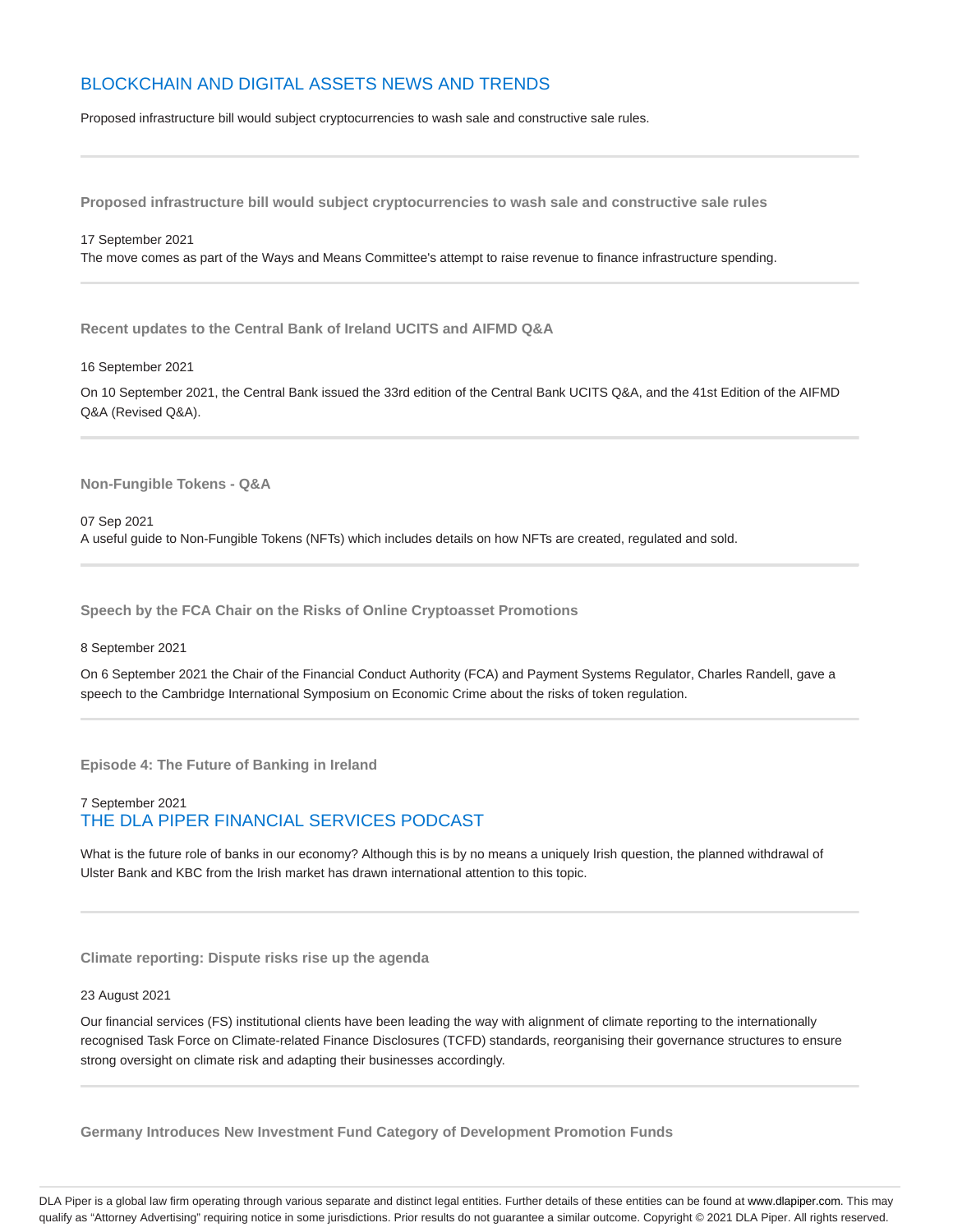# BLOCKCHAIN AND DIGITAL ASSETS NEWS AND TRENDS

Proposed infrastructure bill would subject cryptocurrencies to wash sale and constructive sale rules.

**Proposed infrastructure bill would subject cryptocurrencies to wash sale and constructive sale rules**

#### 17 September 2021

The move comes as part of the Ways and Means Committee's attempt to raise revenue to finance infrastructure spending.

**Recent updates to the Central Bank of Ireland UCITS and AIFMD Q&A**

16 September 2021

On 10 September 2021, the Central Bank issued the 33rd edition of the Central Bank UCITS Q&A, and the 41st Edition of the AIFMD Q&A (Revised Q&A).

**Non-Fungible Tokens - Q&A**

07 Sep 2021 A useful guide to Non-Fungible Tokens (NFTs) which includes details on how NFTs are created, regulated and sold.

**Speech by the FCA Chair on the Risks of Online Cryptoasset Promotions**

### 8 September 2021

On 6 September 2021 the Chair of the Financial Conduct Authority (FCA) and Payment Systems Regulator, Charles Randell, gave a speech to the Cambridge International Symposium on Economic Crime about the risks of token regulation.

**Episode 4: The Future of Banking in Ireland**

# 7 September 2021 THE DLA PIPER FINANCIAL SERVICES PODCAST

What is the future role of banks in our economy? Although this is by no means a uniquely Irish question, the planned withdrawal of Ulster Bank and KBC from the Irish market has drawn international attention to this topic.

**Climate reporting: Dispute risks rise up the agenda**

## 23 August 2021

Our financial services (FS) institutional clients have been leading the way with alignment of climate reporting to the internationally recognised Task Force on Climate-related Finance Disclosures (TCFD) standards, reorganising their governance structures to ensure strong oversight on climate risk and adapting their businesses accordingly.

**Germany Introduces New Investment Fund Category of Development Promotion Funds**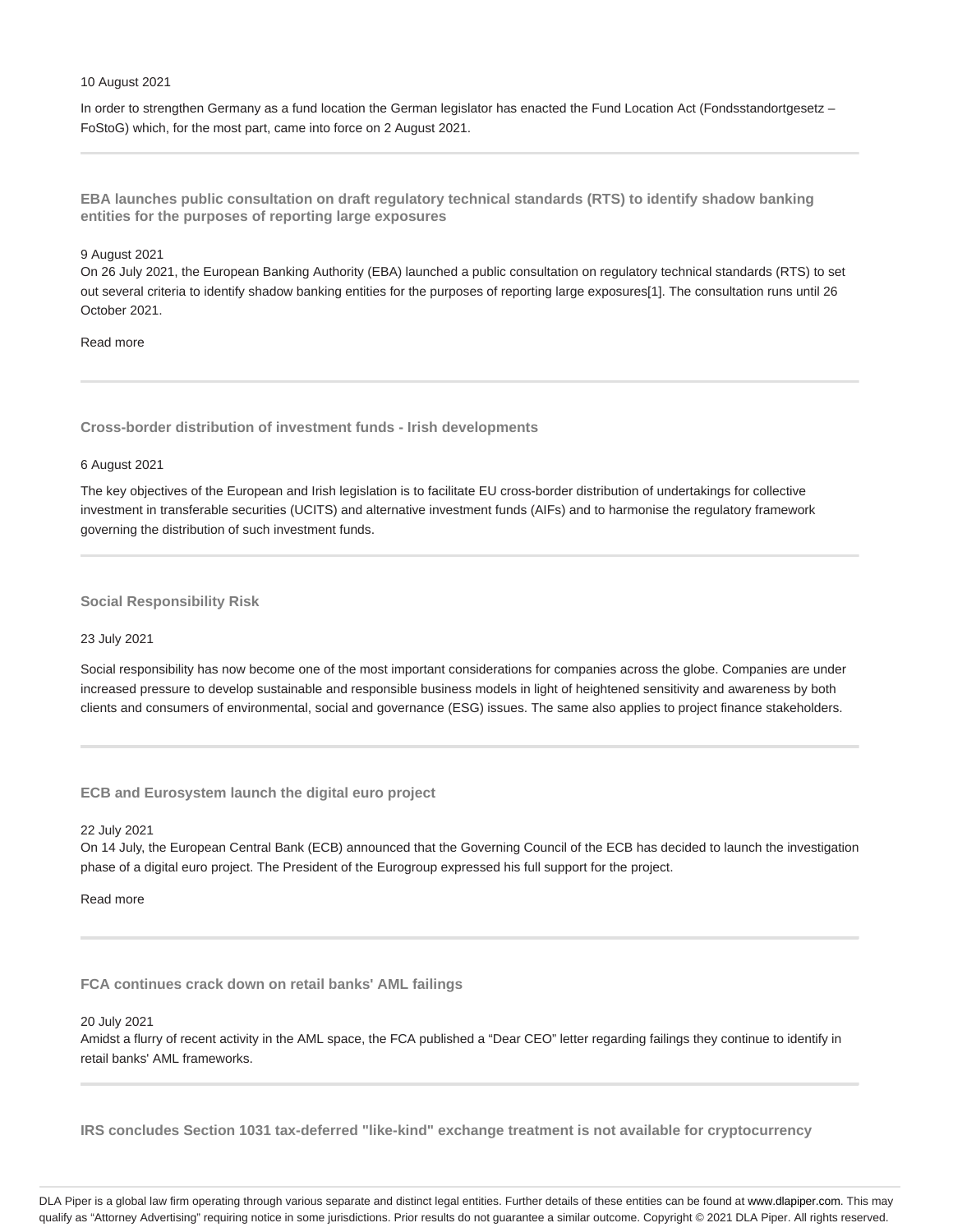#### 10 August 2021

In order to strengthen Germany as a fund location the German legislator has enacted the Fund Location Act (Fondsstandortgesetz -FoStoG) which, for the most part, came into force on 2 August 2021.

**EBA launches public consultation on draft regulatory technical standards (RTS) to identify shadow banking entities for the purposes of reporting large exposures**

## 9 August 2021

On 26 July 2021, the European Banking Authority (EBA) launched a public consultation on regulatory technical standards (RTS) to set out several criteria to identify shadow banking entities for the purposes of reporting large exposures[1]. The consultation runs until 26 October 2021.

# Read more

**Cross-border distribution of investment funds - Irish developments**

#### 6 August 2021

The key objectives of the European and Irish legislation is to facilitate EU cross-border distribution of undertakings for collective investment in transferable securities (UCITS) and alternative investment funds (AIFs) and to harmonise the regulatory framework governing the distribution of such investment funds.

### **Social Responsibility Risk**

#### 23 July 2021

Social responsibility has now become one of the most important considerations for companies across the globe. Companies are under increased pressure to develop sustainable and responsible business models in light of heightened sensitivity and awareness by both clients and consumers of environmental, social and governance (ESG) issues. The same also applies to project finance stakeholders.

**ECB and Eurosystem launch the digital euro project**

### 22 July 2021

On 14 July, the European Central Bank (ECB) announced that the Governing Council of the ECB has decided to launch the investigation phase of a digital euro project. The President of the Eurogroup expressed his full support for the project.

# Read more

**FCA continues crack down on retail banks' AML failings**

#### 20 July 2021

Amidst a flurry of recent activity in the AML space, the FCA published a "Dear CEO" letter regarding failings they continue to identify in retail banks' AML frameworks.

**IRS concludes Section 1031 tax-deferred "like-kind" exchange treatment is not available for cryptocurrency**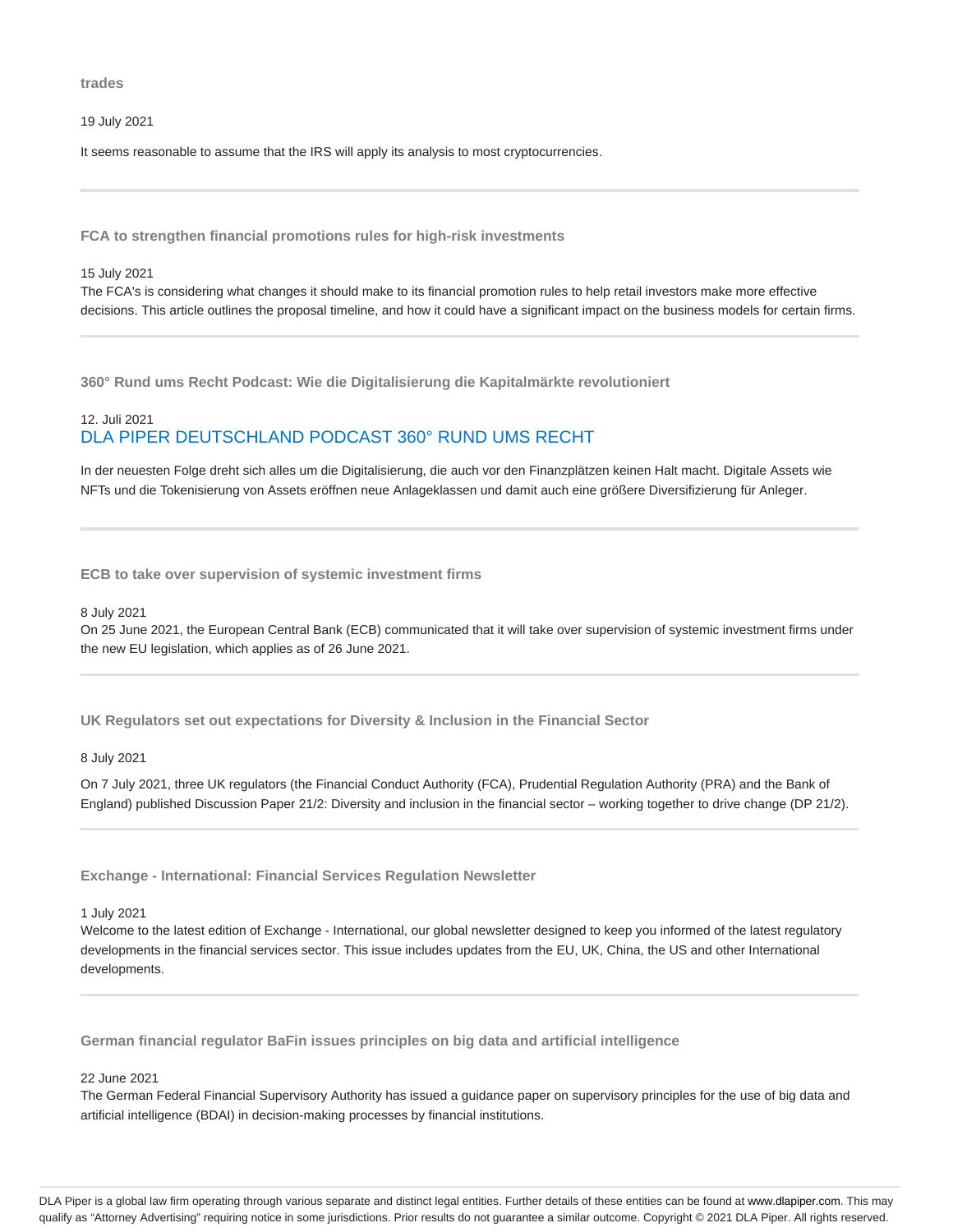**trades**

19 July 2021

It seems reasonable to assume that the IRS will apply its analysis to most cryptocurrencies.

**FCA to strengthen financial promotions rules for high-risk investments**

#### 15 July 2021

The FCA's is considering what changes it should make to its financial promotion rules to help retail investors make more effective decisions. This article outlines the proposal timeline, and how it could have a significant impact on the business models for certain firms.

**360° Rund ums Recht Podcast: Wie die Digitalisierung die Kapitalmärkte revolutioniert**

# 12. Juli 2021 DLA PIPER DEUTSCHLAND PODCAST 360° RUND UMS RECHT

In der neuesten Folge dreht sich alles um die Digitalisierung, die auch vor den Finanzplätzen keinen Halt macht. Digitale Assets wie NFTs und die Tokenisierung von Assets eröffnen neue Anlageklassen und damit auch eine größere Diversifizierung für Anleger.

**ECB to take over supervision of systemic investment firms**

#### 8 July 2021

On 25 June 2021, the European Central Bank (ECB) communicated that it will take over supervision of systemic investment firms under the new EU legislation, which applies as of 26 June 2021.

**UK Regulators set out expectations for Diversity & Inclusion in the Financial Sector**

#### 8 July 2021

On 7 July 2021, three UK regulators (the Financial Conduct Authority (FCA), Prudential Regulation Authority (PRA) and the Bank of England) published Discussion Paper 21/2: Diversity and inclusion in the financial sector – working together to drive change (DP 21/2).

**Exchange - International: Financial Services Regulation Newsletter**

1 July 2021

Welcome to the latest edition of Exchange - International, our global newsletter designed to keep you informed of the latest regulatory developments in the financial services sector. This issue includes updates from the EU, UK, China, the US and other International developments.

**German financial regulator BaFin issues principles on big data and artificial intelligence**

#### 22 June 2021

The German Federal Financial Supervisory Authority has issued a guidance paper on supervisory principles for the use of big data and artificial intelligence (BDAI) in decision-making processes by financial institutions.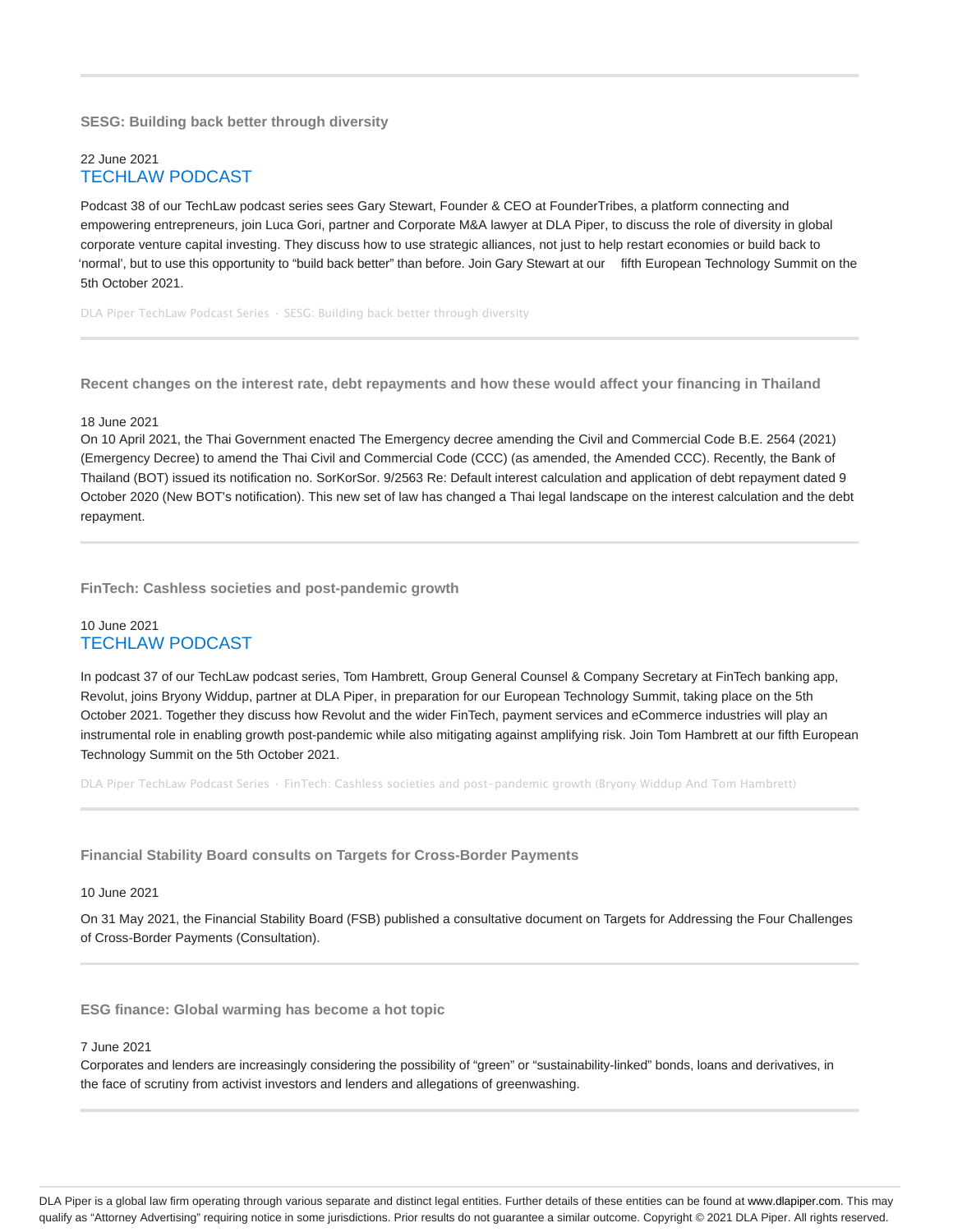# **SESG: Building back better through diversity**

# 22 June 2021 TECHLAW PODCAST

Podcast 38 of our TechLaw podcast series sees Gary Stewart, Founder & CEO at FounderTribes, a platform connecting and empowering entrepreneurs, join Luca Gori, partner and Corporate M&A lawyer at DLA Piper, to discuss the role of diversity in global corporate venture capital investing. They discuss how to use strategic alliances, not just to help restart economies or build back to 'normal', but to use this opportunity to "build back better" than before. Join Gary Stewart at our fifth European Technology Summit on the 5th October 2021.

DLA Piper TechLaw Podcast Series · SESG: Building back better through diversity

**Recent changes on the interest rate, debt repayments and how these would affect your financing in Thailand**

#### 18 June 2021

On 10 April 2021, the Thai Government enacted The Emergency decree amending the Civil and Commercial Code B.E. 2564 (2021) (Emergency Decree) to amend the Thai Civil and Commercial Code (CCC) (as amended, the Amended CCC). Recently, the Bank of Thailand (BOT) issued its notification no. SorKorSor. 9/2563 Re: Default interest calculation and application of debt repayment dated 9 October 2020 (New BOT's notification). This new set of law has changed a Thai legal landscape on the interest calculation and the debt repayment.

**FinTech: Cashless societies and post-pandemic growth**

# 10 June 2021 TECHLAW PODCAST

In podcast 37 of our TechLaw podcast series, Tom Hambrett, Group General Counsel & Company Secretary at FinTech banking app, Revolut, joins Bryony Widdup, partner at DLA Piper, in preparation for our European Technology Summit, taking place on the 5th October 2021. Together they discuss how Revolut and the wider FinTech, payment services and eCommerce industries will play an instrumental role in enabling growth post-pandemic while also mitigating against amplifying risk. Join Tom Hambrett at our fifth European Technology Summit on the 5th October 2021.

DLA Piper TechLaw Podcast Series · FinTech: Cashless societies and post-pandemic growth (Bryony Widdup And Tom Hambrett)

# **Financial Stability Board consults on Targets for Cross-Border Payments**

#### 10 June 2021

On 31 May 2021, the Financial Stability Board (FSB) published a consultative document on Targets for Addressing the Four Challenges of Cross-Border Payments (Consultation).

**ESG finance: Global warming has become a hot topic**

#### 7 June 2021

Corporates and lenders are increasingly considering the possibility of "green" or "sustainability-linked" bonds, loans and derivatives, in the face of scrutiny from activist investors and lenders and allegations of greenwashing.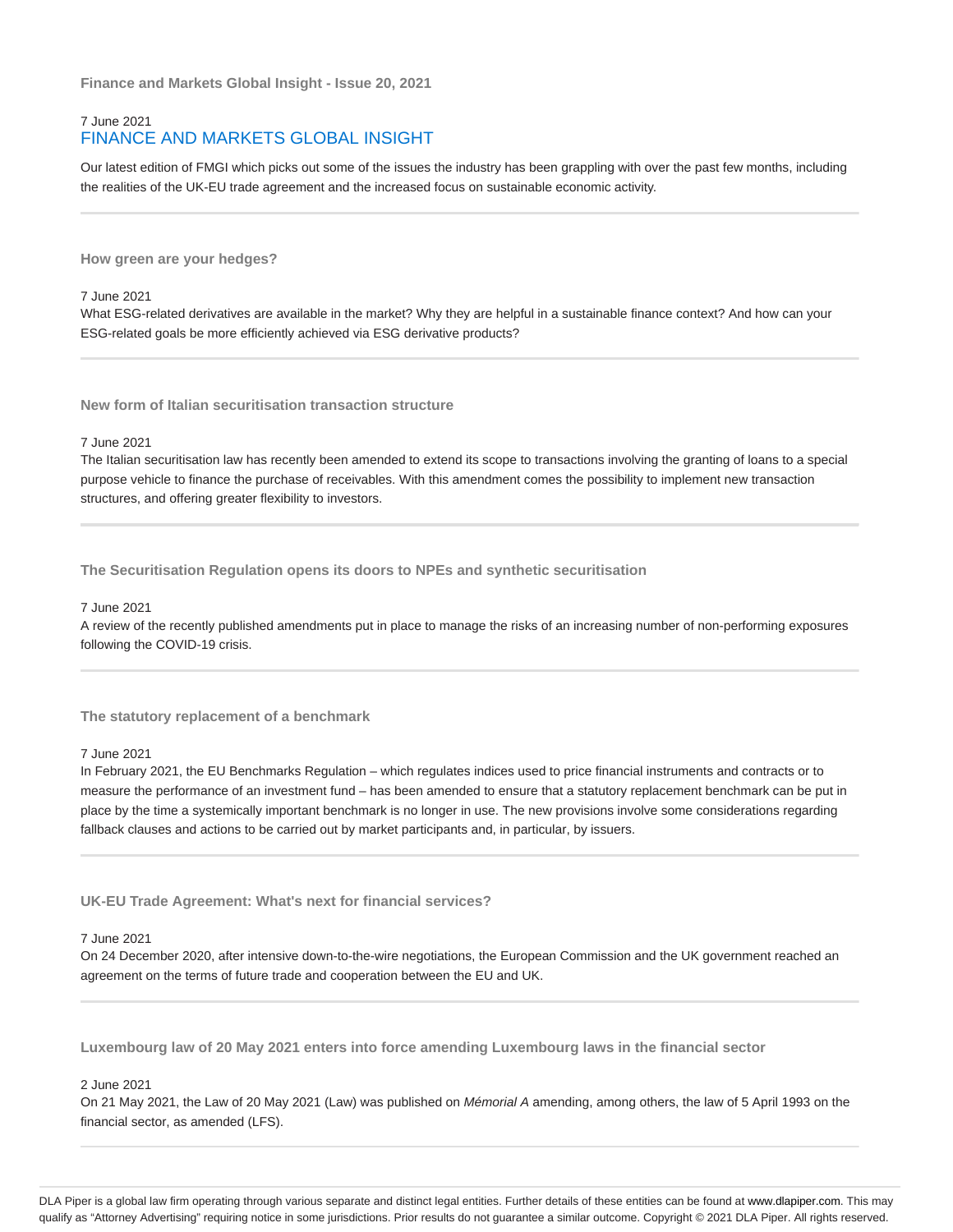**Finance and Markets Global Insight - Issue 20, 2021**

# 7 June 2021 FINANCE AND MARKETS GLOBAL INSIGHT

Our latest edition of FMGI which picks out some of the issues the industry has been grappling with over the past few months, including the realities of the UK-EU trade agreement and the increased focus on sustainable economic activity.

**How green are your hedges?**

#### 7 June 2021

What ESG-related derivatives are available in the market? Why they are helpful in a sustainable finance context? And how can your ESG-related goals be more efficiently achieved via ESG derivative products?

**New form of Italian securitisation transaction structure**

#### 7 June 2021

The Italian securitisation law has recently been amended to extend its scope to transactions involving the granting of loans to a special purpose vehicle to finance the purchase of receivables. With this amendment comes the possibility to implement new transaction structures, and offering greater flexibility to investors.

**The Securitisation Regulation opens its doors to NPEs and synthetic securitisation**

### 7 June 2021

A review of the recently published amendments put in place to manage the risks of an increasing number of non-performing exposures following the COVID-19 crisis.

**The statutory replacement of a benchmark**

#### 7 June 2021

In February 2021, the EU Benchmarks Regulation – which regulates indices used to price financial instruments and contracts or to measure the performance of an investment fund – has been amended to ensure that a statutory replacement benchmark can be put in place by the time a systemically important benchmark is no longer in use. The new provisions involve some considerations regarding fallback clauses and actions to be carried out by market participants and, in particular, by issuers.

**UK-EU Trade Agreement: What's next for financial services?**

# 7 June 2021

On 24 December 2020, after intensive down-to-the-wire negotiations, the European Commission and the UK government reached an agreement on the terms of future trade and cooperation between the EU and UK.

**Luxembourg law of 20 May 2021 enters into force amending Luxembourg laws in the financial sector**

### 2 June 2021

On 21 May 2021, the Law of 20 May 2021 (Law) was published on Mémorial A amending, among others, the law of 5 April 1993 on the financial sector, as amended (LFS).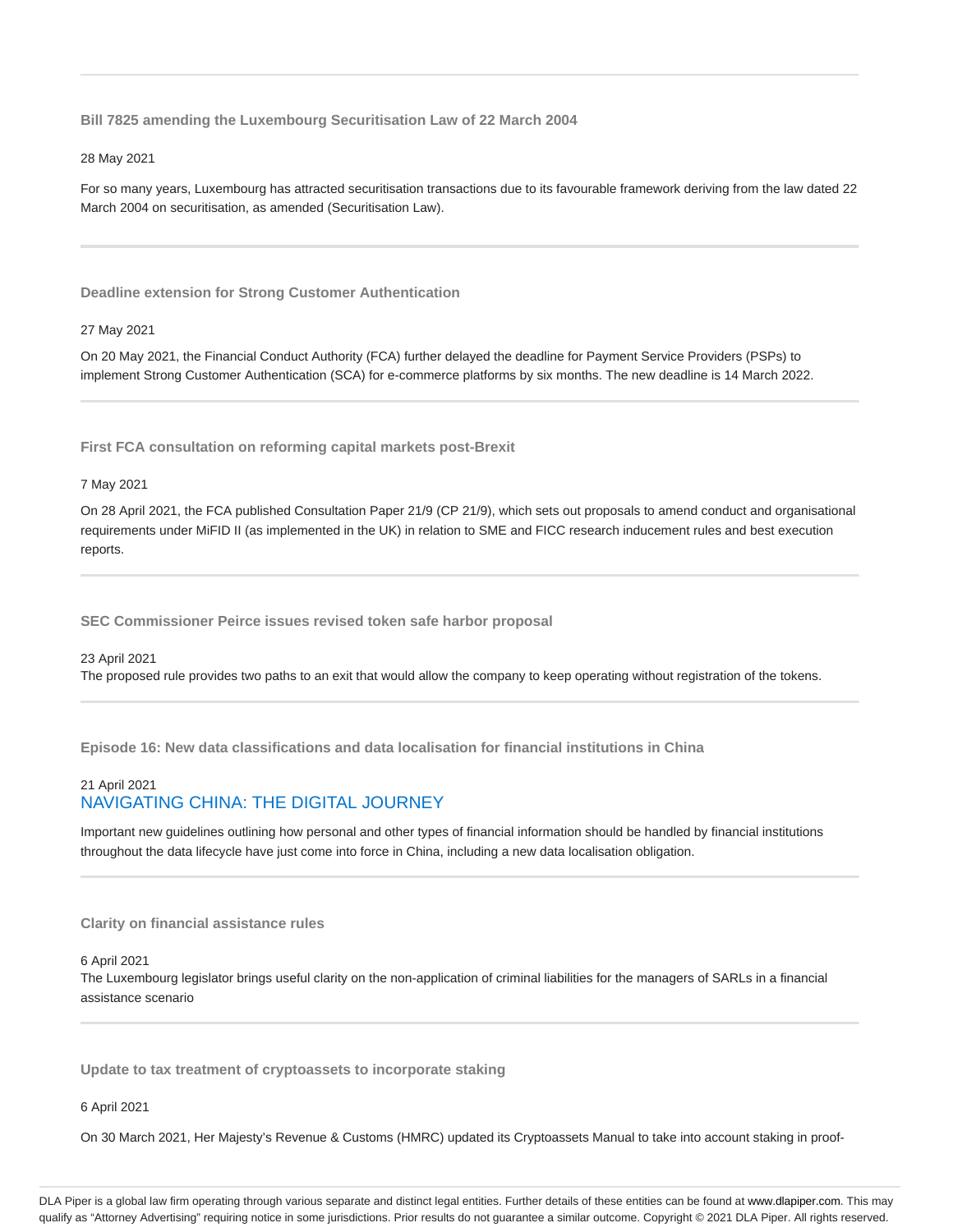**Bill 7825 amending the Luxembourg Securitisation Law of 22 March 2004**

#### 28 May 2021

For so many years, Luxembourg has attracted securitisation transactions due to its favourable framework deriving from the law dated 22 March 2004 on securitisation, as amended (Securitisation Law).

**Deadline extension for Strong Customer Authentication**

#### 27 May 2021

On 20 May 2021, the Financial Conduct Authority (FCA) further delayed the deadline for Payment Service Providers (PSPs) to implement Strong Customer Authentication (SCA) for e-commerce platforms by six months. The new deadline is 14 March 2022.

**First FCA consultation on reforming capital markets post-Brexit**

#### 7 May 2021

On 28 April 2021, the FCA published Consultation Paper 21/9 (CP 21/9), which sets out proposals to amend conduct and organisational requirements under MiFID II (as implemented in the UK) in relation to SME and FICC research inducement rules and best execution reports.

**SEC Commissioner Peirce issues revised token safe harbor proposal**

#### 23 April 2021

The proposed rule provides two paths to an exit that would allow the company to keep operating without registration of the tokens.

**Episode 16: New data classifications and data localisation for financial institutions in China**

# 21 April 2021 NAVIGATING CHINA: THE DIGITAL JOURNEY

Important new guidelines outlining how personal and other types of financial information should be handled by financial institutions throughout the data lifecycle have just come into force in China, including a new data localisation obligation.

# **Clarity on financial assistance rules**

### 6 April 2021

The Luxembourg legislator brings useful clarity on the non-application of criminal liabilities for the managers of SARLs in a financial assistance scenario

**Update to tax treatment of cryptoassets to incorporate staking**

6 April 2021

On 30 March 2021, Her Majesty's Revenue & Customs (HMRC) updated its Cryptoassets Manual to take into account staking in proof-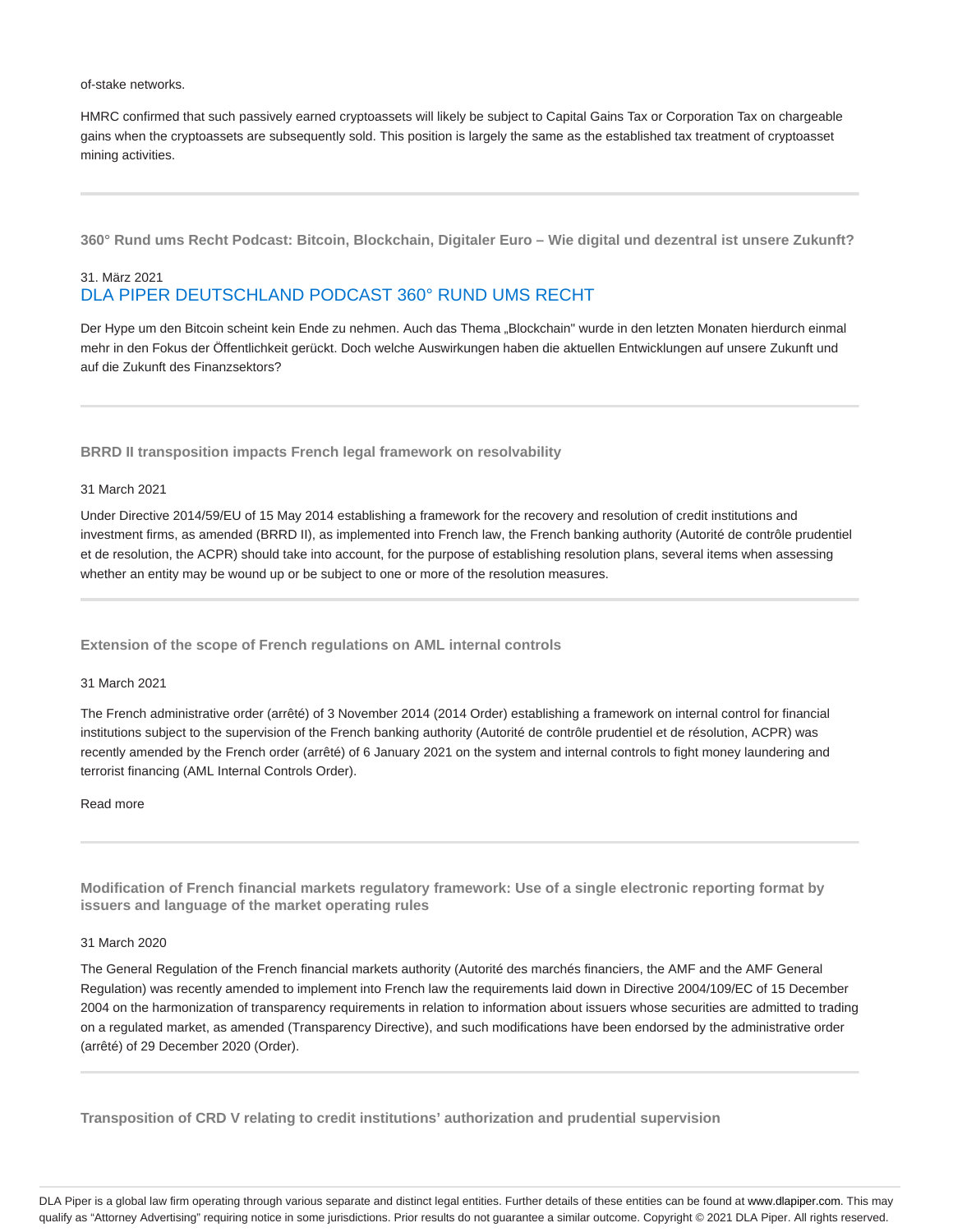of-stake networks.

HMRC confirmed that such passively earned cryptoassets will likely be subject to Capital Gains Tax or Corporation Tax on chargeable gains when the cryptoassets are subsequently sold. This position is largely the same as the established tax treatment of cryptoasset mining activities.

**360° Rund ums Recht Podcast: Bitcoin, Blockchain, Digitaler Euro – Wie digital und dezentral ist unsere Zukunft?**

# 31. März 2021 DLA PIPER DEUTSCHLAND PODCAST 360° RUND UMS RECHT

Der Hype um den Bitcoin scheint kein Ende zu nehmen. Auch das Thema "Blockchain" wurde in den letzten Monaten hierdurch einmal mehr in den Fokus der Öffentlichkeit gerückt. Doch welche Auswirkungen haben die aktuellen Entwicklungen auf unsere Zukunft und auf die Zukunft des Finanzsektors?

**BRRD II transposition impacts French legal framework on resolvability**

#### 31 March 2021

Under Directive 2014/59/EU of 15 May 2014 establishing a framework for the recovery and resolution of credit institutions and investment firms, as amended (BRRD II), as implemented into French law, the French banking authority (Autorité de contrôle prudentiel et de resolution, the ACPR) should take into account, for the purpose of establishing resolution plans, several items when assessing whether an entity may be wound up or be subject to one or more of the resolution measures.

**Extension of the scope of French regulations on AML internal controls**

### 31 March 2021

The French administrative order (arrêté) of 3 November 2014 (2014 Order) establishing a framework on internal control for financial institutions subject to the supervision of the French banking authority (Autorité de contrôle prudentiel et de résolution, ACPR) was recently amended by the French order (arrêté) of 6 January 2021 on the system and internal controls to fight money laundering and terrorist financing (AML Internal Controls Order).

#### Read more

**Modification of French financial markets regulatory framework: Use of a single electronic reporting format by issuers and language of the market operating rules**

#### 31 March 2020

The General Regulation of the French financial markets authority (Autorité des marchés financiers, the AMF and the AMF General Regulation) was recently amended to implement into French law the requirements laid down in Directive 2004/109/EC of 15 December 2004 on the harmonization of transparency requirements in relation to information about issuers whose securities are admitted to trading on a regulated market, as amended (Transparency Directive), and such modifications have been endorsed by the administrative order (arrêté) of 29 December 2020 (Order).

**Transposition of CRD V relating to credit institutions' authorization and prudential supervision**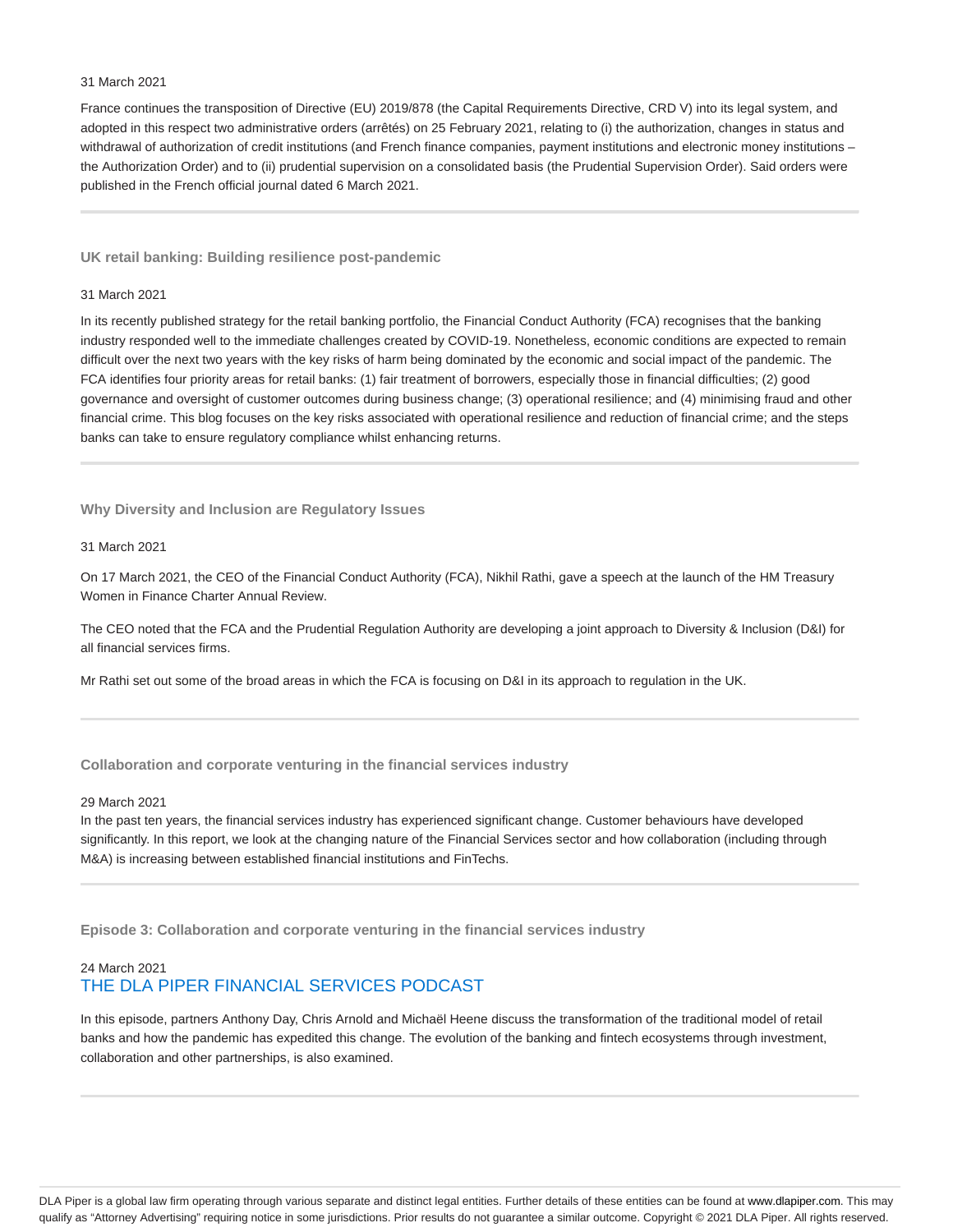#### 31 March 2021

France continues the transposition of Directive (EU) 2019/878 (the Capital Requirements Directive, CRD V) into its legal system, and adopted in this respect two administrative orders (arrêtés) on 25 February 2021, relating to (i) the authorization, changes in status and withdrawal of authorization of credit institutions (and French finance companies, payment institutions and electronic money institutions the Authorization Order) and to (ii) prudential supervision on a consolidated basis (the Prudential Supervision Order). Said orders were published in the French official journal dated 6 March 2021.

#### **UK retail banking: Building resilience post-pandemic**

#### 31 March 2021

In its recently published strategy for the retail banking portfolio, the Financial Conduct Authority (FCA) recognises that the banking industry responded well to the immediate challenges created by COVID-19. Nonetheless, economic conditions are expected to remain difficult over the next two years with the key risks of harm being dominated by the economic and social impact of the pandemic. The FCA identifies four priority areas for retail banks: (1) fair treatment of borrowers, especially those in financial difficulties; (2) good governance and oversight of customer outcomes during business change; (3) operational resilience; and (4) minimising fraud and other financial crime. This blog focuses on the key risks associated with operational resilience and reduction of financial crime; and the steps banks can take to ensure regulatory compliance whilst enhancing returns.

**Why Diversity and Inclusion are Regulatory Issues**

### 31 March 2021

On 17 March 2021, the CEO of the Financial Conduct Authority (FCA), Nikhil Rathi, gave a speech at the launch of the HM Treasury Women in Finance Charter Annual Review.

The CEO noted that the FCA and the Prudential Regulation Authority are developing a joint approach to Diversity & Inclusion (D&I) for all financial services firms.

Mr Rathi set out some of the broad areas in which the FCA is focusing on D&I in its approach to regulation in the UK.

### **Collaboration and corporate venturing in the financial services industry**

#### 29 March 2021

In the past ten years, the financial services industry has experienced significant change. Customer behaviours have developed significantly. In this report, we look at the changing nature of the Financial Services sector and how collaboration (including through M&A) is increasing between established financial institutions and FinTechs.

**Episode 3: Collaboration and corporate venturing in the financial services industry**

# 24 March 2021 THE DLA PIPER FINANCIAL SERVICES PODCAST

In this episode, partners Anthony Day, Chris Arnold and Michaël Heene discuss the transformation of the traditional model of retail banks and how the pandemic has expedited this change. The evolution of the banking and fintech ecosystems through investment, collaboration and other partnerships, is also examined.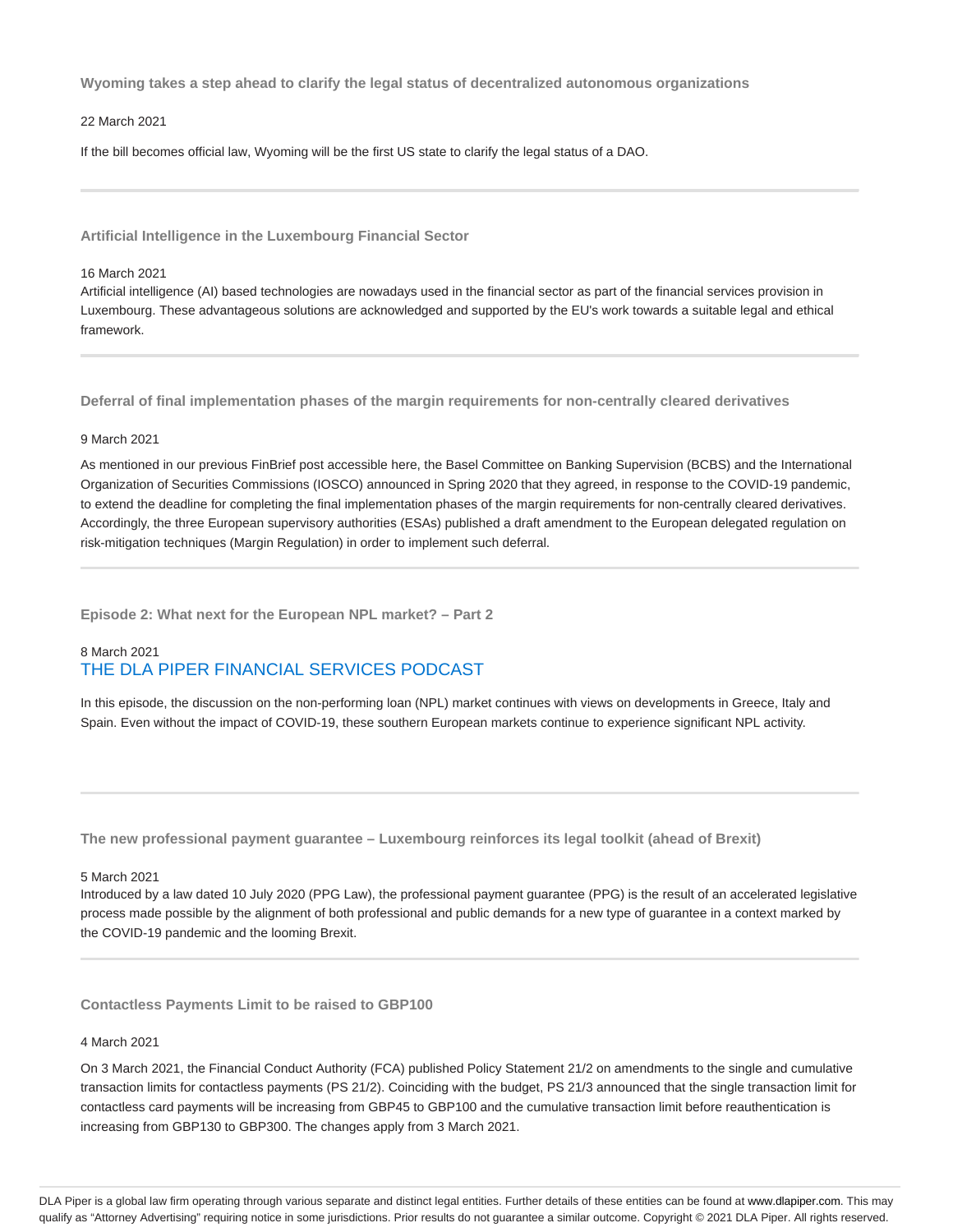**Wyoming takes a step ahead to clarify the legal status of decentralized autonomous organizations**

#### 22 March 2021

If the bill becomes official law, Wyoming will be the first US state to clarify the legal status of a DAO.

**Artificial Intelligence in the Luxembourg Financial Sector**

#### 16 March 2021

Artificial intelligence (AI) based technologies are nowadays used in the financial sector as part of the financial services provision in Luxembourg. These advantageous solutions are acknowledged and supported by the EU's work towards a suitable legal and ethical framework.

**Deferral of final implementation phases of the margin requirements for non-centrally cleared derivatives**

#### 9 March 2021

As mentioned in our previous FinBrief post accessible here, the Basel Committee on Banking Supervision (BCBS) and the International Organization of Securities Commissions (IOSCO) announced in Spring 2020 that they agreed, in response to the COVID-19 pandemic, to extend the deadline for completing the final implementation phases of the margin requirements for non-centrally cleared derivatives. Accordingly, the three European supervisory authorities (ESAs) published a draft amendment to the European delegated regulation on risk-mitigation techniques (Margin Regulation) in order to implement such deferral.

**Episode 2: What next for the European NPL market? – Part 2**

# 8 March 2021 THE DLA PIPER FINANCIAL SERVICES PODCAST

In this episode, the discussion on the non-performing loan (NPL) market continues with views on developments in Greece, Italy and Spain. Even without the impact of COVID-19, these southern European markets continue to experience significant NPL activity.

**The new professional payment guarantee – Luxembourg reinforces its legal toolkit (ahead of Brexit)**

#### 5 March 2021

Introduced by a law dated 10 July 2020 (PPG Law), the professional payment guarantee (PPG) is the result of an accelerated legislative process made possible by the alignment of both professional and public demands for a new type of guarantee in a context marked by the COVID-19 pandemic and the looming Brexit.

**Contactless Payments Limit to be raised to GBP100**

### 4 March 2021

On 3 March 2021, the Financial Conduct Authority (FCA) published Policy Statement 21/2 on amendments to the single and cumulative transaction limits for contactless payments (PS 21/2). Coinciding with the budget, PS 21/3 announced that the single transaction limit for contactless card payments will be increasing from GBP45 to GBP100 and the cumulative transaction limit before reauthentication is increasing from GBP130 to GBP300. The changes apply from 3 March 2021.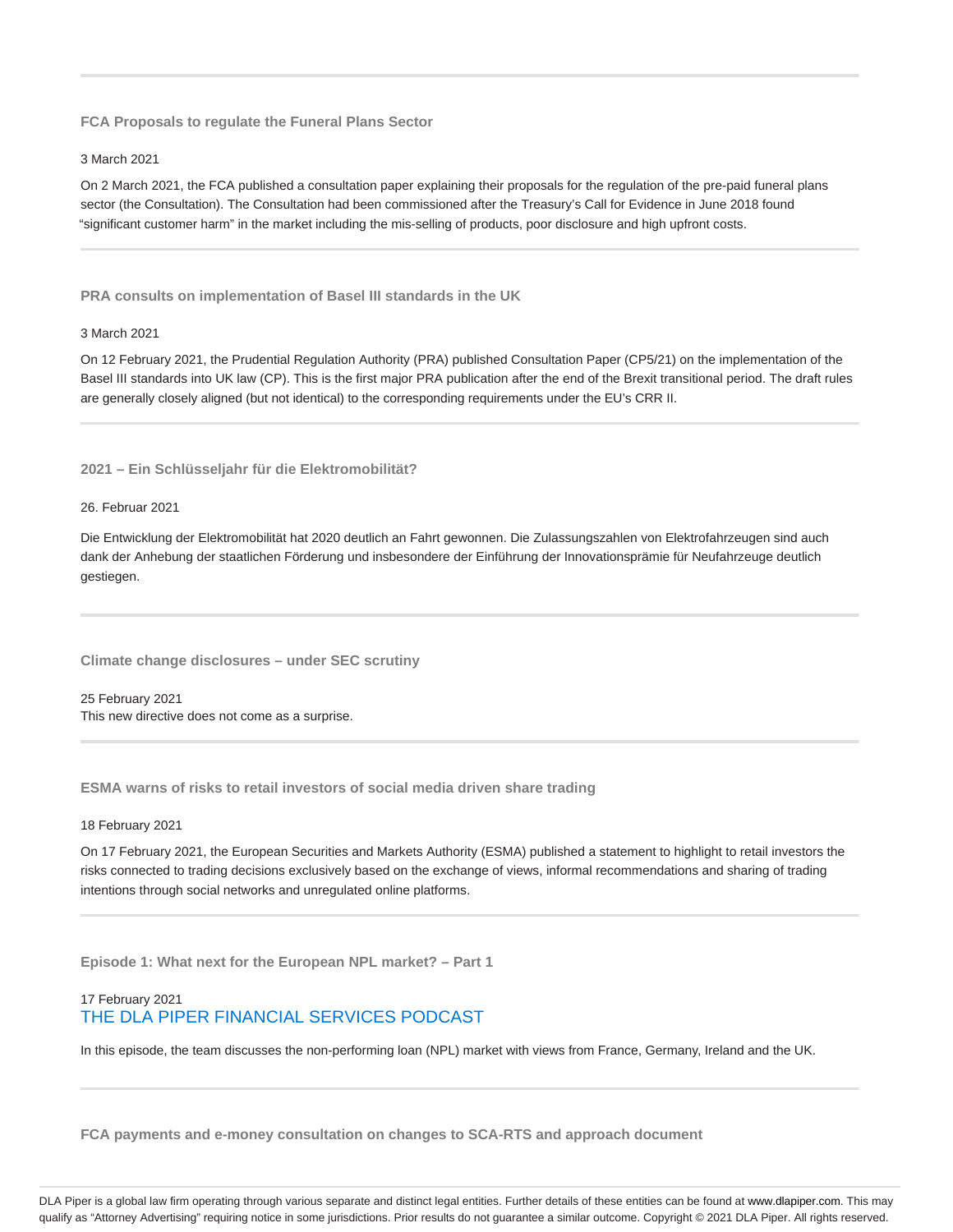**FCA Proposals to regulate the Funeral Plans Sector**

#### 3 March 2021

On 2 March 2021, the FCA published a consultation paper explaining their proposals for the regulation of the pre-paid funeral plans sector (the Consultation). The Consultation had been commissioned after the Treasury's Call for Evidence in June 2018 found "significant customer harm" in the market including the mis-selling of products, poor disclosure and high upfront costs.

**PRA consults on implementation of Basel III standards in the UK**

#### 3 March 2021

On 12 February 2021, the Prudential Regulation Authority (PRA) published Consultation Paper (CP5/21) on the implementation of the Basel III standards into UK law (CP). This is the first major PRA publication after the end of the Brexit transitional period. The draft rules are generally closely aligned (but not identical) to the corresponding requirements under the EU's CRR II.

# **2021 – Ein Schlüsseljahr für die Elektromobilität?**

#### 26. Februar 2021

Die Entwicklung der Elektromobilität hat 2020 deutlich an Fahrt gewonnen. Die Zulassungszahlen von Elektrofahrzeugen sind auch dank der Anhebung der staatlichen Förderung und insbesondere der Einführung der Innovationsprämie für Neufahrzeuge deutlich gestiegen.

**Climate change disclosures – under SEC scrutiny**

25 February 2021 This new directive does not come as a surprise.

**ESMA warns of risks to retail investors of social media driven share trading**

18 February 2021

On 17 February 2021, the European Securities and Markets Authority (ESMA) published a statement to highlight to retail investors the risks connected to trading decisions exclusively based on the exchange of views, informal recommendations and sharing of trading intentions through social networks and unregulated online platforms.

**Episode 1: What next for the European NPL market? – Part 1**

# 17 February 2021 THE DLA PIPER FINANCIAL SERVICES PODCAST

In this episode, the team discusses the non-performing loan (NPL) market with views from France, Germany, Ireland and the UK.

**FCA payments and e-money consultation on changes to SCA-RTS and approach document**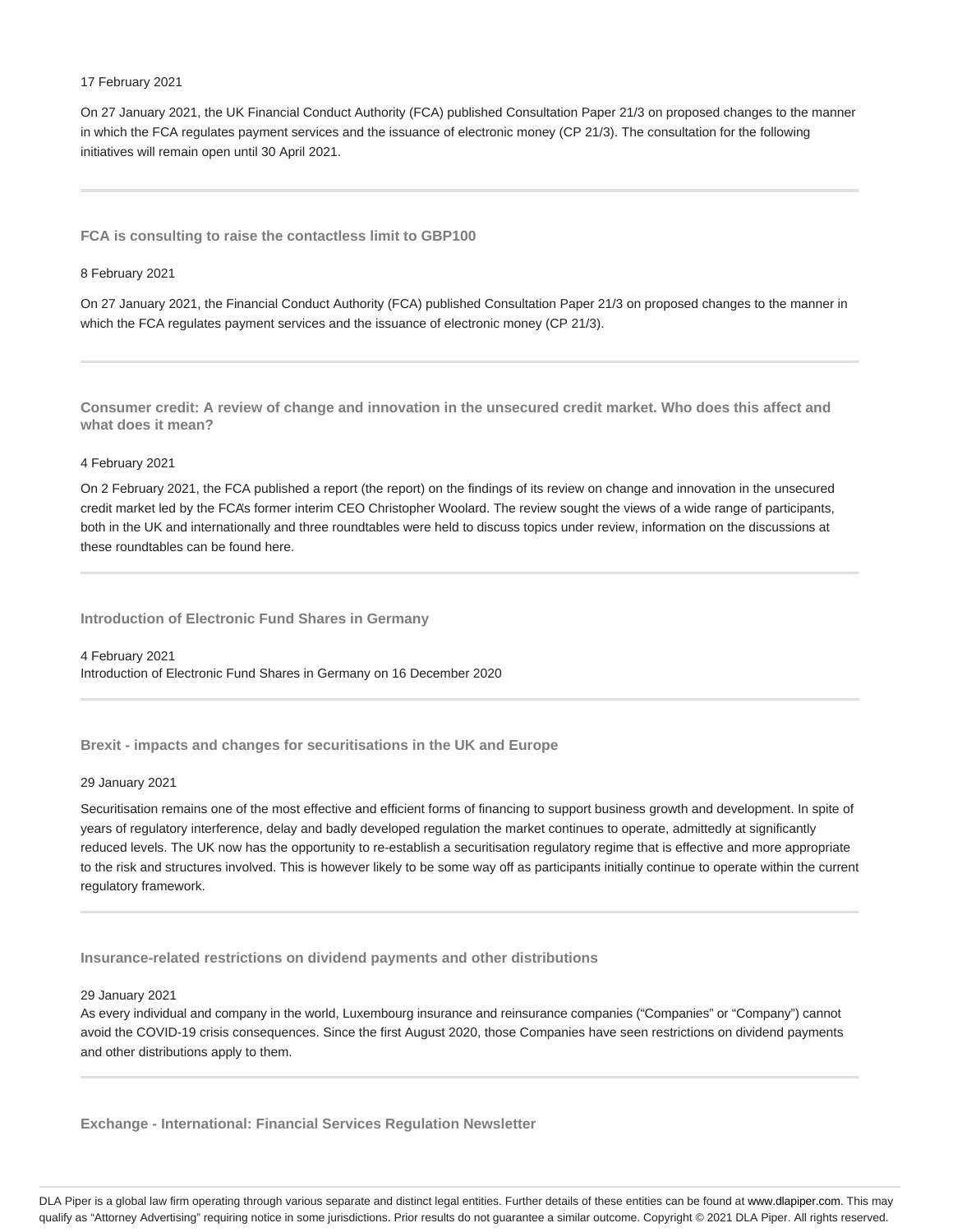#### 17 February 2021

On 27 January 2021, the UK Financial Conduct Authority (FCA) published Consultation Paper 21/3 on proposed changes to the manner in which the FCA regulates payment services and the issuance of electronic money (CP 21/3). The consultation for the following initiatives will remain open until 30 April 2021.

**FCA is consulting to raise the contactless limit to GBP100**

#### 8 February 2021

On 27 January 2021, the Financial Conduct Authority (FCA) published Consultation Paper 21/3 on proposed changes to the manner in which the FCA regulates payment services and the issuance of electronic money (CP 21/3).

**Consumer credit: A review of change and innovation in the unsecured credit market. Who does this affect and what does it mean?**

#### 4 February 2021

On 2 February 2021, the FCA published a report (the report) on the findings of its review on change and innovation in the unsecured credit market led by the FCA's former interim CEO Christopher Woolard. The review sought the views of a wide range of participants, both in the UK and internationally and three roundtables were held to discuss topics under review, information on the discussions at these roundtables can be found here.

**Introduction of Electronic Fund Shares in Germany**

4 February 2021 Introduction of Electronic Fund Shares in Germany on 16 December 2020

**Brexit - impacts and changes for securitisations in the UK and Europe**

#### 29 January 2021

Securitisation remains one of the most effective and efficient forms of financing to support business growth and development. In spite of years of regulatory interference, delay and badly developed regulation the market continues to operate, admittedly at significantly reduced levels. The UK now has the opportunity to re-establish a securitisation regulatory regime that is effective and more appropriate to the risk and structures involved. This is however likely to be some way off as participants initially continue to operate within the current regulatory framework.

**Insurance-related restrictions on dividend payments and other distributions**

#### 29 January 2021

As every individual and company in the world, Luxembourg insurance and reinsurance companies ("Companies" or "Company") cannot avoid the COVID-19 crisis consequences. Since the first August 2020, those Companies have seen restrictions on dividend payments and other distributions apply to them.

**Exchange - International: Financial Services Regulation Newsletter**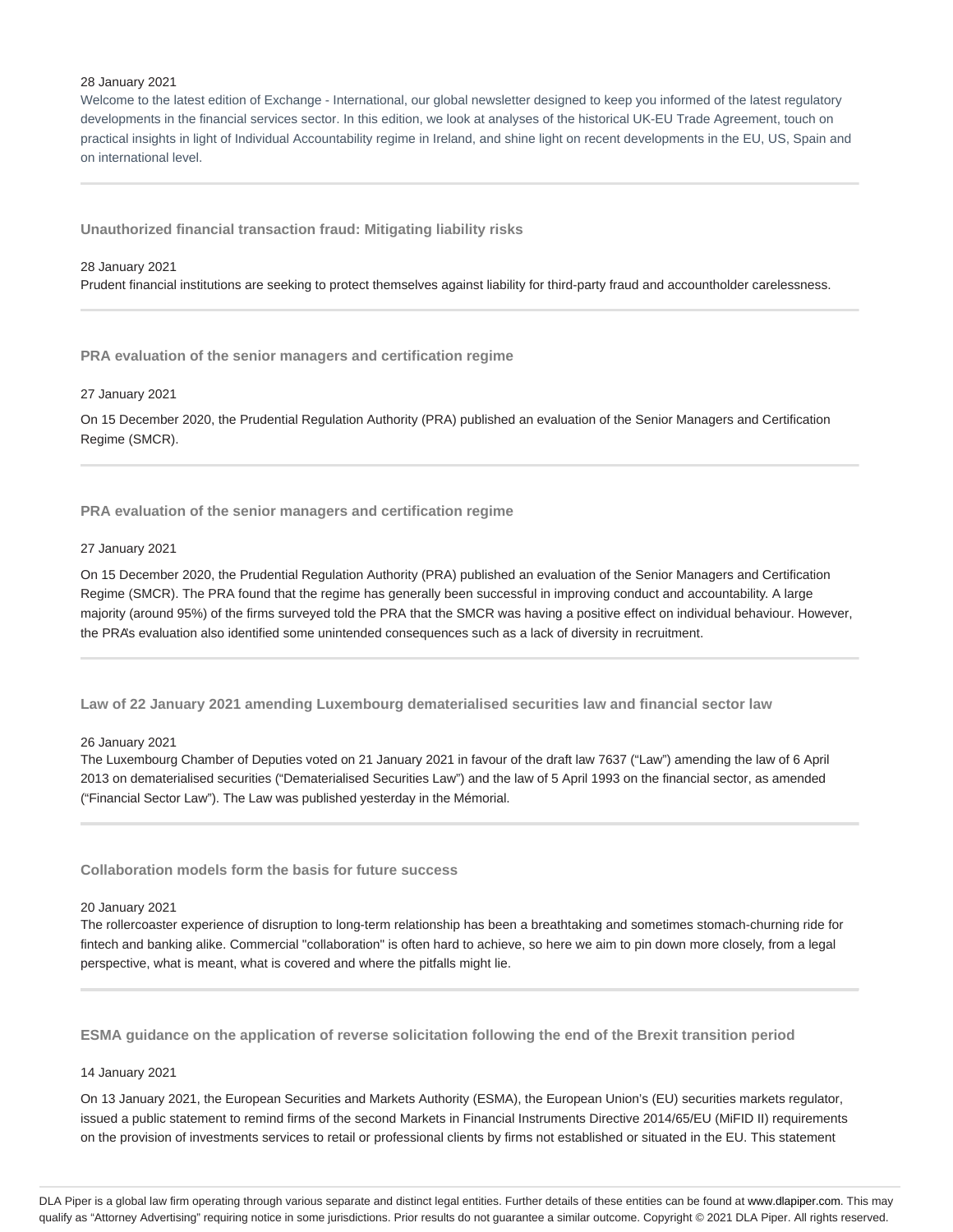#### 28 January 2021

Welcome to the latest edition of Exchange - International, our global newsletter designed to keep you informed of the latest regulatory developments in the financial services sector. In this edition, we look at analyses of the historical UK-EU Trade Agreement, touch on practical insights in light of Individual Accountability regime in Ireland, and shine light on recent developments in the EU, US, Spain and on international level.

**Unauthorized financial transaction fraud: Mitigating liability risks**

28 January 2021

Prudent financial institutions are seeking to protect themselves against liability for third-party fraud and accountholder carelessness.

**PRA evaluation of the senior managers and certification regime**

27 January 2021

On 15 December 2020, the Prudential Regulation Authority (PRA) published an evaluation of the Senior Managers and Certification Regime (SMCR).

**PRA evaluation of the senior managers and certification regime**

#### 27 January 2021

On 15 December 2020, the Prudential Regulation Authority (PRA) published an evaluation of the Senior Managers and Certification Regime (SMCR). The PRA found that the regime has generally been successful in improving conduct and accountability. A large majority (around 95%) of the firms surveyed told the PRA that the SMCR was having a positive effect on individual behaviour. However, the PRA's evaluation also identified some unintended consequences such as a lack of diversity in recruitment.

**Law of 22 January 2021 amending Luxembourg dematerialised securities law and financial sector law**

26 January 2021

The Luxembourg Chamber of Deputies voted on 21 January 2021 in favour of the draft law 7637 ("Law") amending the law of 6 April 2013 on dematerialised securities ("Dematerialised Securities Law") and the law of 5 April 1993 on the financial sector, as amended ("Financial Sector Law"). The Law was published yesterday in the Mémorial.

**Collaboration models form the basis for future success**

#### 20 January 2021

The rollercoaster experience of disruption to long-term relationship has been a breathtaking and sometimes stomach-churning ride for fintech and banking alike. Commercial "collaboration" is often hard to achieve, so here we aim to pin down more closely, from a legal perspective, what is meant, what is covered and where the pitfalls might lie.

**ESMA guidance on the application of reverse solicitation following the end of the Brexit transition period**

#### 14 January 2021

On 13 January 2021, the European Securities and Markets Authority (ESMA), the European Union's (EU) securities markets regulator, issued a public statement to remind firms of the second Markets in Financial Instruments Directive 2014/65/EU (MiFID II) requirements on the provision of investments services to retail or professional clients by firms not established or situated in the EU. This statement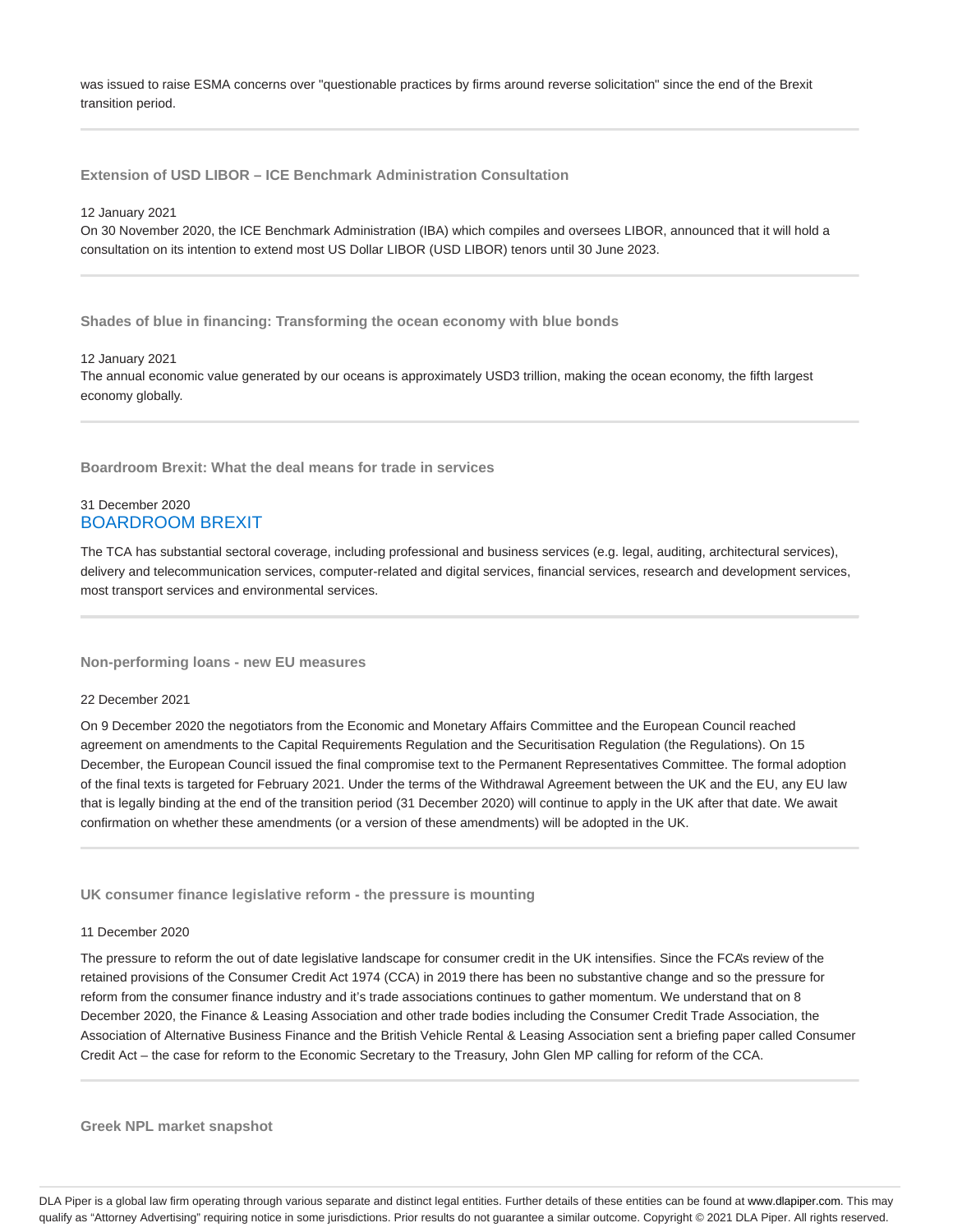was issued to raise ESMA concerns over "questionable practices by firms around reverse solicitation" since the end of the Brexit transition period.

**Extension of USD LIBOR – ICE Benchmark Administration Consultation**

#### 12 January 2021

On 30 November 2020, the ICE Benchmark Administration (IBA) which compiles and oversees LIBOR, announced that it will hold a consultation on its intention to extend most US Dollar LIBOR (USD LIBOR) tenors until 30 June 2023.

**Shades of blue in financing: Transforming the ocean economy with blue bonds**

#### 12 January 2021

The annual economic value generated by our oceans is approximately USD3 trillion, making the ocean economy, the fifth largest economy globally.

**Boardroom Brexit: What the deal means for trade in services**

# 31 December 2020 BOARDROOM BREXIT

The TCA has substantial sectoral coverage, including professional and business services (e.g. legal, auditing, architectural services), delivery and telecommunication services, computer-related and digital services, financial services, research and development services, most transport services and environmental services.

**Non-performing loans - new EU measures**

#### 22 December 2021

On 9 December 2020 the negotiators from the Economic and Monetary Affairs Committee and the European Council reached agreement on amendments to the Capital Requirements Regulation and the Securitisation Regulation (the Regulations). On 15 December, the European Council issued the final compromise text to the Permanent Representatives Committee. The formal adoption of the final texts is targeted for February 2021. Under the terms of the Withdrawal Agreement between the UK and the EU, any EU law that is legally binding at the end of the transition period (31 December 2020) will continue to apply in the UK after that date. We await confirmation on whether these amendments (or a version of these amendments) will be adopted in the UK.

**UK consumer finance legislative reform - the pressure is mounting**

#### 11 December 2020

The pressure to reform the out of date legislative landscape for consumer credit in the UK intensifies. Since the FCA's review of the retained provisions of the Consumer Credit Act 1974 (CCA) in 2019 there has been no substantive change and so the pressure for reform from the consumer finance industry and it's trade associations continues to gather momentum. We understand that on 8 December 2020, the Finance & Leasing Association and other trade bodies including the Consumer Credit Trade Association, the Association of Alternative Business Finance and the British Vehicle Rental & Leasing Association sent a briefing paper called Consumer Credit Act – the case for reform to the Economic Secretary to the Treasury, John Glen MP calling for reform of the CCA.

**Greek NPL market snapshot**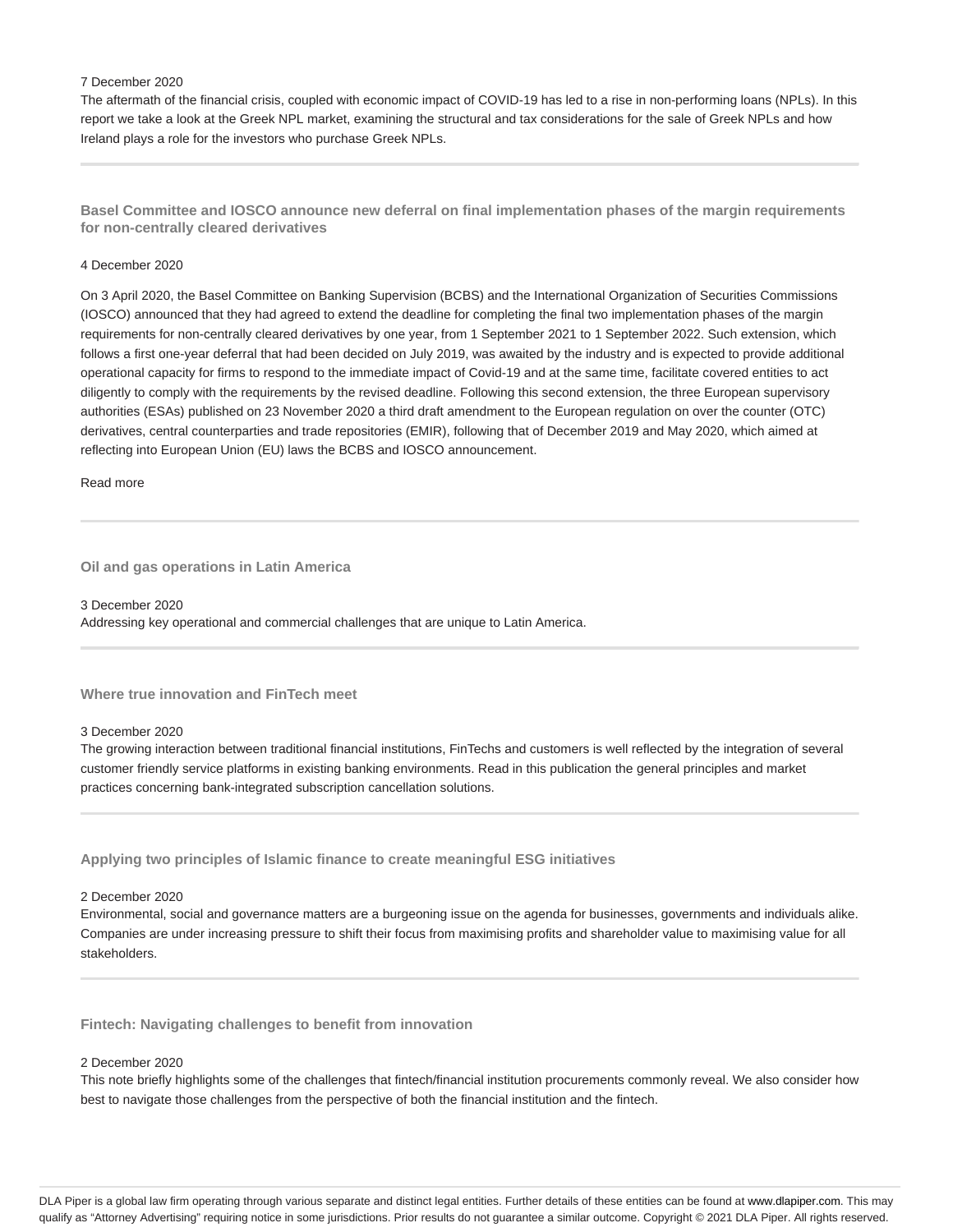#### 7 December 2020

The aftermath of the financial crisis, coupled with economic impact of COVID-19 has led to a rise in non-performing loans (NPLs). In this report we take a look at the Greek NPL market, examining the structural and tax considerations for the sale of Greek NPLs and how Ireland plays a role for the investors who purchase Greek NPLs.

**Basel Committee and IOSCO announce new deferral on final implementation phases of the margin requirements for non-centrally cleared derivatives**

#### 4 December 2020

On 3 April 2020, the Basel Committee on Banking Supervision (BCBS) and the International Organization of Securities Commissions (IOSCO) announced that they had agreed to extend the deadline for completing the final two implementation phases of the margin requirements for non-centrally cleared derivatives by one year, from 1 September 2021 to 1 September 2022. Such extension, which follows a first one-year deferral that had been decided on July 2019, was awaited by the industry and is expected to provide additional operational capacity for firms to respond to the immediate impact of Covid-19 and at the same time, facilitate covered entities to act diligently to comply with the requirements by the revised deadline. Following this second extension, the three European supervisory authorities (ESAs) published on 23 November 2020 a third draft amendment to the European regulation on over the counter (OTC) derivatives, central counterparties and trade repositories (EMIR), following that of December 2019 and May 2020, which aimed at reflecting into European Union (EU) laws the BCBS and IOSCO announcement.

Read more

#### **Oil and gas operations in Latin America**

3 December 2020 Addressing key operational and commercial challenges that are unique to Latin America.

### **Where true innovation and FinTech meet**

#### 3 December 2020

The growing interaction between traditional financial institutions, FinTechs and customers is well reflected by the integration of several customer friendly service platforms in existing banking environments. Read in this publication the general principles and market practices concerning bank-integrated subscription cancellation solutions.

**Applying two principles of Islamic finance to create meaningful ESG initiatives**

#### 2 December 2020

Environmental, social and governance matters are a burgeoning issue on the agenda for businesses, governments and individuals alike. Companies are under increasing pressure to shift their focus from maximising profits and shareholder value to maximising value for all stakeholders.

**Fintech: Navigating challenges to benefit from innovation**

#### 2 December 2020

This note briefly highlights some of the challenges that fintech/financial institution procurements commonly reveal. We also consider how best to navigate those challenges from the perspective of both the financial institution and the fintech.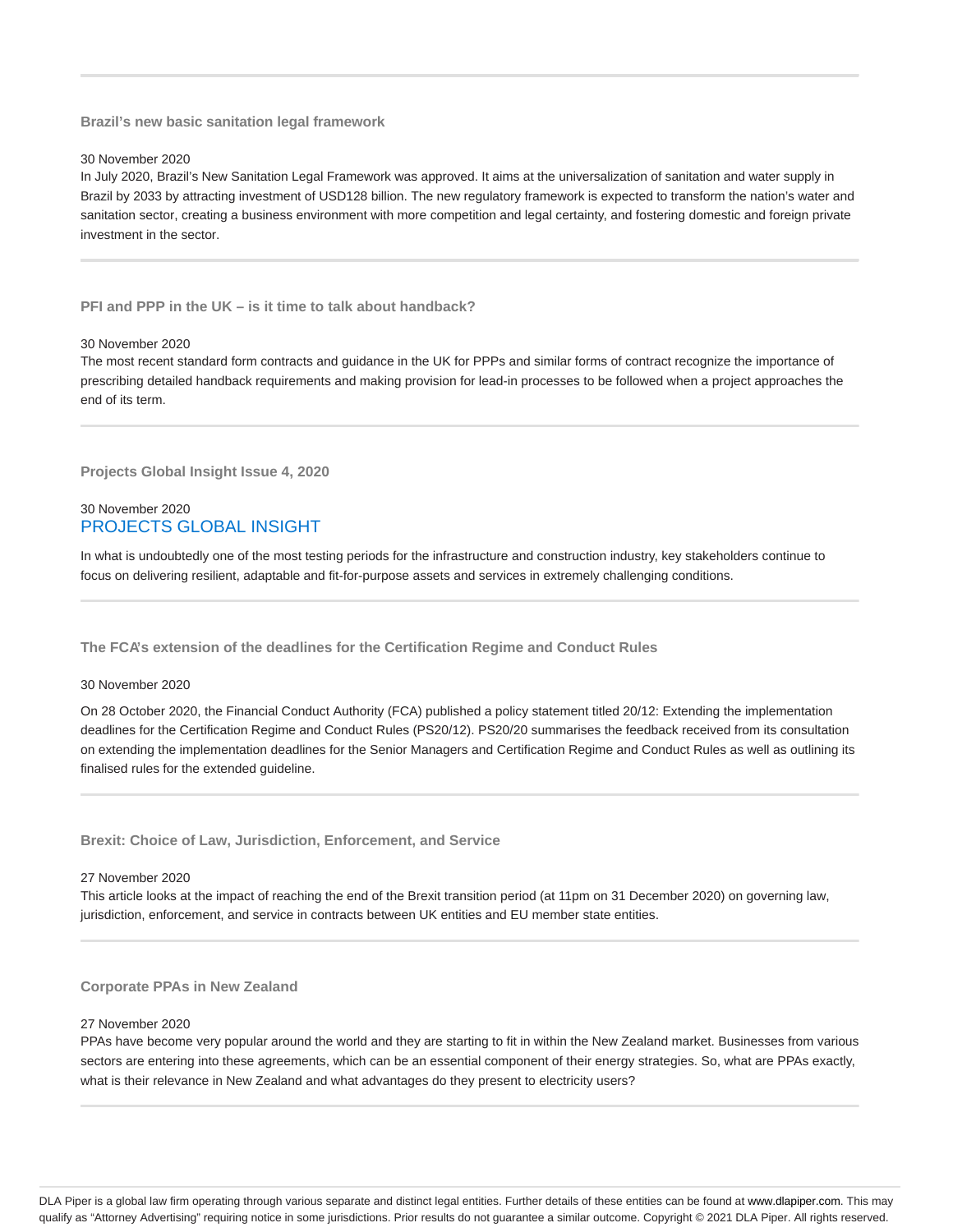**Brazil's new basic sanitation legal framework**

30 November 2020

In July 2020, Brazil's New Sanitation Legal Framework was approved. It aims at the universalization of sanitation and water supply in Brazil by 2033 by attracting investment of USD128 billion. The new regulatory framework is expected to transform the nation's water and sanitation sector, creating a business environment with more competition and legal certainty, and fostering domestic and foreign private investment in the sector.

**PFI and PPP in the UK – is it time to talk about handback?**

#### 30 November 2020

The most recent standard form contracts and guidance in the UK for PPPs and similar forms of contract recognize the importance of prescribing detailed handback requirements and making provision for lead-in processes to be followed when a project approaches the end of its term.

**Projects Global Insight Issue 4, 2020**

# 30 November 2020 PROJECTS GLOBAL INSIGHT

In what is undoubtedly one of the most testing periods for the infrastructure and construction industry, key stakeholders continue to focus on delivering resilient, adaptable and fit-for-purpose assets and services in extremely challenging conditions.

**The FCA's extension of the deadlines for the Certification Regime and Conduct Rules**

#### 30 November 2020

On 28 October 2020, the Financial Conduct Authority (FCA) published a policy statement titled 20/12: Extending the implementation deadlines for the Certification Regime and Conduct Rules (PS20/12). PS20/20 summarises the feedback received from its consultation on extending the implementation deadlines for the Senior Managers and Certification Regime and Conduct Rules as well as outlining its finalised rules for the extended guideline.

**Brexit: Choice of Law, Jurisdiction, Enforcement, and Service**

27 November 2020

This article looks at the impact of reaching the end of the Brexit transition period (at 11pm on 31 December 2020) on governing law, jurisdiction, enforcement, and service in contracts between UK entities and EU member state entities.

**Corporate PPAs in New Zealand**

#### 27 November 2020

PPAs have become very popular around the world and they are starting to fit in within the New Zealand market. Businesses from various sectors are entering into these agreements, which can be an essential component of their energy strategies. So, what are PPAs exactly, what is their relevance in New Zealand and what advantages do they present to electricity users?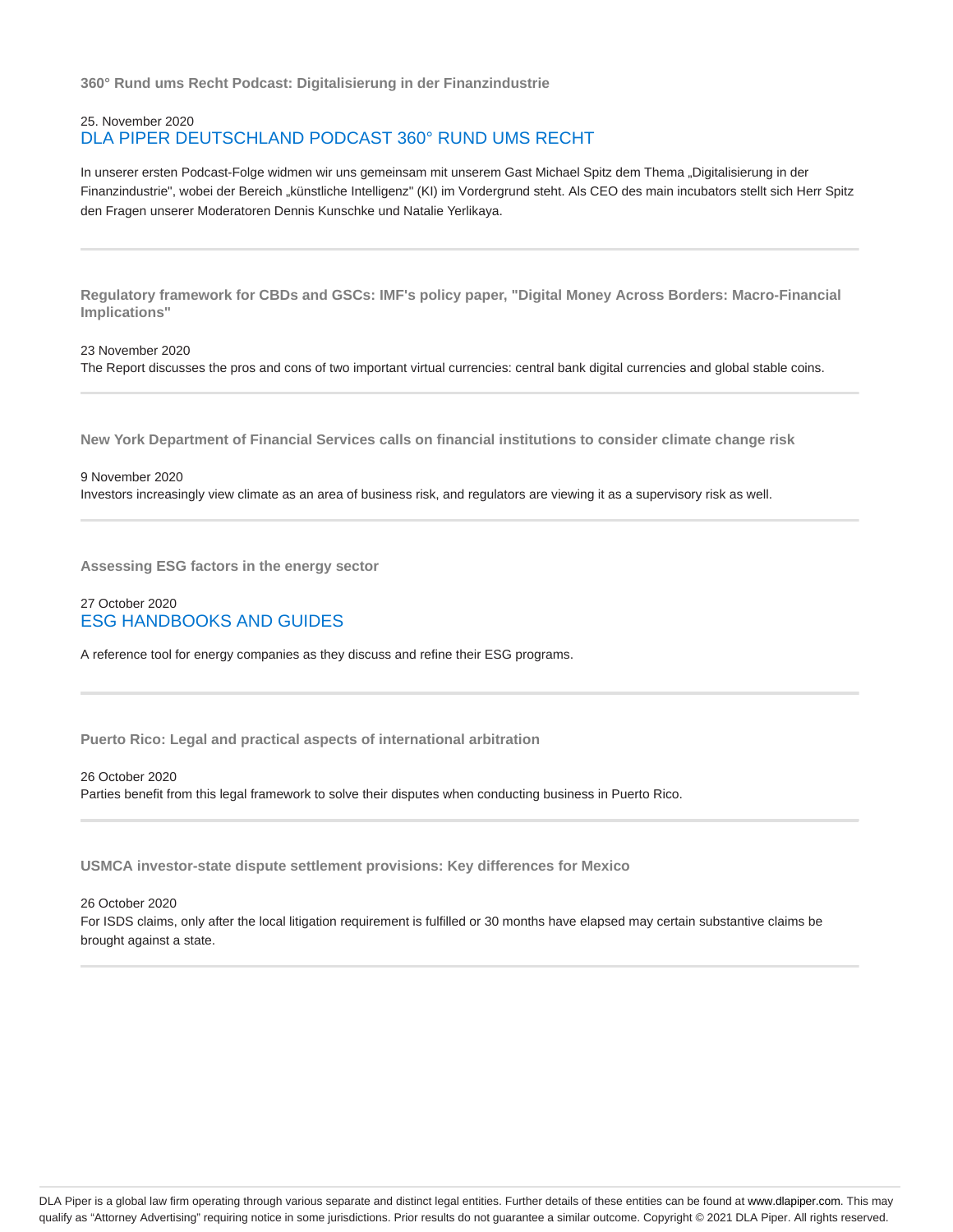**360° Rund ums Recht Podcast: Digitalisierung in der Finanzindustrie**

# 25. November 2020 DLA PIPER DEUTSCHLAND PODCAST 360° RUND UMS RECHT

In unserer ersten Podcast-Folge widmen wir uns gemeinsam mit unserem Gast Michael Spitz dem Thema "Digitalisierung in der Finanzindustrie", wobei der Bereich "künstliche Intelligenz" (KI) im Vordergrund steht. Als CEO des main incubators stellt sich Herr Spitz den Fragen unserer Moderatoren Dennis Kunschke und Natalie Yerlikaya.

**Regulatory framework for CBDs and GSCs: IMF's policy paper, "Digital Money Across Borders: Macro-Financial Implications"**

23 November 2020 The Report discusses the pros and cons of two important virtual currencies: central bank digital currencies and global stable coins.

**New York Department of Financial Services calls on financial institutions to consider climate change risk**

9 November 2020 Investors increasingly view climate as an area of business risk, and regulators are viewing it as a supervisory risk as well.

**Assessing ESG factors in the energy sector**

# 27 October 2020 ESG HANDBOOKS AND GUIDES

A reference tool for energy companies as they discuss and refine their ESG programs.

**Puerto Rico: Legal and practical aspects of international arbitration**

26 October 2020

Parties benefit from this legal framework to solve their disputes when conducting business in Puerto Rico.

**USMCA investor-state dispute settlement provisions: Key differences for Mexico**

26 October 2020

For ISDS claims, only after the local litigation requirement is fulfilled or 30 months have elapsed may certain substantive claims be brought against a state.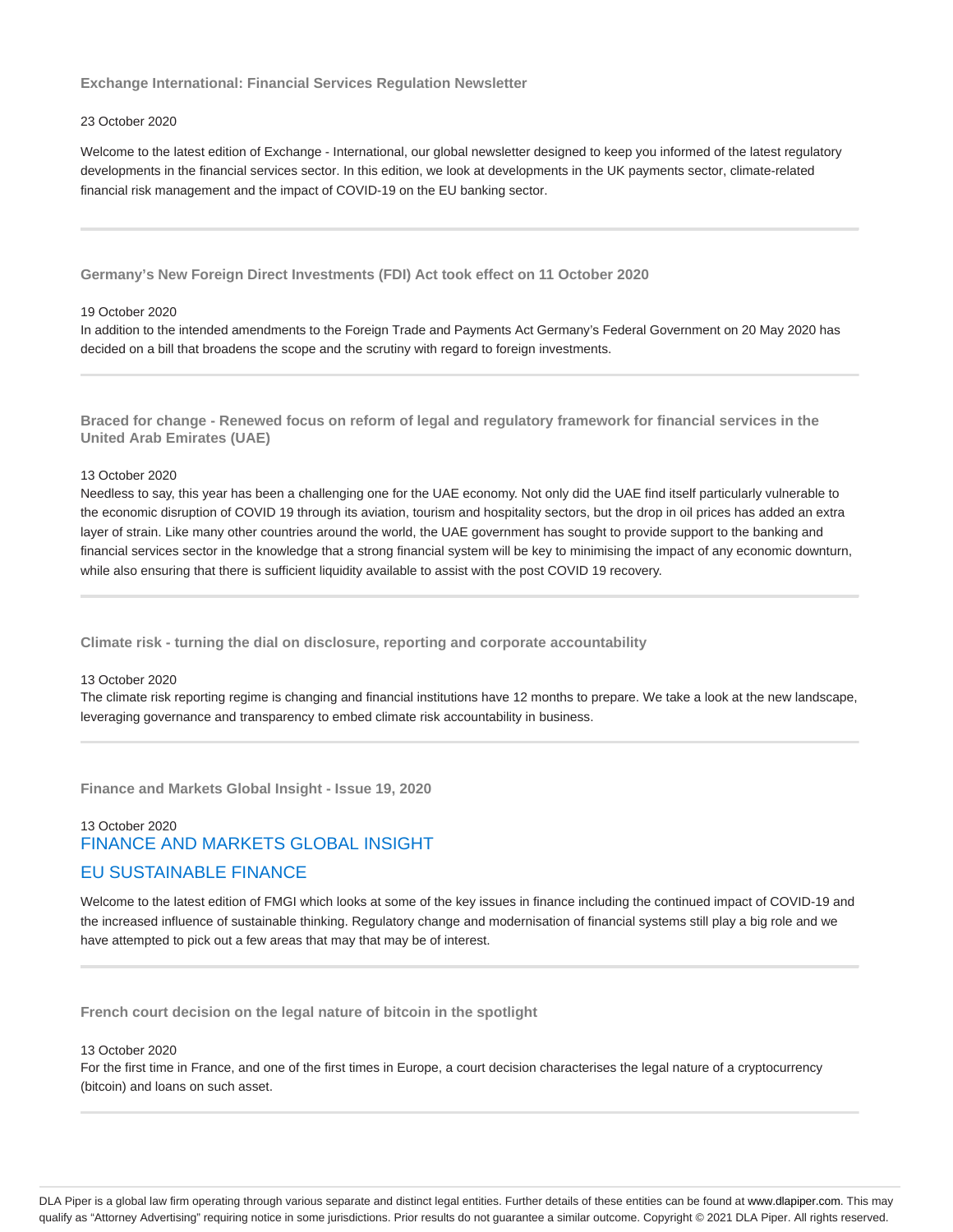**Exchange International: Financial Services Regulation Newsletter**

#### 23 October 2020

Welcome to the latest edition of Exchange - International, our global newsletter designed to keep you informed of the latest regulatory developments in the financial services sector. In this edition, we look at developments in the UK payments sector, climate-related financial risk management and the impact of COVID-19 on the EU banking sector.

**Germany's New Foreign Direct Investments (FDI) Act took effect on 11 October 2020**

#### 19 October 2020

In addition to the intended amendments to the Foreign Trade and Payments Act Germany's Federal Government on 20 May 2020 has decided on a bill that broadens the scope and the scrutiny with regard to foreign investments.

**Braced for change - Renewed focus on reform of legal and regulatory framework for financial services in the United Arab Emirates (UAE)**

#### 13 October 2020

Needless to say, this year has been a challenging one for the UAE economy. Not only did the UAE find itself particularly vulnerable to the economic disruption of COVID 19 through its aviation, tourism and hospitality sectors, but the drop in oil prices has added an extra layer of strain. Like many other countries around the world, the UAE government has sought to provide support to the banking and financial services sector in the knowledge that a strong financial system will be key to minimising the impact of any economic downturn, while also ensuring that there is sufficient liquidity available to assist with the post COVID 19 recovery.

**Climate risk - turning the dial on disclosure, reporting and corporate accountability**

#### 13 October 2020

The climate risk reporting regime is changing and financial institutions have 12 months to prepare. We take a look at the new landscape, leveraging governance and transparency to embed climate risk accountability in business.

**Finance and Markets Global Insight - Issue 19, 2020**

# 13 October 2020 FINANCE AND MARKETS GLOBAL INSIGHT EU SUSTAINABLE FINANCE

Welcome to the latest edition of FMGI which looks at some of the key issues in finance including the continued impact of COVID-19 and the increased influence of sustainable thinking. Regulatory change and modernisation of financial systems still play a big role and we have attempted to pick out a few areas that may that may be of interest.

**French court decision on the legal nature of bitcoin in the spotlight**

#### 13 October 2020

For the first time in France, and one of the first times in Europe, a court decision characterises the legal nature of a cryptocurrency (bitcoin) and loans on such asset.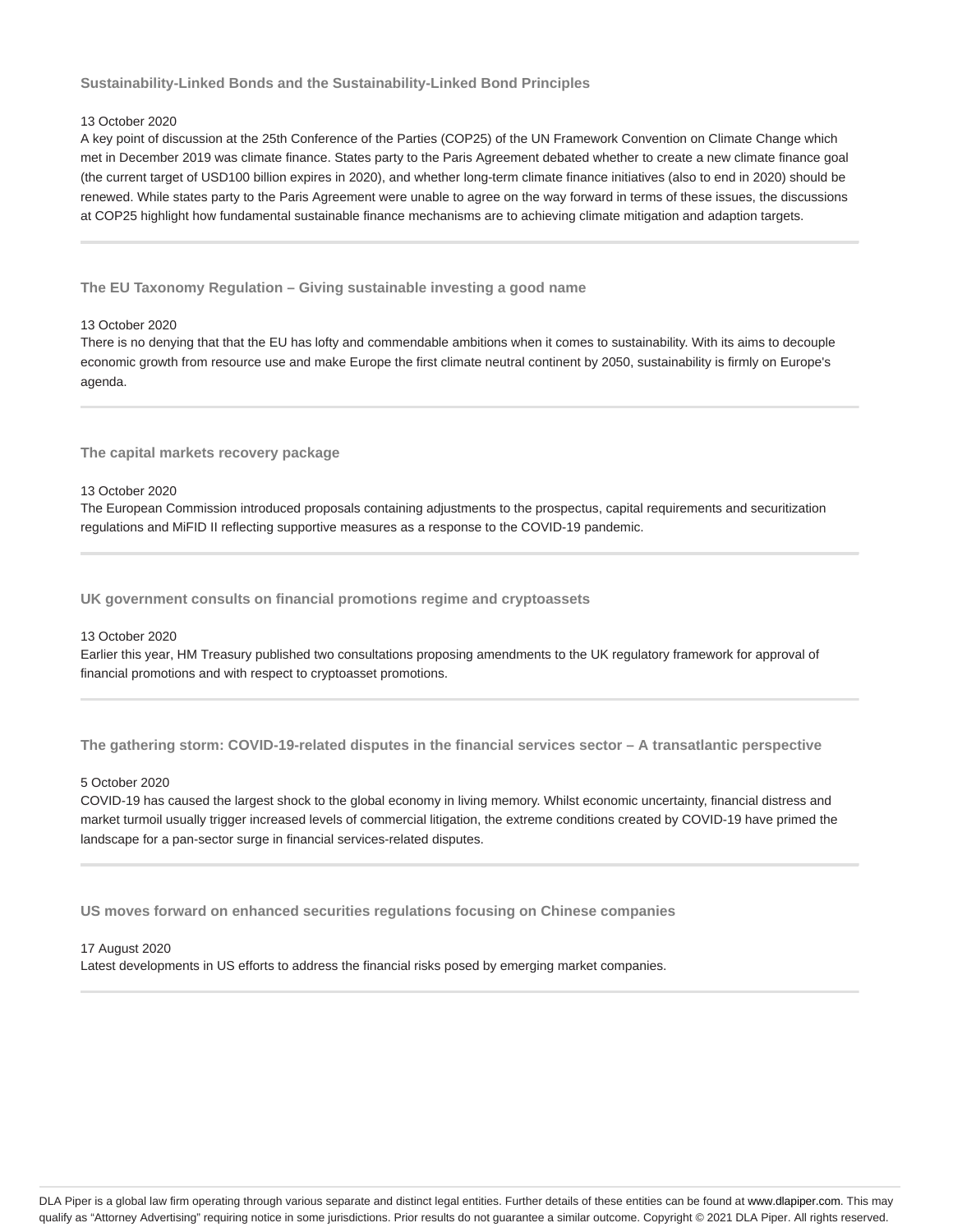**Sustainability-Linked Bonds and the Sustainability-Linked Bond Principles**

### 13 October 2020

A key point of discussion at the 25th Conference of the Parties (COP25) of the UN Framework Convention on Climate Change which met in December 2019 was climate finance. States party to the Paris Agreement debated whether to create a new climate finance goal (the current target of USD100 billion expires in 2020), and whether long-term climate finance initiatives (also to end in 2020) should be renewed. While states party to the Paris Agreement were unable to agree on the way forward in terms of these issues, the discussions at COP25 highlight how fundamental sustainable finance mechanisms are to achieving climate mitigation and adaption targets.

**The EU Taxonomy Regulation – Giving sustainable investing a good name**

#### 13 October 2020

There is no denying that that the EU has lofty and commendable ambitions when it comes to sustainability. With its aims to decouple economic growth from resource use and make Europe the first climate neutral continent by 2050, sustainability is firmly on Europe's agenda.

**The capital markets recovery package**

#### 13 October 2020

The European Commission introduced proposals containing adjustments to the prospectus, capital requirements and securitization regulations and MiFID II reflecting supportive measures as a response to the COVID-19 pandemic.

**UK government consults on financial promotions regime and cryptoassets**

### 13 October 2020

Earlier this year, HM Treasury published two consultations proposing amendments to the UK regulatory framework for approval of financial promotions and with respect to cryptoasset promotions.

**The gathering storm: COVID-19-related disputes in the financial services sector – A transatlantic perspective**

#### 5 October 2020

COVID-19 has caused the largest shock to the global economy in living memory. Whilst economic uncertainty, financial distress and market turmoil usually trigger increased levels of commercial litigation, the extreme conditions created by COVID-19 have primed the landscape for a pan-sector surge in financial services-related disputes.

**US moves forward on enhanced securities regulations focusing on Chinese companies**

#### 17 August 2020

Latest developments in US efforts to address the financial risks posed by emerging market companies.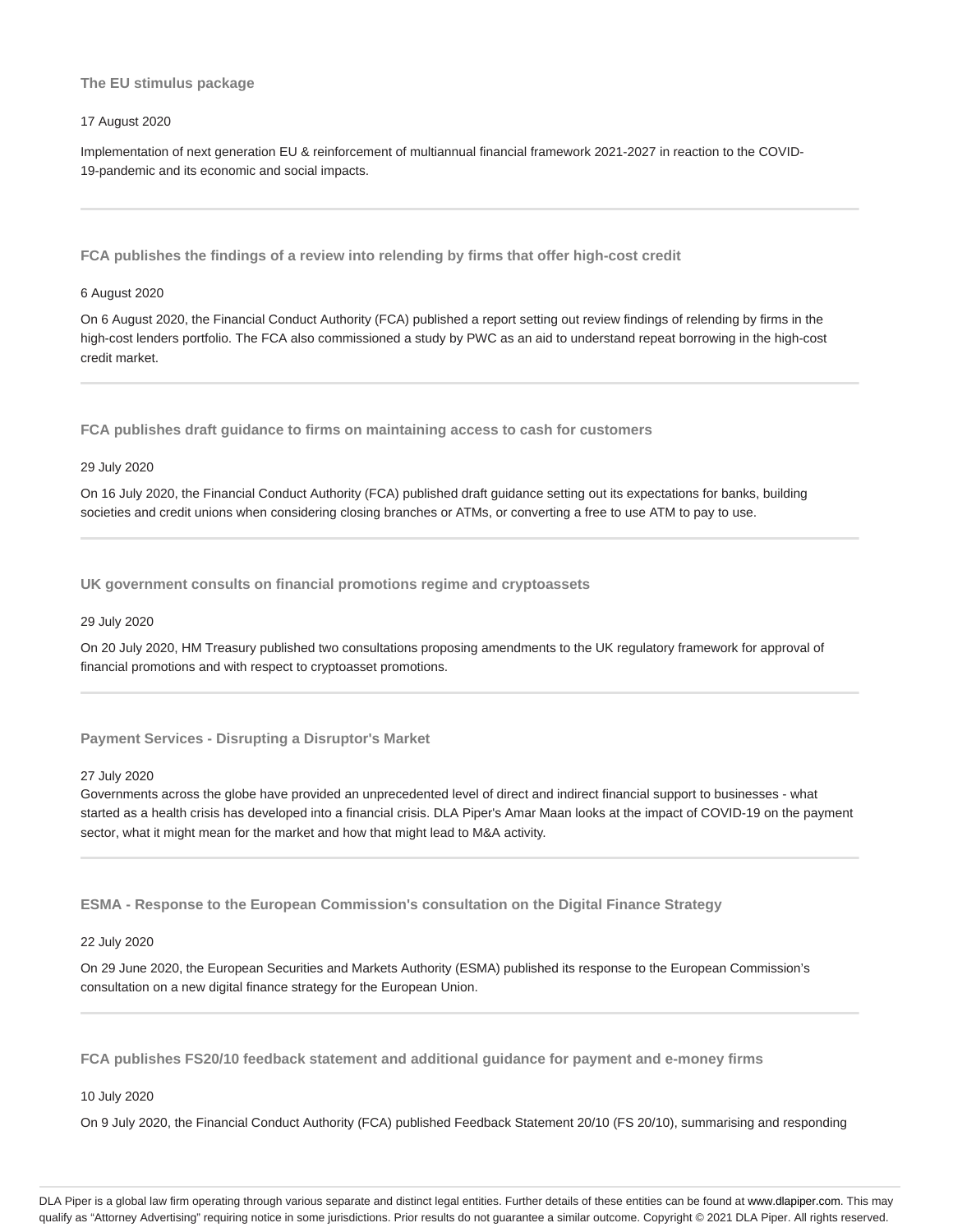### **The EU stimulus package**

#### 17 August 2020

Implementation of next generation EU & reinforcement of multiannual financial framework 2021-2027 in reaction to the COVID-19-pandemic and its economic and social impacts.

**FCA publishes the findings of a review into relending by firms that offer high-cost credit**

#### 6 August 2020

On 6 August 2020, the Financial Conduct Authority (FCA) published a report setting out review findings of relending by firms in the high-cost lenders portfolio. The FCA also commissioned a study by PWC as an aid to understand repeat borrowing in the high-cost credit market.

**FCA publishes draft guidance to firms on maintaining access to cash for customers**

#### 29 July 2020

On 16 July 2020, the Financial Conduct Authority (FCA) published draft guidance setting out its expectations for banks, building societies and credit unions when considering closing branches or ATMs, or converting a free to use ATM to pay to use.

**UK government consults on financial promotions regime and cryptoassets**

#### 29 July 2020

On 20 July 2020, HM Treasury published two consultations proposing amendments to the UK regulatory framework for approval of financial promotions and with respect to cryptoasset promotions.

**Payment Services - Disrupting a Disruptor's Market**

#### 27 July 2020

Governments across the globe have provided an unprecedented level of direct and indirect financial support to businesses - what started as a health crisis has developed into a financial crisis. DLA Piper's Amar Maan looks at the impact of COVID-19 on the payment sector, what it might mean for the market and how that might lead to M&A activity.

**ESMA - Response to the European Commission's consultation on the Digital Finance Strategy**

### 22 July 2020

On 29 June 2020, the European Securities and Markets Authority (ESMA) published its response to the European Commission's consultation on a new digital finance strategy for the European Union.

**FCA publishes FS20/10 feedback statement and additional guidance for payment and e-money firms**

### 10 July 2020

On 9 July 2020, the Financial Conduct Authority (FCA) published Feedback Statement 20/10 (FS 20/10), summarising and responding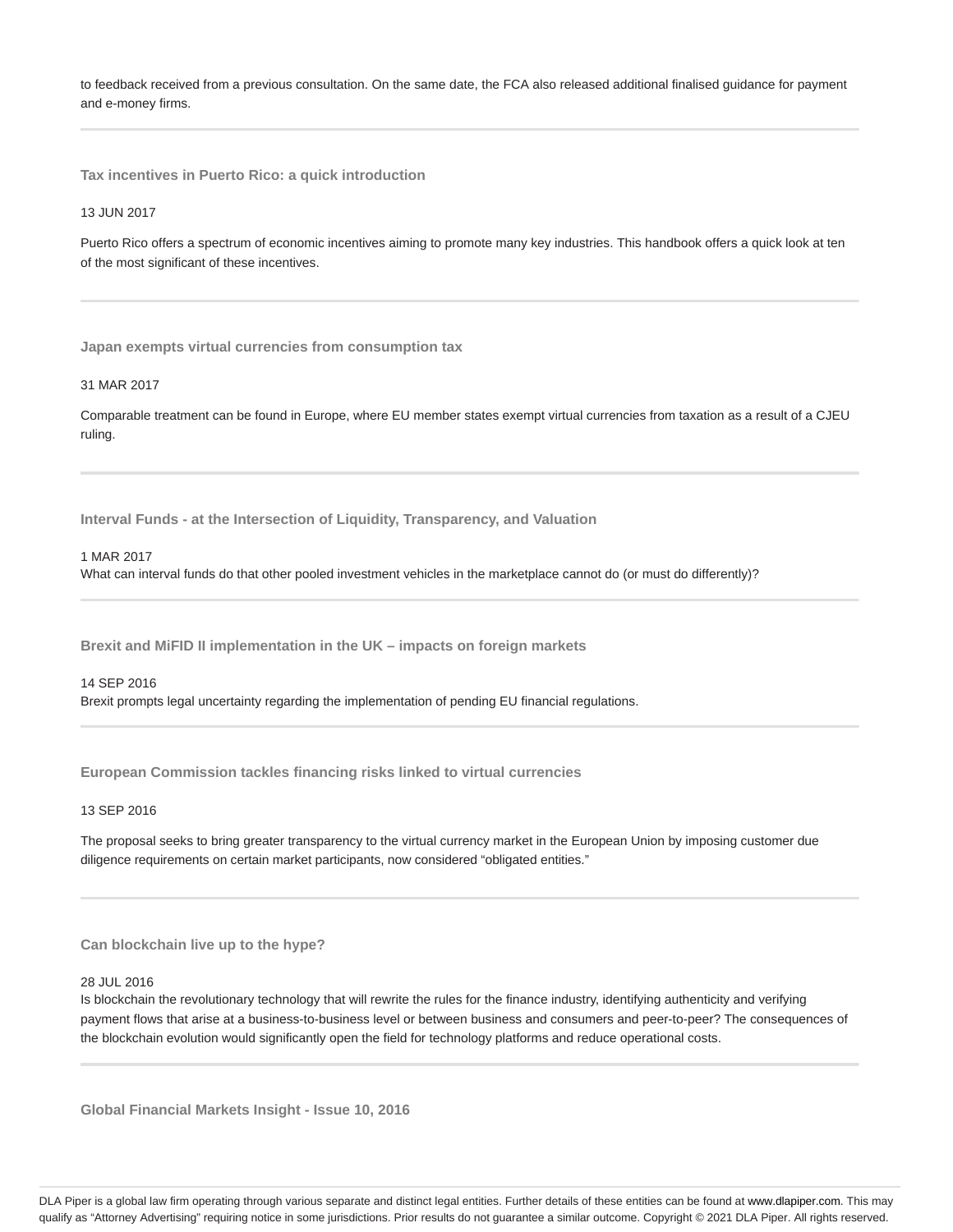to feedback received from a previous consultation. On the same date, the FCA also released additional finalised guidance for payment and e-money firms.

**Tax incentives in Puerto Rico: a quick introduction**

#### 13 JUN 2017

Puerto Rico offers a spectrum of economic incentives aiming to promote many key industries. This handbook offers a quick look at ten of the most significant of these incentives.

**Japan exempts virtual currencies from consumption tax**

#### 31 MAR 2017

Comparable treatment can be found in Europe, where EU member states exempt virtual currencies from taxation as a result of a CJEU ruling.

**Interval Funds - at the Intersection of Liquidity, Transparency, and Valuation**

#### 1 MAR 2017

What can interval funds do that other pooled investment vehicles in the marketplace cannot do (or must do differently)?

**Brexit and MiFID II implementation in the UK – impacts on foreign markets**

#### 14 SEP 2016

Brexit prompts legal uncertainty regarding the implementation of pending EU financial regulations.

**European Commission tackles financing risks linked to virtual currencies**

#### 13 SEP 2016

The proposal seeks to bring greater transparency to the virtual currency market in the European Union by imposing customer due diligence requirements on certain market participants, now considered "obligated entities."

#### **Can blockchain live up to the hype?**

#### 28 JUL 2016

Is blockchain the revolutionary technology that will rewrite the rules for the finance industry, identifying authenticity and verifying payment flows that arise at a business-to-business level or between business and consumers and peer-to-peer? The consequences of the blockchain evolution would significantly open the field for technology platforms and reduce operational costs.

**Global Financial Markets Insight - Issue 10, 2016**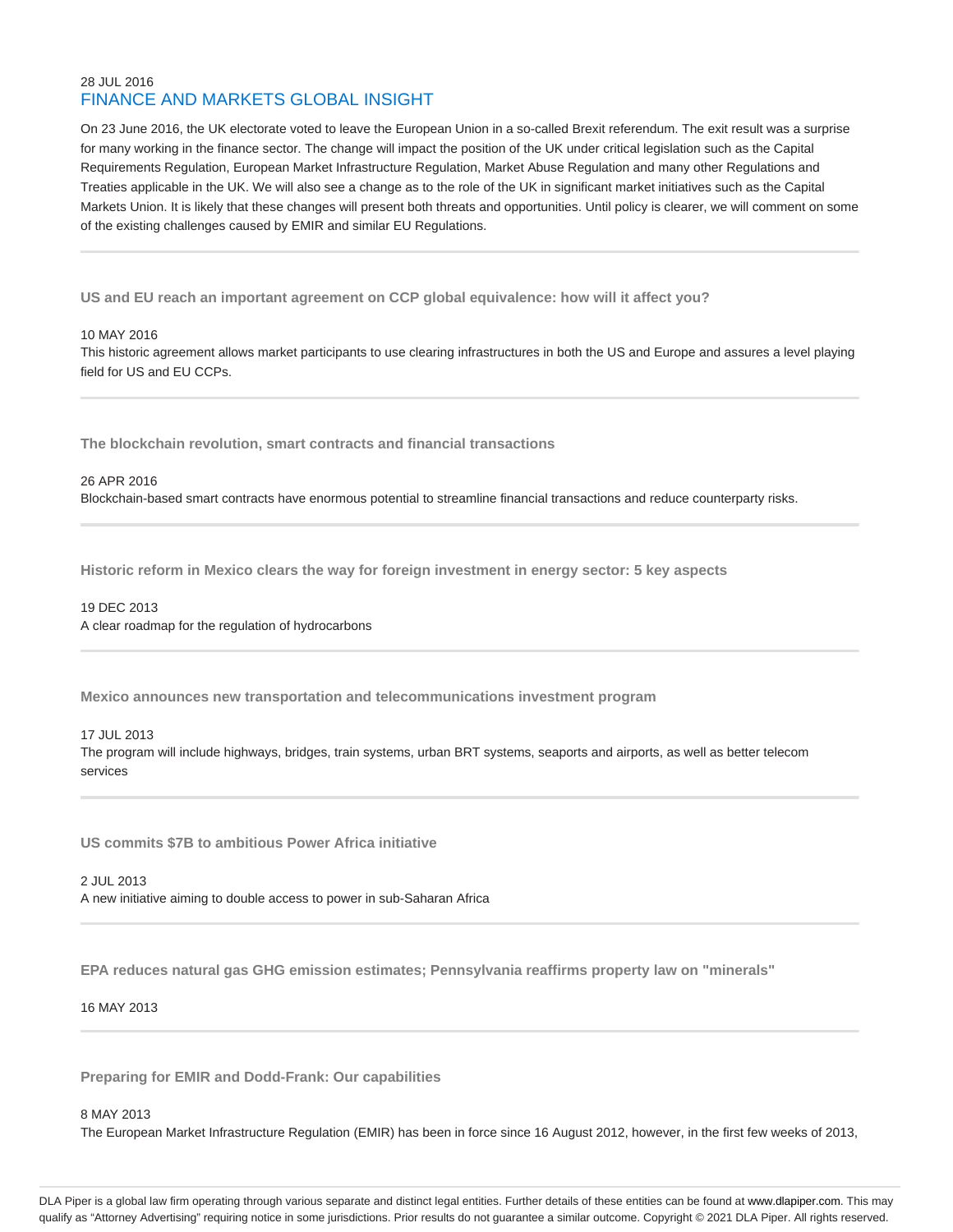# 28 JUL 2016 FINANCE AND MARKETS GLOBAL INSIGHT

On 23 June 2016, the UK electorate voted to leave the European Union in a so-called Brexit referendum. The exit result was a surprise for many working in the finance sector. The change will impact the position of the UK under critical legislation such as the Capital Requirements Regulation, European Market Infrastructure Regulation, Market Abuse Regulation and many other Regulations and Treaties applicable in the UK. We will also see a change as to the role of the UK in significant market initiatives such as the Capital Markets Union. It is likely that these changes will present both threats and opportunities. Until policy is clearer, we will comment on some of the existing challenges caused by EMIR and similar EU Regulations.

**US and EU reach an important agreement on CCP global equivalence: how will it affect you?**

#### 10 MAY 2016

This historic agreement allows market participants to use clearing infrastructures in both the US and Europe and assures a level playing field for US and EU CCPs.

**The blockchain revolution, smart contracts and financial transactions**

26 APR 2016 Blockchain-based smart contracts have enormous potential to streamline financial transactions and reduce counterparty risks.

**Historic reform in Mexico clears the way for foreign investment in energy sector: 5 key aspects**

# 19 DEC 2013 A clear roadmap for the regulation of hydrocarbons

**Mexico announces new transportation and telecommunications investment program**

# 17 JUL 2013

The program will include highways, bridges, train systems, urban BRT systems, seaports and airports, as well as better telecom services

**US commits \$7B to ambitious Power Africa initiative**

2 JUL 2013 A new initiative aiming to double access to power in sub-Saharan Africa

**EPA reduces natural gas GHG emission estimates; Pennsylvania reaffirms property law on "minerals"**

# 16 MAY 2013

**Preparing for EMIR and Dodd-Frank: Our capabilities**

8 MAY 2013

The European Market Infrastructure Regulation (EMIR) has been in force since 16 August 2012, however, in the first few weeks of 2013,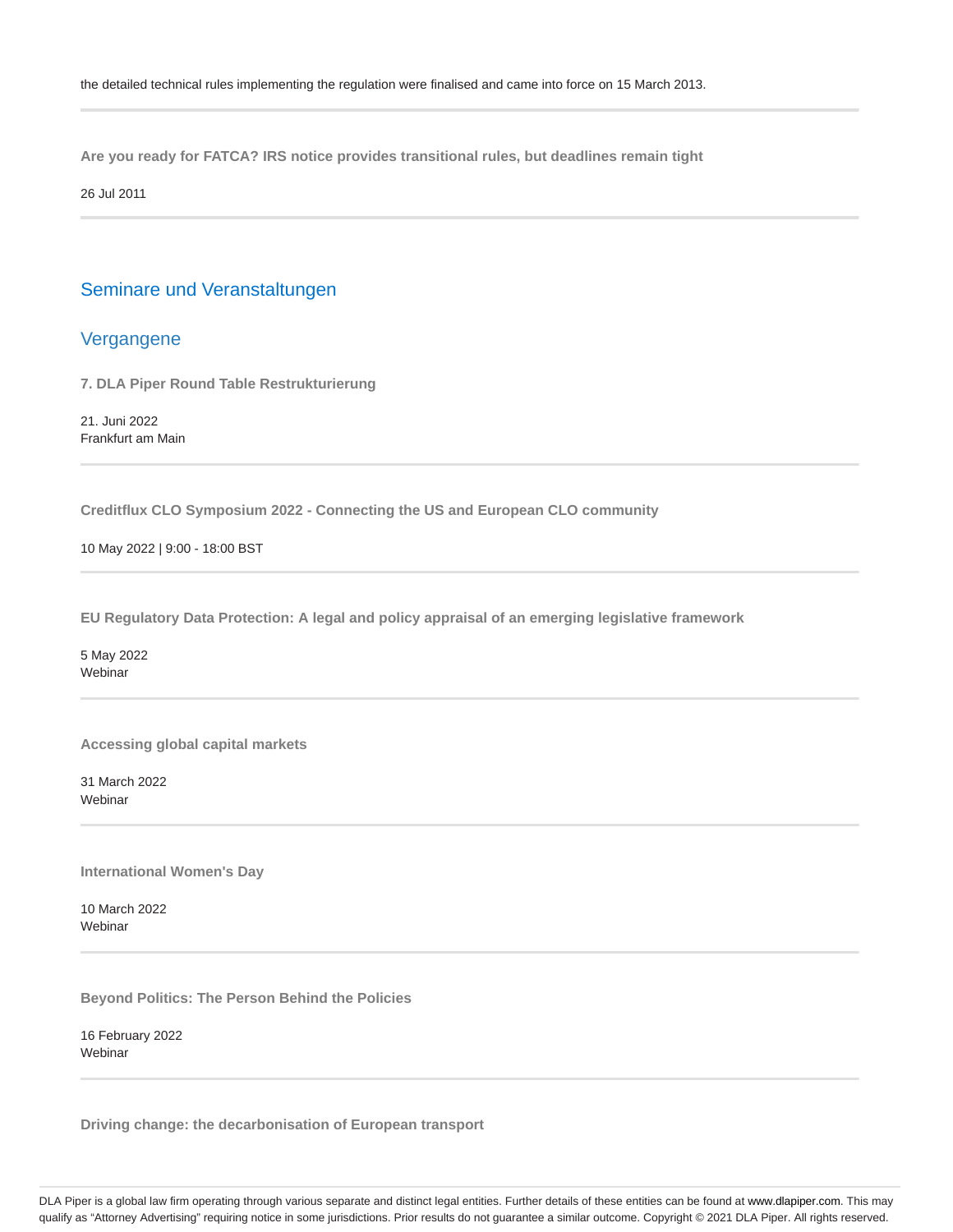**Are you ready for FATCA? IRS notice provides transitional rules, but deadlines remain tight**

26 Jul 2011

# Seminare und Veranstaltungen

# Vergangene

**7. DLA Piper Round Table Restrukturierung**

21. Juni 2022 Frankfurt am Main

**Creditflux CLO Symposium 2022 - Connecting the US and European CLO community**

10 May 2022 | 9:00 - 18:00 BST

**EU Regulatory Data Protection: A legal and policy appraisal of an emerging legislative framework**

5 May 2022 Webinar

**Accessing global capital markets**

31 March 2022 Webinar

**International Women's Day**

10 March 2022 Webinar

**Beyond Politics: The Person Behind the Policies**

16 February 2022 Webinar

**Driving change: the decarbonisation of European transport**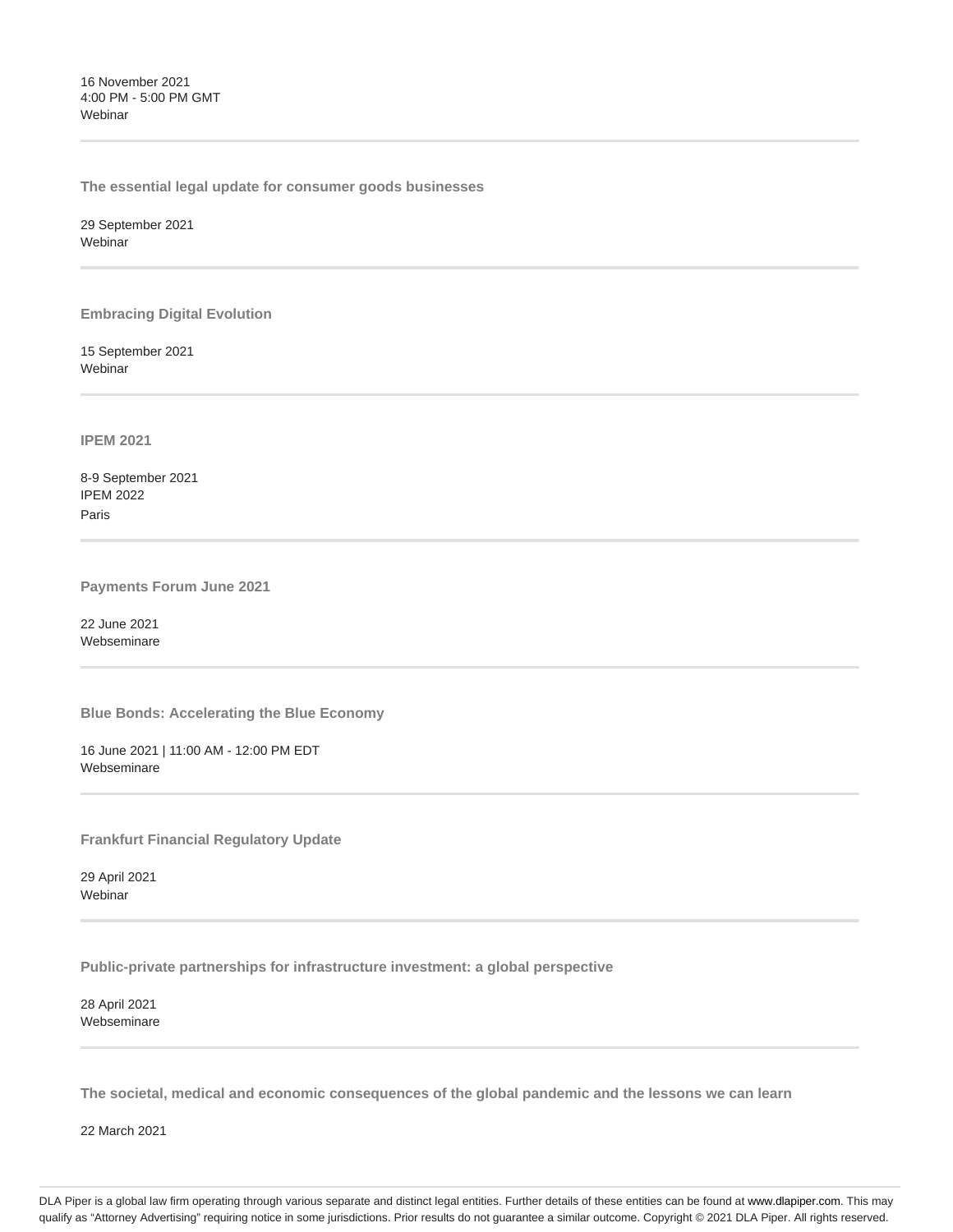16 November 2021 4:00 PM - 5:00 PM GMT **Webinar** 

**The essential legal update for consumer goods businesses**

29 September 2021 Webinar

**Embracing Digital Evolution**

15 September 2021 Webinar

**IPEM 2021**

8-9 September 2021 IPEM 2022 Paris

**Payments Forum June 2021**

22 June 2021 Webseminare

**Blue Bonds: Accelerating the Blue Economy**

16 June 2021 | 11:00 AM - 12:00 PM EDT Webseminare

**Frankfurt Financial Regulatory Update**

29 April 2021 Webinar

**Public-private partnerships for infrastructure investment: a global perspective**

28 April 2021 Webseminare

**The societal, medical and economic consequences of the global pandemic and the lessons we can learn**

22 March 2021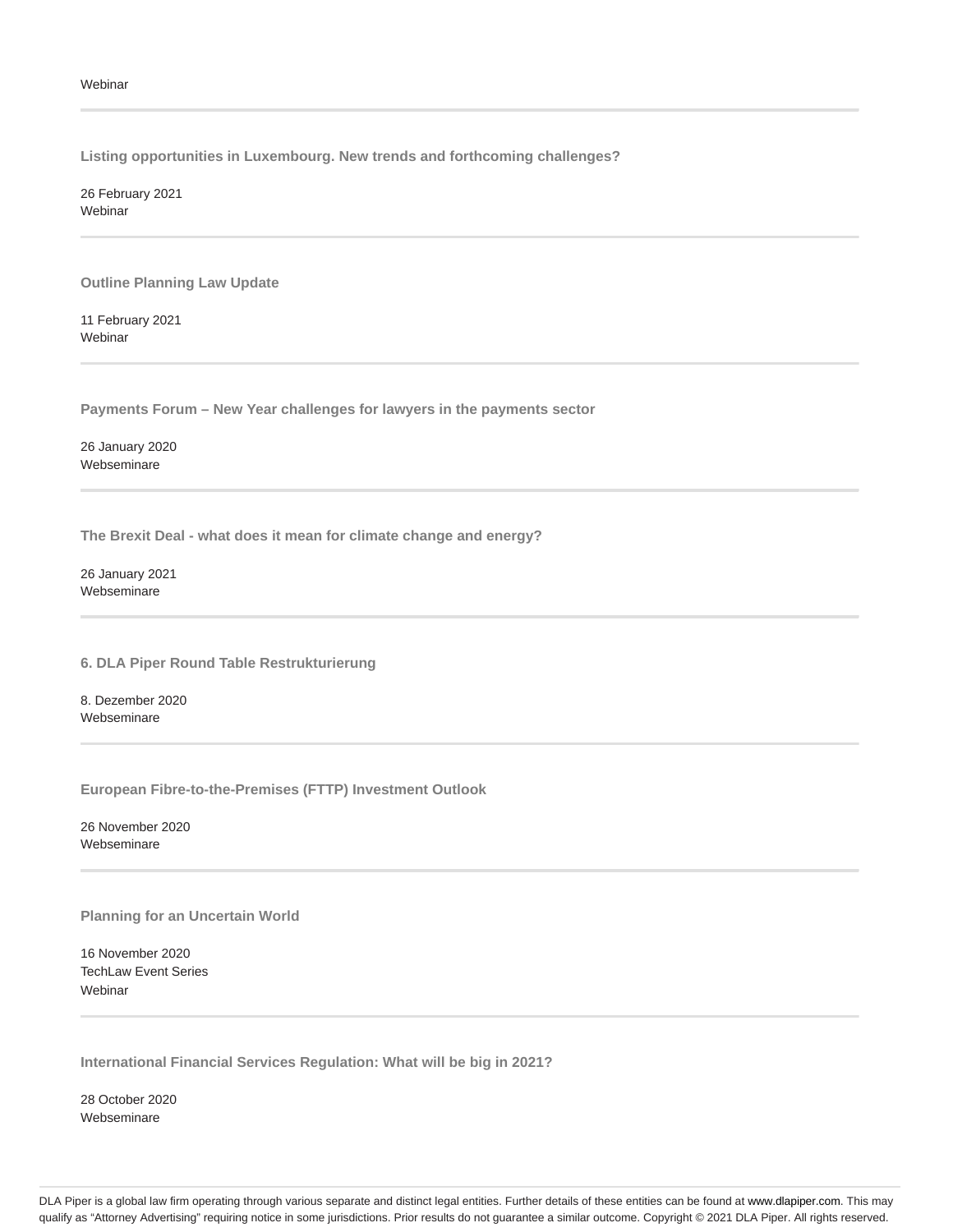**Listing opportunities in Luxembourg. New trends and forthcoming challenges?**

26 February 2021 Webinar

**Outline Planning Law Update**

11 February 2021 Webinar

**Payments Forum – New Year challenges for lawyers in the payments sector**

26 January 2020 Webseminare

**The Brexit Deal - what does it mean for climate change and energy?**

26 January 2021 Webseminare

**6. DLA Piper Round Table Restrukturierung**

8. Dezember 2020 Webseminare

**European Fibre-to-the-Premises (FTTP) Investment Outlook**

26 November 2020 Webseminare

**Planning for an Uncertain World**

16 November 2020 TechLaw Event Series **Webinar** 

**International Financial Services Regulation: What will be big in 2021?**

28 October 2020 Webseminare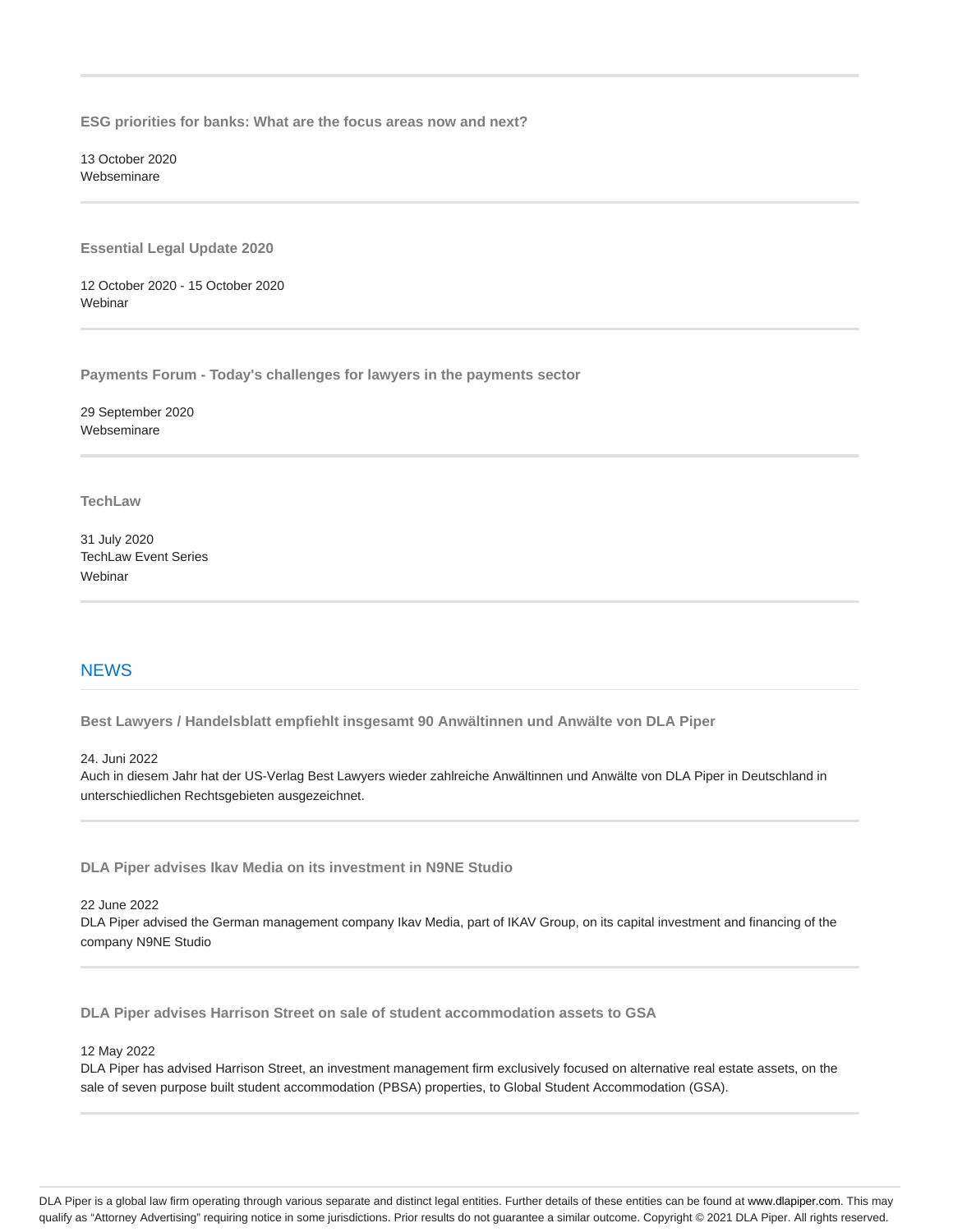**ESG priorities for banks: What are the focus areas now and next?**

13 October 2020 Webseminare

**Essential Legal Update 2020**

12 October 2020 - 15 October 2020 Webinar

**Payments Forum - Today's challenges for lawyers in the payments sector**

29 September 2020 Webseminare

**TechLaw**

31 July 2020 TechLaw Event Series **Webinar** 

# **NEWS**

**Best Lawyers / Handelsblatt empfiehlt insgesamt 90 Anwältinnen und Anwälte von DLA Piper**

24. Juni 2022

Auch in diesem Jahr hat der US-Verlag Best Lawyers wieder zahlreiche Anwältinnen und Anwälte von DLA Piper in Deutschland in unterschiedlichen Rechtsgebieten ausgezeichnet.

**DLA Piper advises Ikav Media on its investment in N9NE Studio**

22 June 2022

DLA Piper advised the German management company Ikav Media, part of IKAV Group, on its capital investment and financing of the company N9NE Studio

**DLA Piper advises Harrison Street on sale of student accommodation assets to GSA**

#### 12 May 2022

DLA Piper has advised Harrison Street, an investment management firm exclusively focused on alternative real estate assets, on the sale of seven purpose built student accommodation (PBSA) properties, to Global Student Accommodation (GSA).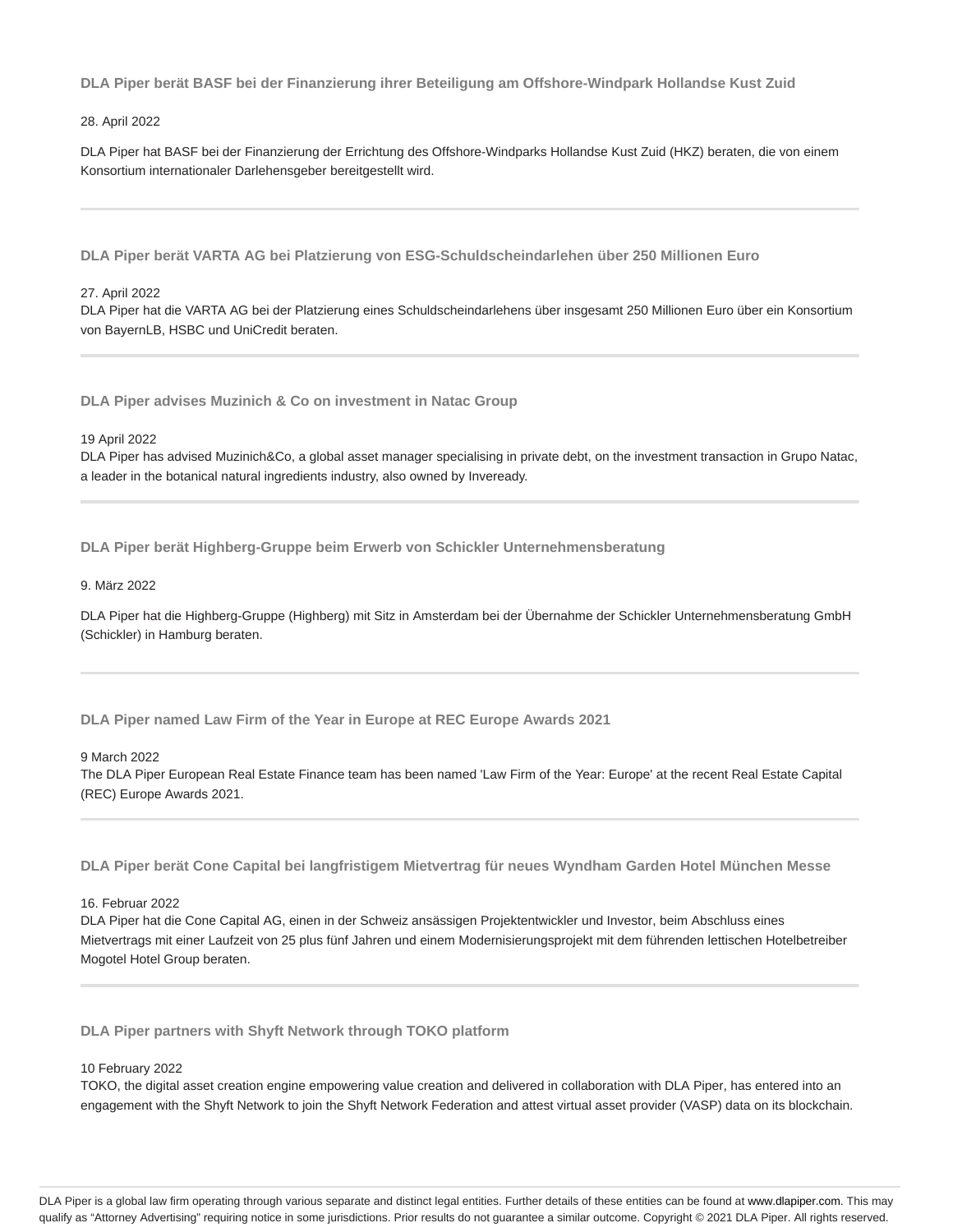**DLA Piper berät BASF bei der Finanzierung ihrer Beteiligung am Offshore-Windpark Hollandse Kust Zuid**

### 28. April 2022

DLA Piper hat BASF bei der Finanzierung der Errichtung des Offshore-Windparks Hollandse Kust Zuid (HKZ) beraten, die von einem Konsortium internationaler Darlehensgeber bereitgestellt wird.

**DLA Piper berät VARTA AG bei Platzierung von ESG-Schuldscheindarlehen über 250 Millionen Euro**

#### 27. April 2022

DLA Piper hat die VARTA AG bei der Platzierung eines Schuldscheindarlehens über insgesamt 250 Millionen Euro über ein Konsortium von BayernLB, HSBC und UniCredit beraten.

**DLA Piper advises Muzinich & Co on investment in Natac Group**

#### 19 April 2022

DLA Piper has advised Muzinich&Co, a global asset manager specialising in private debt, on the investment transaction in Grupo Natac, a leader in the botanical natural ingredients industry, also owned by Inveready.

**DLA Piper berät Highberg-Gruppe beim Erwerb von Schickler Unternehmensberatung**

#### 9. März 2022

DLA Piper hat die Highberg-Gruppe (Highberg) mit Sitz in Amsterdam bei der Übernahme der Schickler Unternehmensberatung GmbH (Schickler) in Hamburg beraten.

**DLA Piper named Law Firm of the Year in Europe at REC Europe Awards 2021**

#### 9 March 2022

The DLA Piper European Real Estate Finance team has been named 'Law Firm of the Year: Europe' at the recent Real Estate Capital (REC) Europe Awards 2021.

**DLA Piper berät Cone Capital bei langfristigem Mietvertrag für neues Wyndham Garden Hotel München Messe**

#### 16. Februar 2022

DLA Piper hat die Cone Capital AG, einen in der Schweiz ansässigen Projektentwickler und Investor, beim Abschluss eines Mietvertrags mit einer Laufzeit von 25 plus fünf Jahren und einem Modernisierungsprojekt mit dem führenden lettischen Hotelbetreiber Mogotel Hotel Group beraten.

## **DLA Piper partners with Shyft Network through TOKO platform**

# 10 February 2022

TOKO, the digital asset creation engine empowering value creation and delivered in collaboration with DLA Piper, has entered into an engagement with the Shyft Network to join the Shyft Network Federation and attest virtual asset provider (VASP) data on its blockchain.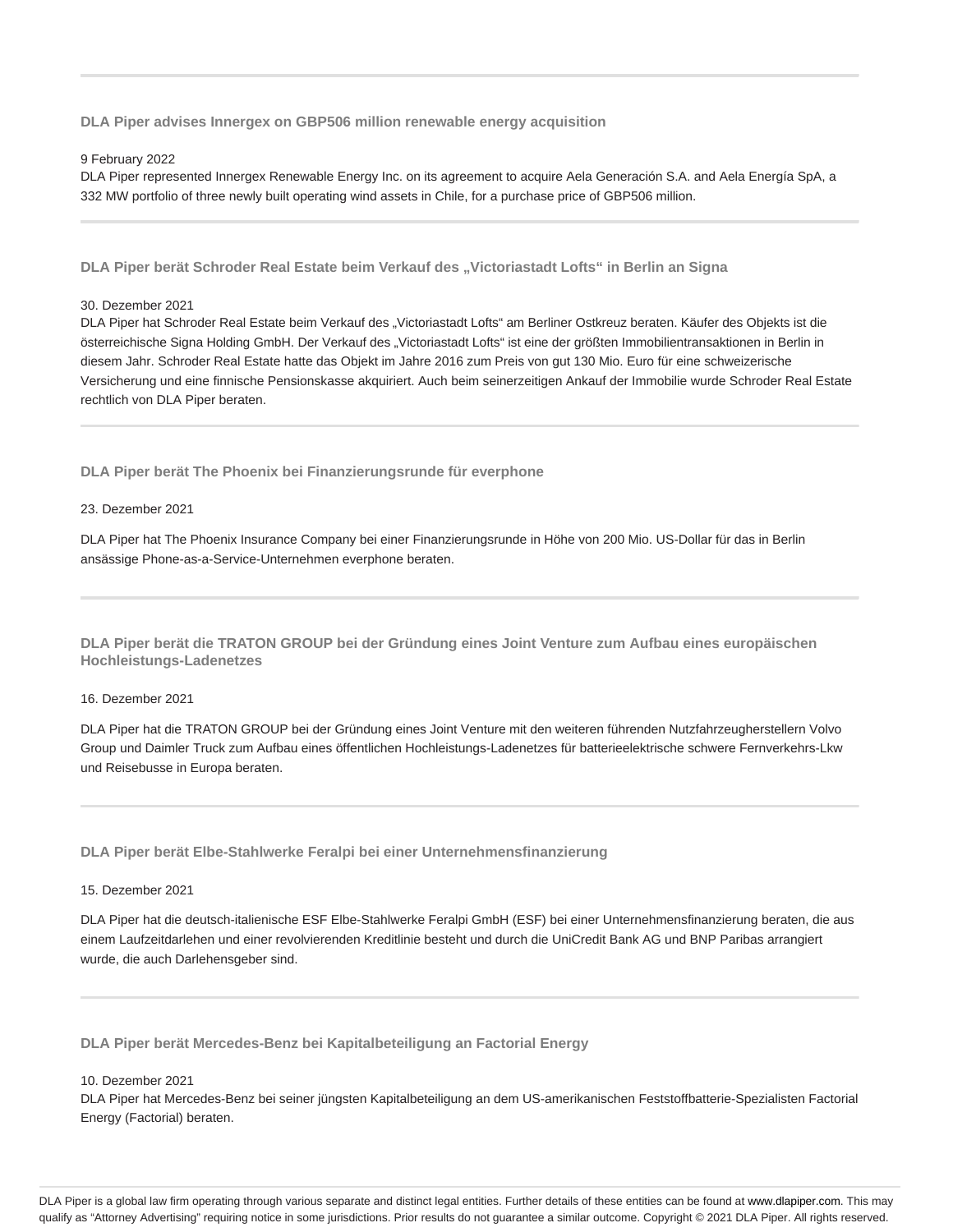**DLA Piper advises Innergex on GBP506 million renewable energy acquisition**

#### 9 February 2022

DLA Piper represented Innergex Renewable Energy Inc. on its agreement to acquire Aela Generación S.A. and Aela Energía SpA, a 332 MW portfolio of three newly built operating wind assets in Chile, for a purchase price of GBP506 million.

DLA Piper berät Schroder Real Estate beim Verkauf des "Victoriastadt Lofts" in Berlin an Signa

30. Dezember 2021

DLA Piper hat Schroder Real Estate beim Verkauf des "Victoriastadt Lofts" am Berliner Ostkreuz beraten. Käufer des Objekts ist die österreichische Signa Holding GmbH. Der Verkauf des "Victoriastadt Lofts" ist eine der größten Immobilientransaktionen in Berlin in diesem Jahr. Schroder Real Estate hatte das Objekt im Jahre 2016 zum Preis von gut 130 Mio. Euro für eine schweizerische Versicherung und eine finnische Pensionskasse akquiriert. Auch beim seinerzeitigen Ankauf der Immobilie wurde Schroder Real Estate rechtlich von DLA Piper beraten.

**DLA Piper berät The Phoenix bei Finanzierungsrunde für everphone**

23. Dezember 2021

DLA Piper hat The Phoenix Insurance Company bei einer Finanzierungsrunde in Höhe von 200 Mio. US-Dollar für das in Berlin ansässige Phone-as-a-Service-Unternehmen everphone beraten.

**DLA Piper berät die TRATON GROUP bei der Gründung eines Joint Venture zum Aufbau eines europäischen Hochleistungs-Ladenetzes**

### 16. Dezember 2021

DLA Piper hat die TRATON GROUP bei der Gründung eines Joint Venture mit den weiteren führenden Nutzfahrzeugherstellern Volvo Group und Daimler Truck zum Aufbau eines öffentlichen Hochleistungs-Ladenetzes für batterieelektrische schwere Fernverkehrs-Lkw und Reisebusse in Europa beraten.

**DLA Piper berät Elbe-Stahlwerke Feralpi bei einer Unternehmensfinanzierung**

15. Dezember 2021

DLA Piper hat die deutsch-italienische ESF Elbe-Stahlwerke Feralpi GmbH (ESF) bei einer Unternehmensfinanzierung beraten, die aus einem Laufzeitdarlehen und einer revolvierenden Kreditlinie besteht und durch die UniCredit Bank AG und BNP Paribas arrangiert wurde, die auch Darlehensgeber sind.

**DLA Piper berät Mercedes-Benz bei Kapitalbeteiligung an Factorial Energy**

10. Dezember 2021

DLA Piper hat Mercedes-Benz bei seiner jüngsten Kapitalbeteiligung an dem US-amerikanischen Feststoffbatterie-Spezialisten Factorial Energy (Factorial) beraten.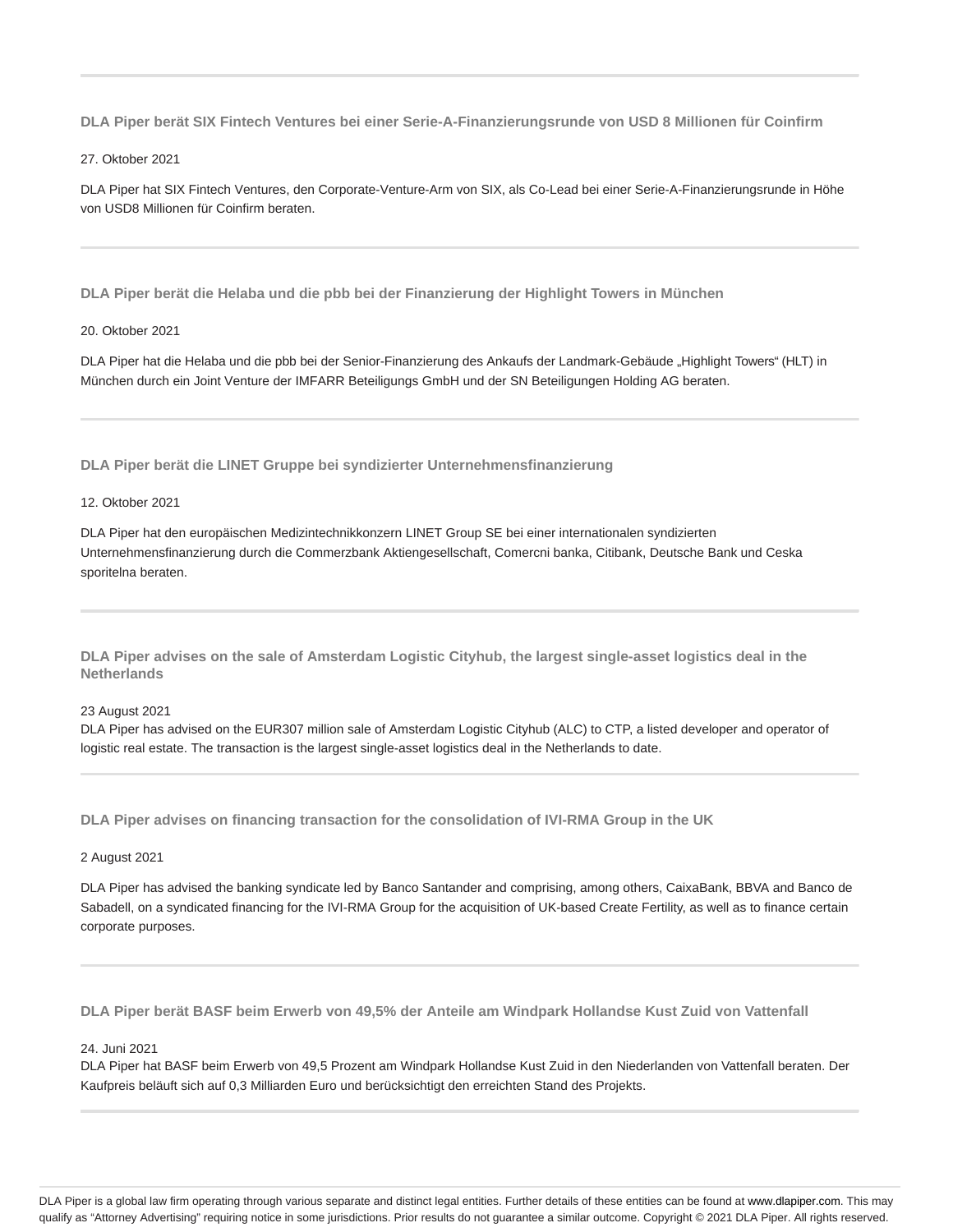**DLA Piper berät SIX Fintech Ventures bei einer Serie-A-Finanzierungsrunde von USD 8 Millionen für Coinfirm**

27. Oktober 2021

DLA Piper hat SIX Fintech Ventures, den Corporate-Venture-Arm von SIX, als Co-Lead bei einer Serie-A-Finanzierungsrunde in Höhe von USD8 Millionen für Coinfirm beraten.

**DLA Piper berät die Helaba und die pbb bei der Finanzierung der Highlight Towers in München**

### 20. Oktober 2021

DLA Piper hat die Helaba und die pbb bei der Senior-Finanzierung des Ankaufs der Landmark-Gebäude "Highlight Towers" (HLT) in München durch ein Joint Venture der IMFARR Beteiligungs GmbH und der SN Beteiligungen Holding AG beraten.

**DLA Piper berät die LINET Gruppe bei syndizierter Unternehmensfinanzierung**

### 12. Oktober 2021

DLA Piper hat den europäischen Medizintechnikkonzern LINET Group SE bei einer internationalen syndizierten Unternehmensfinanzierung durch die Commerzbank Aktiengesellschaft, Comercni banka, Citibank, Deutsche Bank und Ceska sporitelna beraten.

**DLA Piper advises on the sale of Amsterdam Logistic Cityhub, the largest single-asset logistics deal in the Netherlands**

23 August 2021

DLA Piper has advised on the EUR307 million sale of Amsterdam Logistic Cityhub (ALC) to CTP, a listed developer and operator of logistic real estate. The transaction is the largest single-asset logistics deal in the Netherlands to date.

**DLA Piper advises on financing transaction for the consolidation of IVI-RMA Group in the UK**

#### 2 August 2021

DLA Piper has advised the banking syndicate led by Banco Santander and comprising, among others, CaixaBank, BBVA and Banco de Sabadell, on a syndicated financing for the IVI-RMA Group for the acquisition of UK-based Create Fertility, as well as to finance certain corporate purposes.

**DLA Piper berät BASF beim Erwerb von 49,5% der Anteile am Windpark Hollandse Kust Zuid von Vattenfall**

#### 24. Juni 2021

DLA Piper hat BASF beim Erwerb von 49,5 Prozent am Windpark Hollandse Kust Zuid in den Niederlanden von Vattenfall beraten. Der Kaufpreis beläuft sich auf 0,3 Milliarden Euro und berücksichtigt den erreichten Stand des Projekts.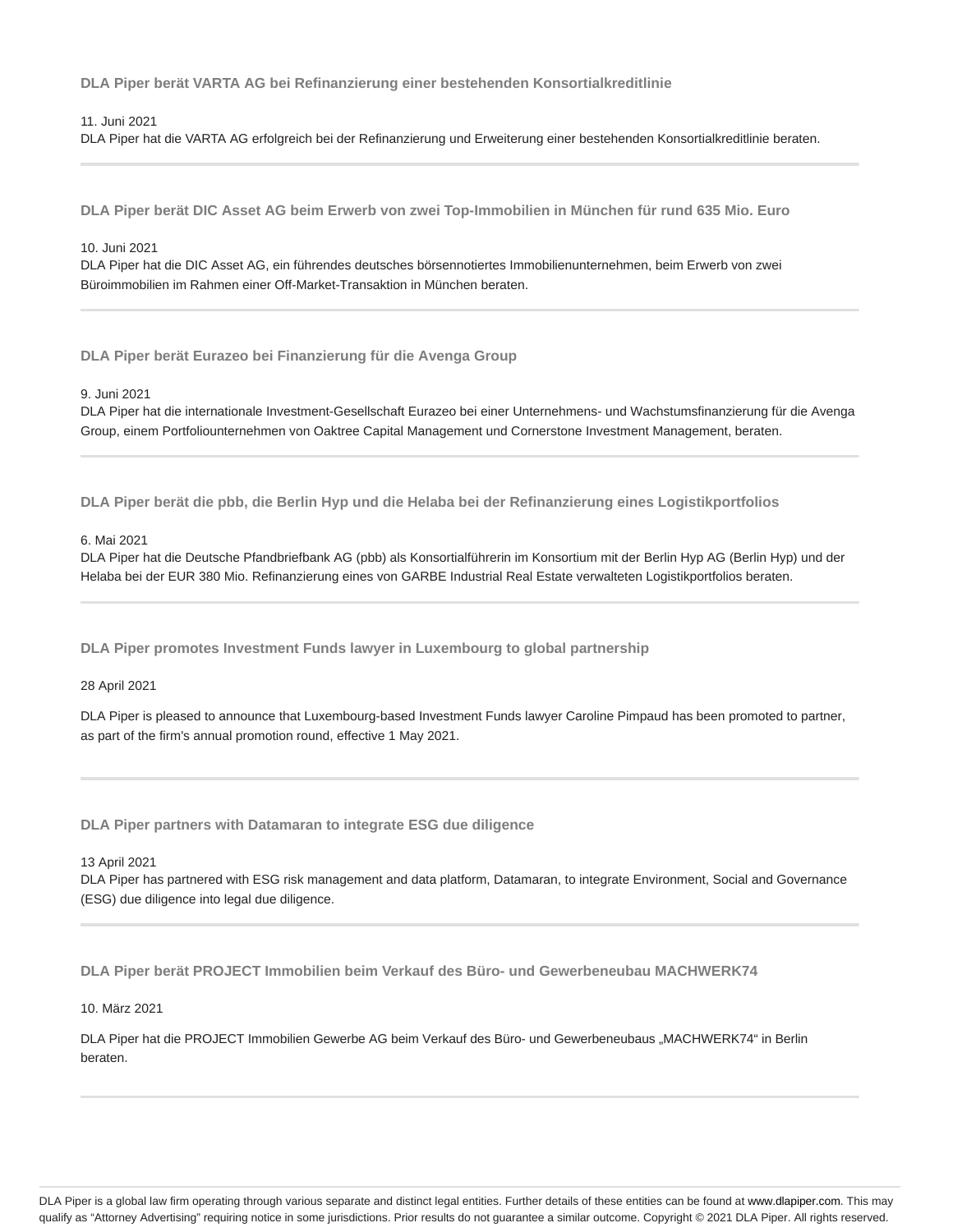**DLA Piper berät VARTA AG bei Refinanzierung einer bestehenden Konsortialkreditlinie**

11. Juni 2021

DLA Piper hat die VARTA AG erfolgreich bei der Refinanzierung und Erweiterung einer bestehenden Konsortialkreditlinie beraten.

**DLA Piper berät DIC Asset AG beim Erwerb von zwei Top-Immobilien in München für rund 635 Mio. Euro**

10. Juni 2021

DLA Piper hat die DIC Asset AG, ein führendes deutsches börsennotiertes Immobilienunternehmen, beim Erwerb von zwei Büroimmobilien im Rahmen einer Off-Market-Transaktion in München beraten.

**DLA Piper berät Eurazeo bei Finanzierung für die Avenga Group**

9. Juni 2021

DLA Piper hat die internationale Investment-Gesellschaft Eurazeo bei einer Unternehmens- und Wachstumsfinanzierung für die Avenga Group, einem Portfoliounternehmen von Oaktree Capital Management und Cornerstone Investment Management, beraten.

**DLA Piper berät die pbb, die Berlin Hyp und die Helaba bei der Refinanzierung eines Logistikportfolios**

6. Mai 2021

DLA Piper hat die Deutsche Pfandbriefbank AG (pbb) als Konsortialführerin im Konsortium mit der Berlin Hyp AG (Berlin Hyp) und der Helaba bei der EUR 380 Mio. Refinanzierung eines von GARBE Industrial Real Estate verwalteten Logistikportfolios beraten.

**DLA Piper promotes Investment Funds lawyer in Luxembourg to global partnership**

28 April 2021

DLA Piper is pleased to announce that Luxembourg-based Investment Funds lawyer Caroline Pimpaud has been promoted to partner, as part of the firm's annual promotion round, effective 1 May 2021.

**DLA Piper partners with Datamaran to integrate ESG due diligence**

13 April 2021

DLA Piper has partnered with ESG risk management and data platform, Datamaran, to integrate Environment, Social and Governance (ESG) due diligence into legal due diligence.

**DLA Piper berät PROJECT Immobilien beim Verkauf des Büro- und Gewerbeneubau MACHWERK74**

10. März 2021

DLA Piper hat die PROJECT Immobilien Gewerbe AG beim Verkauf des Büro- und Gewerbeneubaus "MACHWERK74" in Berlin beraten.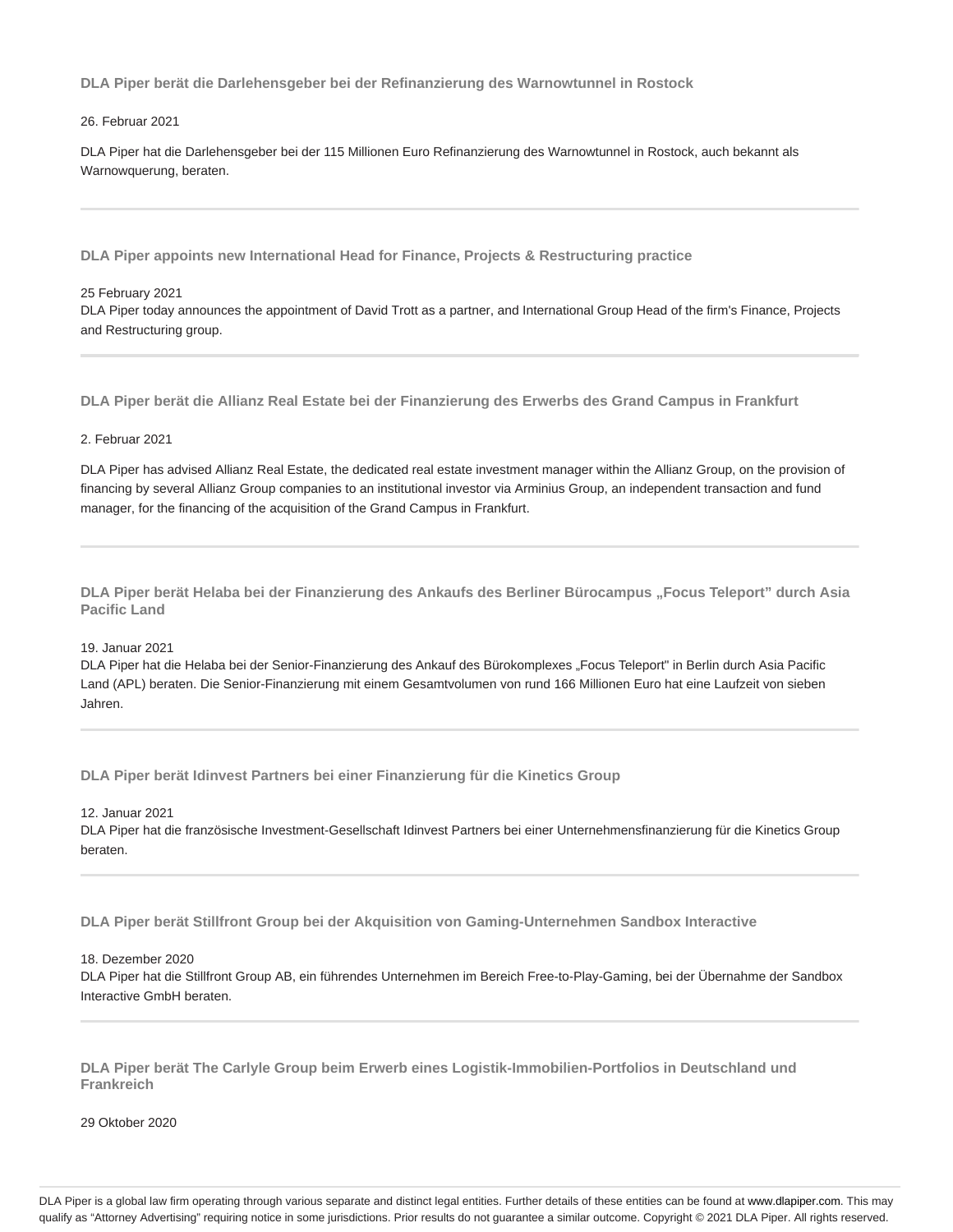**DLA Piper berät die Darlehensgeber bei der Refinanzierung des Warnowtunnel in Rostock**

#### 26. Februar 2021

DLA Piper hat die Darlehensgeber bei der 115 Millionen Euro Refinanzierung des Warnowtunnel in Rostock, auch bekannt als Warnowquerung, beraten.

**DLA Piper appoints new International Head for Finance, Projects & Restructuring practice**

#### 25 February 2021

DLA Piper today announces the appointment of David Trott as a partner, and International Group Head of the firm's Finance, Projects and Restructuring group.

**DLA Piper berät die Allianz Real Estate bei der Finanzierung des Erwerbs des Grand Campus in Frankfurt**

### 2. Februar 2021

DLA Piper has advised Allianz Real Estate, the dedicated real estate investment manager within the Allianz Group, on the provision of financing by several Allianz Group companies to an institutional investor via Arminius Group, an independent transaction and fund manager, for the financing of the acquisition of the Grand Campus in Frankfurt.

**DLA Piper berät Helaba bei der Finanzierung des Ankaufs des Berliner Bürocampus "Focus Teleport" durch Asia Pacific Land**

## 19. Januar 2021

DLA Piper hat die Helaba bei der Senior-Finanzierung des Ankauf des Bürokomplexes "Focus Teleport" in Berlin durch Asia Pacific Land (APL) beraten. Die Senior-Finanzierung mit einem Gesamtvolumen von rund 166 Millionen Euro hat eine Laufzeit von sieben Jahren.

**DLA Piper berät Idinvest Partners bei einer Finanzierung für die Kinetics Group**

12. Januar 2021

DLA Piper hat die französische Investment-Gesellschaft Idinvest Partners bei einer Unternehmensfinanzierung für die Kinetics Group beraten.

**DLA Piper berät Stillfront Group bei der Akquisition von Gaming-Unternehmen Sandbox Interactive**

### 18. Dezember 2020

DLA Piper hat die Stillfront Group AB, ein führendes Unternehmen im Bereich Free-to-Play-Gaming, bei der Übernahme der Sandbox Interactive GmbH beraten.

**DLA Piper berät The Carlyle Group beim Erwerb eines Logistik-Immobilien-Portfolios in Deutschland und Frankreich**

29 Oktober 2020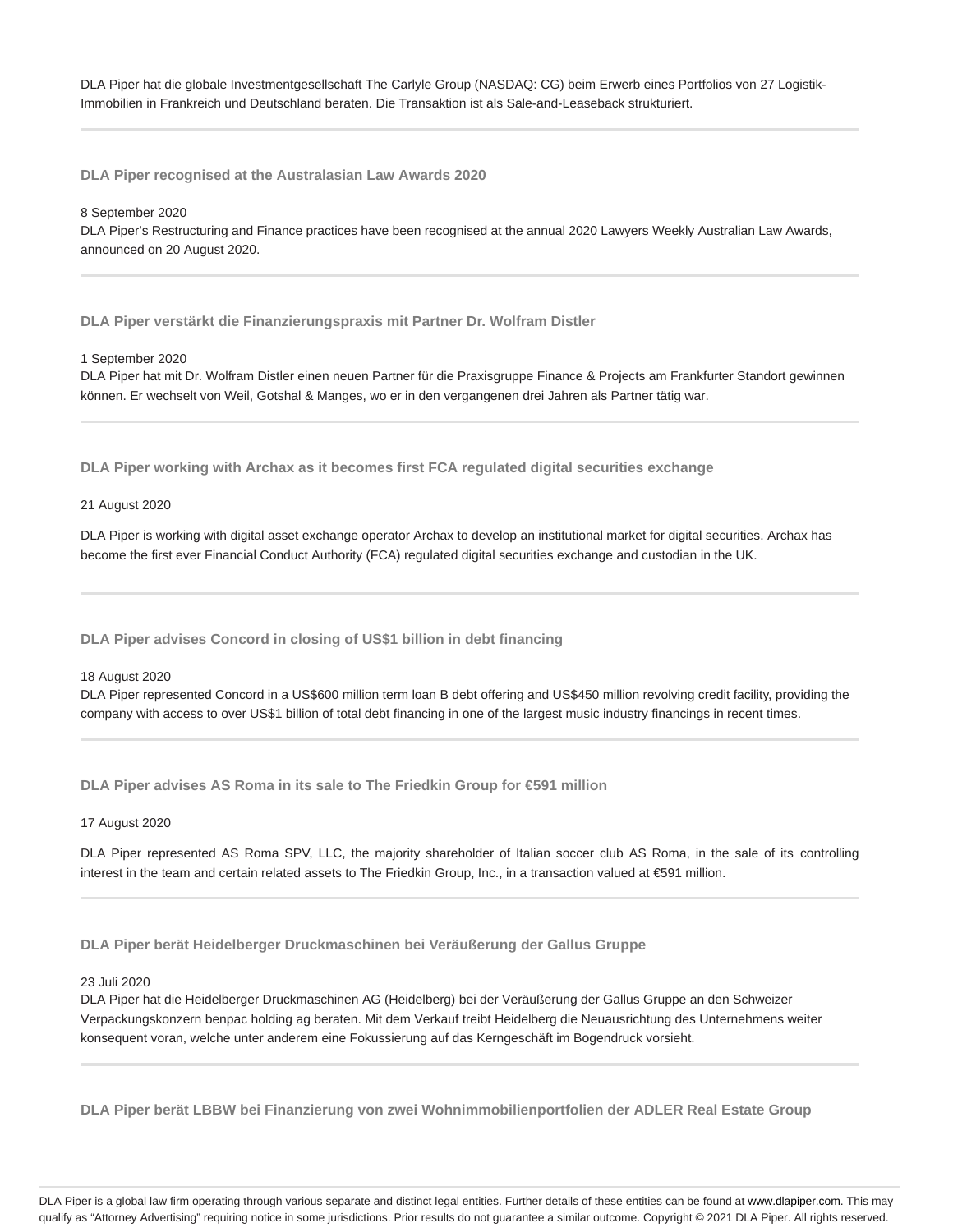DLA Piper hat die globale Investmentgesellschaft The Carlyle Group (NASDAQ: CG) beim Erwerb eines Portfolios von 27 Logistik-Immobilien in Frankreich und Deutschland beraten. Die Transaktion ist als Sale-and-Leaseback strukturiert.

**DLA Piper recognised at the Australasian Law Awards 2020**

8 September 2020

DLA Piper's Restructuring and Finance practices have been recognised at the annual 2020 Lawyers Weekly Australian Law Awards, announced on 20 August 2020.

**DLA Piper verstärkt die Finanzierungspraxis mit Partner Dr. Wolfram Distler**

1 September 2020

DLA Piper hat mit Dr. Wolfram Distler einen neuen Partner für die Praxisgruppe Finance & Projects am Frankfurter Standort gewinnen können. Er wechselt von Weil, Gotshal & Manges, wo er in den vergangenen drei Jahren als Partner tätig war.

**DLA Piper working with Archax as it becomes first FCA regulated digital securities exchange**

21 August 2020

DLA Piper is working with digital asset exchange operator Archax to develop an institutional market for digital securities. Archax has become the first ever Financial Conduct Authority (FCA) regulated digital securities exchange and custodian in the UK.

**DLA Piper advises Concord in closing of US\$1 billion in debt financing**

18 August 2020

DLA Piper represented Concord in a US\$600 million term loan B debt offering and US\$450 million revolving credit facility, providing the company with access to over US\$1 billion of total debt financing in one of the largest music industry financings in recent times.

**DLA Piper advises AS Roma in its sale to The Friedkin Group for €591 million**

17 August 2020

DLA Piper represented AS Roma SPV, LLC, the majority shareholder of Italian soccer club AS Roma, in the sale of its controlling interest in the team and certain related assets to The Friedkin Group, Inc., in a transaction valued at €591 million.

**DLA Piper berät Heidelberger Druckmaschinen bei Veräußerung der Gallus Gruppe**

23 Juli 2020

DLA Piper hat die Heidelberger Druckmaschinen AG (Heidelberg) bei der Veräußerung der Gallus Gruppe an den Schweizer Verpackungskonzern benpac holding ag beraten. Mit dem Verkauf treibt Heidelberg die Neuausrichtung des Unternehmens weiter konsequent voran, welche unter anderem eine Fokussierung auf das Kerngeschäft im Bogendruck vorsieht.

**DLA Piper berät LBBW bei Finanzierung von zwei Wohnimmobilienportfolien der ADLER Real Estate Group**